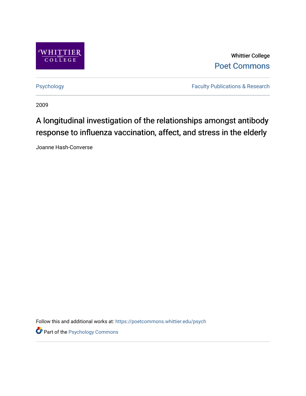

Whittier College [Poet Commons](https://poetcommons.whittier.edu/) 

[Psychology](https://poetcommons.whittier.edu/psych) **Faculty Publications & Research** 

2009

## A longitudinal investigation of the relationships amongst antibody response to influenza vaccination, affect, and stress in the elderly

Joanne Hash-Converse

Follow this and additional works at: [https://poetcommons.whittier.edu/psych](https://poetcommons.whittier.edu/psych?utm_source=poetcommons.whittier.edu%2Fpsych%2F1&utm_medium=PDF&utm_campaign=PDFCoverPages)

**Part of the Psychology Commons**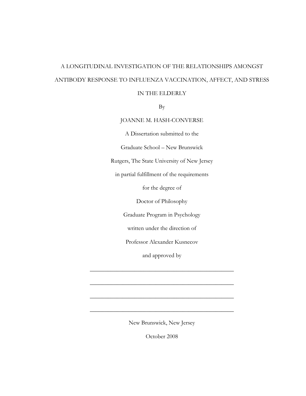# A LONGITUDINAL INVESTIGATION OF THE RELATIONSHIPS AMONGST ANTIBODY RESPONSE TO INFLUENZA VACCINATION, AFFECT, AND STRESS

#### IN THE ELDERLY

By

#### JOANNE M. HASH-CONVERSE

A Dissertation submitted to the

Graduate School – New Brunswick

Rutgers, The State University of New Jersey

in partial fulfillment of the requirements

for the degree of

Doctor of Philosophy

Graduate Program in Psychology

written under the direction of

Professor Alexander Kusnecov

and approved by

\_\_\_\_\_\_\_\_\_\_\_\_\_\_\_\_\_\_\_\_\_\_\_\_\_\_\_\_\_\_\_\_\_\_\_\_\_\_\_\_\_\_\_\_\_\_\_\_

\_\_\_\_\_\_\_\_\_\_\_\_\_\_\_\_\_\_\_\_\_\_\_\_\_\_\_\_\_\_\_\_\_\_\_\_\_\_\_\_\_\_\_\_\_\_\_\_

\_\_\_\_\_\_\_\_\_\_\_\_\_\_\_\_\_\_\_\_\_\_\_\_\_\_\_\_\_\_\_\_\_\_\_\_\_\_\_\_\_\_\_\_\_\_\_\_

\_\_\_\_\_\_\_\_\_\_\_\_\_\_\_\_\_\_\_\_\_\_\_\_\_\_\_\_\_\_\_\_\_\_\_\_\_\_\_\_\_\_\_\_\_\_\_\_

New Brunswick, New Jersey

October 2008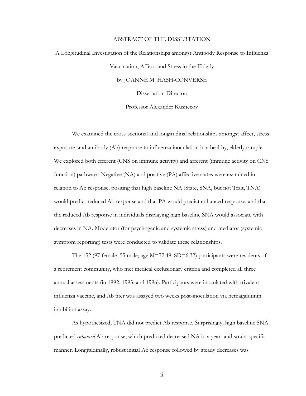#### ABSTRACT OF THE DISSERTATION

# A Longitudinal Investigation of the Relationships amongst Antibody Response to Influenza Vaccination, Affect, and Stress in the Elderly by JOANNE M. HASH-CONVERSE Dissertation Director:

Professor Alexander Kusnecov

We examined the cross-sectional and longitudinal relationships amongst affect, stress exposure, and antibody (Ab) response to influenza inoculation in a healthy, elderly sample. We explored both efferent (CNS on immune activity) and afferent (immune activity on CNS function) pathways. Negative (NA) and positive (PA) affective states were examined in relation to Ab response, positing that high baseline NA (State, SNA, but not Trait, TNA) would predict reduced Ab response and that PA would predict enhanced response, and that the reduced Ab response in individuals displaying high baseline SNA would associate with decreases in NA. Moderator (for psychogenic and systemic stress) and mediator (systemic symptom reporting) tests were conducted to validate these relationships.

The 152 (97 female, 55 male; age  $\underline{M}$ =72.49,  $\underline{SD}$ =6.32) participants were residents of a retirement community, who met medical exclusionary criteria and completed all three annual assessments (in 1992, 1993, and 1996). Participants were inoculated with trivalent influenza vaccine, and Ab titer was assayed two weeks post-inoculation via hemagglutinin inhibition assay.

As hypothesized, TNA did not predict Ab response. Surprisingly, high baseline SNA predicted *enhanced* Ab response, which predicted decreased NA in a year- and strain-specific manner. Longitudinally, robust initial Ab response followed by steady decreases was

ii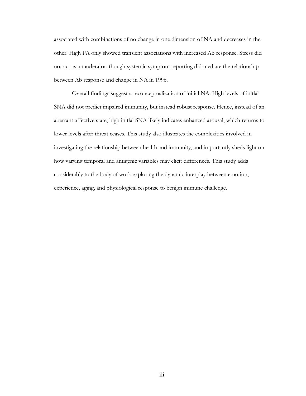associated with combinations of no change in one dimension of NA and decreases in the other. High PA only showed transient associations with increased Ab response. Stress did not act as a moderator, though systemic symptom reporting did mediate the relationship between Ab response and change in NA in 1996.

Overall findings suggest a reconceptualization of initial NA. High levels of initial SNA did not predict impaired immunity, but instead robust response. Hence, instead of an aberrant affective state, high initial SNA likely indicates enhanced arousal, which returns to lower levels after threat ceases. This study also illustrates the complexities involved in investigating the relationship between health and immunity, and importantly sheds light on how varying temporal and antigenic variables may elicit differences. This study adds considerably to the body of work exploring the dynamic interplay between emotion, experience, aging, and physiological response to benign immune challenge.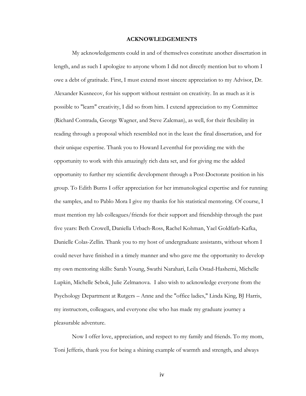#### **ACKNOWLEDGEMENTS**

My acknowledgements could in and of themselves constitute another dissertation in length, and as such I apologize to anyone whom I did not directly mention but to whom I owe a debt of gratitude. First, I must extend most sincere appreciation to my Advisor, Dr. Alexander Kusnecov, for his support without restraint on creativity. In as much as it is possible to "learn" creativity, I did so from him. I extend appreciation to my Committee (Richard Contrada, George Wagner, and Steve Zalcman), as well, for their flexibility in reading through a proposal which resembled not in the least the final dissertation, and for their unique expertise. Thank you to Howard Leventhal for providing me with the opportunity to work with this amazingly rich data set, and for giving me the added opportunity to further my scientific development through a Post-Doctorate position in his group. To Edith Burns I offer appreciation for her immunological expertise and for running the samples, and to Pablo Mora I give my thanks for his statistical mentoring. Of course, I must mention my lab colleagues/friends for their support and friendship through the past five years: Beth Crowell, Daniella Urbach-Ross, Rachel Kohman, Yael Goldfarb-Kafka, Danielle Colas-Zellin. Thank you to my host of undergraduate assistants, without whom I could never have finished in a timely manner and who gave me the opportunity to develop my own mentoring skills: Sarah Young, Swathi Narahari, Leila Ostad-Hashemi, Michelle Lupkin, Michelle Sebok, Julie Zelmanova. I also wish to acknowledge everyone from the Psychology Department at Rutgers – Anne and the "office ladies," Linda King, BJ Harris, my instructors, colleagues, and everyone else who has made my graduate journey a pleasurable adventure.

Now I offer love, appreciation, and respect to my family and friends. To my mom, Toni Jefferis, thank you for being a shining example of warmth and strength, and always

iv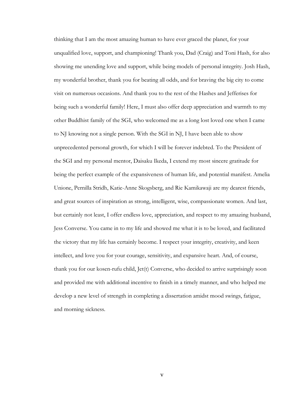thinking that I am the most amazing human to have ever graced the planet, for your unqualified love, support, and championing! Thank you, Dad (Craig) and Toni Hash, for also showing me unending love and support, while being models of personal integrity. Josh Hash, my wonderful brother, thank you for beating all odds, and for braving the big city to come visit on numerous occasions. And thank you to the rest of the Hashes and Jefferises for being such a wonderful family! Here, I must also offer deep appreciation and warmth to my other Buddhist family of the SGI, who welcomed me as a long lost loved one when I came to NJ knowing not a single person. With the SGI in NJ, I have been able to show unprecedented personal growth, for which I will be forever indebted. To the President of the SGI and my personal mentor, Daisaku Ikeda, I extend my most sincere gratitude for being the perfect example of the expansiveness of human life, and potential manifest. Amelia Unione, Pernilla Stridh, Katie-Anne Skogsberg, and Rie Kamikawaji are my dearest friends, and great sources of inspiration as strong, intelligent, wise, compassionate women. And last, but certainly not least, I offer endless love, appreciation, and respect to my amazing husband, Jess Converse. You came in to my life and showed me what it is to be loved, and facilitated the victory that my life has certainly become. I respect your integrity, creativity, and keen intellect, and love you for your courage, sensitivity, and expansive heart. And, of course, thank you for our kosen-rufu child, Jet(t) Converse, who decided to arrive surprisingly soon and provided me with additional incentive to finish in a timely manner, and who helped me develop a new level of strength in completing a dissertation amidst mood swings, fatigue, and morning sickness.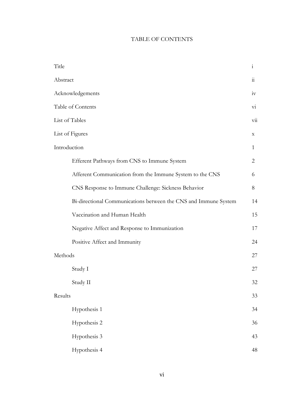### TABLE OF CONTENTS

| Title    |                                                                 | $\rm i$              |
|----------|-----------------------------------------------------------------|----------------------|
| Abstract |                                                                 | $\dddot{\mathbf{i}}$ |
|          | Acknowledgements                                                |                      |
|          | Table of Contents                                               |                      |
|          | List of Tables                                                  |                      |
|          | List of Figures                                                 |                      |
|          | Introduction                                                    |                      |
|          | Efferent Pathways from CNS to Immune System                     | 2                    |
|          | Afferent Communication from the Immune System to the CNS        | 6                    |
|          | CNS Response to Immune Challenge: Sickness Behavior             | 8                    |
|          | Bi-directional Communications between the CNS and Immune System | 14                   |
|          | Vaccination and Human Health                                    | 15                   |
|          | Negative Affect and Response to Immunization                    | 17                   |
|          | Positive Affect and Immunity                                    | 24                   |
| Methods  |                                                                 | 27                   |
|          | Study I                                                         | 27                   |
|          | Study II                                                        | 32                   |
|          | Results                                                         |                      |
|          | Hypothesis 1                                                    | 34                   |
|          | Hypothesis 2                                                    | 36                   |
|          | Hypothesis 3                                                    | 43                   |
|          | Hypothesis 4                                                    | 48                   |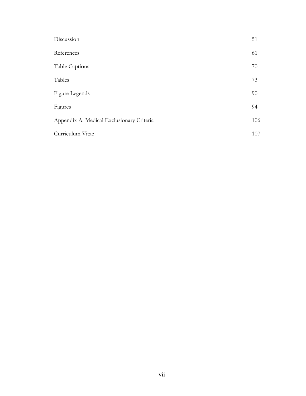| Discussion                                | 51  |
|-------------------------------------------|-----|
| References                                | 61  |
| Table Captions                            | 70  |
| Tables                                    | 73  |
| Figure Legends                            | 90  |
| Figures                                   | 94  |
| Appendix A: Medical Exclusionary Criteria | 106 |
| Curriculum Vitae                          | 107 |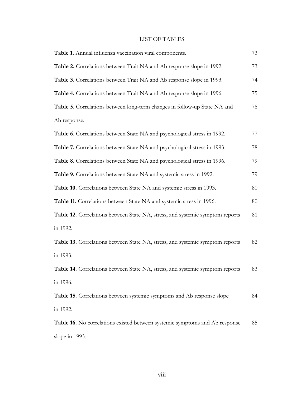### LIST OF TABLES

| Table 1. Annual influenza vaccination viral components.                       | 73 |
|-------------------------------------------------------------------------------|----|
| Table 2. Correlations between Trait NA and Ab response slope in 1992.         | 73 |
| Table 3. Correlations between Trait NA and Ab response slope in 1993.         | 74 |
| Table 4. Correlations between Trait NA and Ab response slope in 1996.         | 75 |
| Table 5. Correlations between long-term changes in follow-up State NA and     | 76 |
| Ab response.                                                                  |    |
| Table 6. Correlations between State NA and psychological stress in 1992.      | 77 |
| Table 7. Correlations between State NA and psychological stress in 1993.      | 78 |
| Table 8. Correlations between State NA and psychological stress in 1996.      | 79 |
| Table 9. Correlations between State NA and systemic stress in 1992.           | 79 |
| Table 10. Correlations between State NA and systemic stress in 1993.          | 80 |
| Table 11. Correlations between State NA and systemic stress in 1996.          | 80 |
| Table 12. Correlations between State NA, stress, and systemic symptom reports | 81 |
| in 1992.                                                                      |    |
| Table 13. Correlations between State NA, stress, and systemic symptom reports | 82 |
| in 1993.                                                                      |    |
| Table 14. Correlations between State NA, stress, and systemic symptom reports | 83 |
| in 1996.                                                                      |    |
| Table 15. Correlations between systemic symptoms and Ab response slope        | 84 |
| in 1992.                                                                      |    |
| Table 16. No correlations existed between systemic symptoms and Ab response   | 85 |
| slope in 1993.                                                                |    |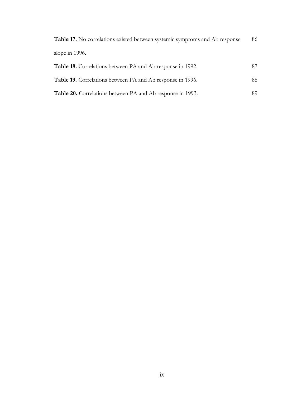| Table 17. No correlations existed between systemic symptoms and Ab response | 86 |
|-----------------------------------------------------------------------------|----|
| slope in $1996$ .                                                           |    |
| <b>Table 18.</b> Correlations between PA and Ab response in 1992.           | 87 |
| <b>Table 19.</b> Correlations between PA and Ab response in 1996.           | 88 |
| Table 20. Correlations between PA and Ab response in 1993.                  | 89 |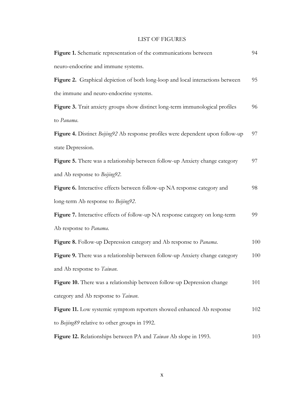#### LIST OF FIGURES

| Figure 1. Schematic representation of the communications between                | 94  |
|---------------------------------------------------------------------------------|-----|
| neuro-endocrine and immune systems.                                             |     |
| Figure 2. Graphical depiction of both long-loop and local interactions between  | 95  |
| the immune and neuro-endocrine systems.                                         |     |
| Figure 3. Trait anxiety groups show distinct long-term immunological profiles   | 96  |
| to Panama.                                                                      |     |
| Figure 4. Distinct Beijing92 Ab response profiles were dependent upon follow-up | 97  |
| state Depression.                                                               |     |
| Figure 5. There was a relationship between follow-up Anxiety change category    | 97  |
| and Ab response to Beijing92.                                                   |     |
| Figure 6. Interactive effects between follow-up NA response category and        | 98  |
| long-term Ab response to Beijing92.                                             |     |
| Figure 7. Interactive effects of follow-up NA response category on long-term    | 99  |
| Ab response to Panama.                                                          |     |
| Figure 8. Follow-up Depression category and Ab response to Panama.              | 100 |
| Figure 9. There was a relationship between follow-up Anxiety change category    | 100 |
| and Ab response to Taiwan.                                                      |     |
| Figure 10. There was a relationship between follow-up Depression change         | 101 |
| category and Ab response to Taiwan.                                             |     |
| Figure 11. Low systemic symptom reporters showed enhanced Ab response           | 102 |
| to Beijing89 relative to other groups in 1992.                                  |     |
| Figure 12. Relationships between PA and <i>Taiwan</i> Ab slope in 1993.         | 103 |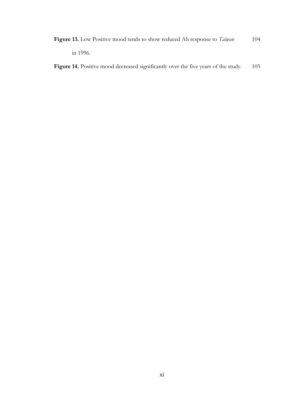Figure 13. Low Positive mood tends to show reduced Ab response to *Taiwan* 104 in 1996.

Figure 14. Positive mood decreased significantly over the five years of the study. 105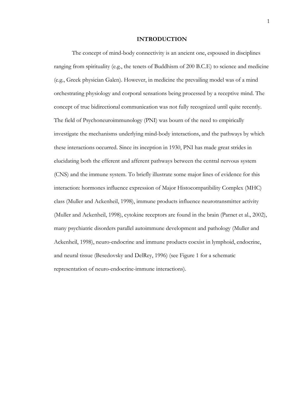#### **INTRODUCTION**

The concept of mind-body connectivity is an ancient one, espoused in disciplines ranging from spirituality (e.g., the tenets of Buddhism of 200 B.C.E) to science and medicine (e.g., Greek physician Galen). However, in medicine the prevailing model was of a mind orchestrating physiology and corporal sensations being processed by a receptive mind. The concept of true bidirectional communication was not fully recognized until quite recently. The field of Psychoneuroimmunology (PNI) was bourn of the need to empirically investigate the mechanisms underlying mind-body interactions, and the pathways by which these interactions occurred. Since its inception in 1930, PNI has made great strides in elucidating both the efferent and afferent pathways between the central nervous system (CNS) and the immune system. To briefly illustrate some major lines of evidence for this interaction: hormones influence expression of Major Histocompatibility Complex (MHC) class (Muller and Ackenheil, 1998), immune products influence neurotransmitter activity (Muller and Ackenheil, 1998), cytokine receptors are found in the brain (Parnet et al., 2002), many psychiatric disorders parallel autoimmune development and pathology (Muller and Ackenheil, 1998), neuro-endocrine and immune products coexist in lymphoid, endocrine, and neural tissue (Besedovsky and DelRey, 1996) (see Figure 1 for a schematic representation of neuro-endocrine-immune interactions).

1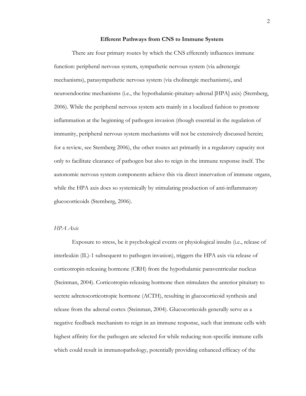#### **Efferent Pathways from CNS to Immune System**

There are four primary routes by which the CNS efferently influences immune function: peripheral nervous system, sympathetic nervous system (via adrenergic mechanisms), parasympathetic nervous system (via cholinergic mechanisms), and neuroendocrine mechanisms (i.e., the hypothalamic-pituitary-adrenal [HPA] axis) (Sternberg, 2006). While the peripheral nervous system acts mainly in a localized fashion to promote inflammation at the beginning of pathogen invasion (though essential in the regulation of immunity, peripheral nervous system mechanisms will not be extensively discussed herein; for a review, see Sternberg 2006), the other routes act primarily in a regulatory capacity not only to facilitate clearance of pathogen but also to reign in the immune response itself. The autonomic nervous system components achieve this via direct innervation of immune organs, while the HPA axis does so systemically by stimulating production of anti-inflammatory glucocorticoids (Sternberg, 2006).

#### *HPA Axis*

Exposure to stress, be it psychological events or physiological insults (i.e., release of interleukin (IL)-1 subsequent to pathogen invasion), triggers the HPA axis via release of corticotropin-releasing hormone (CRH) from the hypothalamic paraventricular nucleus (Steinman, 2004). Corticotropin-releasing hormone then stimulates the anterior pituitary to secrete adrenocorticotropic hormone (ACTH), resulting in glucocorticoid synthesis and release from the adrenal cortex (Steinman, 2004). Glucocorticoids generally serve as a negative feedback mechanism to reign in an immune response, such that immune cells with highest affinity for the pathogen are selected for while reducing non-specific immune cells which could result in immunopathology, potentially providing enhanced efficacy of the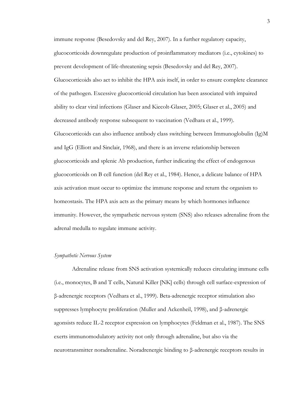immune response (Besedovsky and del Rey, 2007). In a further regulatory capacity, glucocorticoids downregulate production of proinflammatory mediators (i.e., cytokines) to prevent development of life-threatening sepsis (Besedovsky and del Rey, 2007). Glucocorticoids also act to inhibit the HPA axis itself, in order to ensure complete clearance of the pathogen. Excessive glucocorticoid circulation has been associated with impaired ability to clear viral infections (Glaser and Kiecolt-Glaser, 2005; Glaser et al., 2005) and decreased antibody response subsequent to vaccination (Vedhara et al., 1999). Glucocorticoids can also influence antibody class switching between Immunoglobulin  $(Ig)M$ and IgG (Elliott and Sinclair, 1968), and there is an inverse relationship between glucocorticoids and splenic Ab production, further indicating the effect of endogenous glucocorticoids on B cell function (del Rey et al., 1984). Hence, a delicate balance of HPA axis activation must occur to optimize the immune response and return the organism to homeostasis. The HPA axis acts as the primary means by which hormones influence immunity. However, the sympathetic nervous system (SNS) also releases adrenaline from the adrenal medulla to regulate immune activity.

#### *Sympathetic Nervous System*

Adrenaline release from SNS activation systemically reduces circulating immune cells (i.e., monocytes, B and T cells, Natural Killer [NK] cells) through cell surface-expression of β-adrenergic receptors (Vedhara et al., 1999). Beta-adrenergic receptor stimulation also suppresses lymphocyte proliferation (Muller and Ackenheil, 1998), and β-adrenergic agonsists reduce IL-2 receptor expression on lymphocytes (Feldman et al., 1987). The SNS exerts immunomodulatory activity not only through adrenaline, but also via the neurotransmitter noradrenaline. Noradrenergic binding to β-adrenergic receptors results in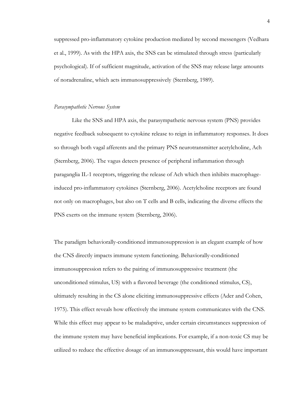suppressed pro-inflammatory cytokine production mediated by second messengers (Vedhara et al., 1999). As with the HPA axis, the SNS can be stimulated through stress (particularly psychological). If of sufficient magnitude, activation of the SNS may release large amounts of noradrenaline, which acts immunosuppressively (Sternberg, 1989).

#### *Parasympathetic Nervous System*

Like the SNS and HPA axis, the parasympathetic nervous system (PNS) provides negative feedback subsequent to cytokine release to reign in inflammatory responses. It does so through both vagal afferents and the primary PNS neurotransmitter acetylcholine, Ach (Sternberg, 2006). The vagus detects presence of peripheral inflammation through paraganglia IL-1 receptors, triggering the release of Ach which then inhibits macrophageinduced pro-inflammatory cytokines (Sternberg, 2006). Acetylcholine receptors are found not only on macrophages, but also on T cells and B cells, indicating the diverse effects the PNS exerts on the immune system (Sternberg, 2006).

The paradigm behaviorally-conditioned immunosuppression is an elegant example of how the CNS directly impacts immune system functioning. Behaviorally-conditioned immunosuppression refers to the pairing of immunosuppressive treatment (the unconditioned stimulus, US) with a flavored beverage (the conditioned stimulus, CS), ultimately resulting in the CS alone eliciting immunosuppressive effects (Ader and Cohen, 1975). This effect reveals how effectively the immune system communicates with the CNS. While this effect may appear to be maladaptive, under certain circumstances suppression of the immune system may have beneficial implications. For example, if a non-toxic CS may be utilized to reduce the effective dosage of an immunosuppressant, this would have important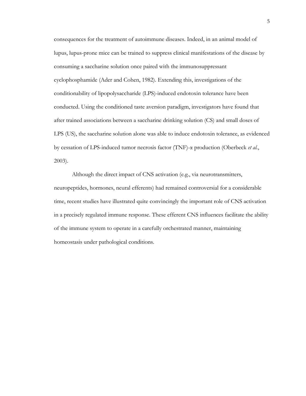consequences for the treatment of autoimmune diseases. Indeed, in an animal model of lupus, lupus-prone mice can be trained to suppress clinical manifestations of the disease by consuming a saccharine solution once paired with the immunosuppressant cyclophosphamide (Ader and Cohen, 1982). Extending this, investigations of the conditionability of lipopolysaccharide (LPS)-induced endotoxin tolerance have been conducted. Using the conditioned taste aversion paradigm, investigators have found that after trained associations between a saccharine drinking solution (CS) and small doses of LPS (US), the saccharine solution alone was able to induce endotoxin tolerance, as evidenced by cessation of LPS-induced tumor necrosis factor (TNF)-α production (Oberbeck *et al.*, 2003).

Although the direct impact of CNS activation (e.g., via neurotransmitters, neuropeptides, hormones, neural efferents) had remained controversial for a considerable time, recent studies have illustrated quite convincingly the important role of CNS activation in a precisely regulated immune response. These efferent CNS influences facilitate the ability of the immune system to operate in a carefully orchestrated manner, maintaining homeostasis under pathological conditions.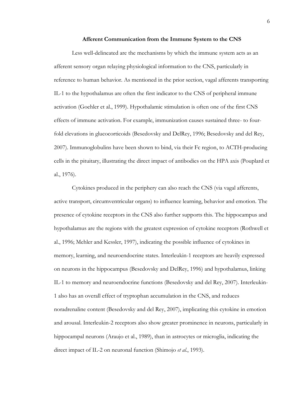#### **Afferent Communication from the Immune System to the CNS**

Less well-delineated are the mechanisms by which the immune system acts as an afferent sensory organ relaying physiological information to the CNS, particularly in reference to human behavior. As mentioned in the prior section, vagal afferents transporting IL-1 to the hypothalamus are often the first indicator to the CNS of peripheral immune activation (Goehler et al., 1999). Hypothalamic stimulation is often one of the first CNS effects of immune activation. For example, immunization causes sustained three- to fourfold elevations in glucocorticoids (Besedovsky and DelRey, 1996; Besedovsky and del Rey, 2007). Immunoglobulins have been shown to bind, via their Fc region, to ACTH-producing cells in the pituitary, illustrating the direct impact of antibodies on the HPA axis (Pouplard et al., 1976).

Cytokines produced in the periphery can also reach the CNS (via vagal afferents, active transport, circumventricular organs) to influence learning, behavior and emotion. The presence of cytokine receptors in the CNS also further supports this. The hippocampus and hypothalamus are the regions with the greatest expression of cytokine receptors (Rothwell et al., 1996; Mehler and Kessler, 1997), indicating the possible influence of cytokines in memory, learning, and neuroendocrine states. Interleukin-1 receptors are heavily expressed on neurons in the hippocampus (Besedovsky and DelRey, 1996) and hypothalamus, linking IL-1 to memory and neuroendocrine functions (Besedovsky and del Rey, 2007). Interleukin-1 also has an overall effect of tryptophan accumulation in the CNS, and reduces noradrenaline content (Besedovsky and del Rey, 2007), implicating this cytokine in emotion and arousal. Interleukin-2 receptors also show greater prominence in neurons, particularly in hippocampal neurons (Araujo et al., 1989), than in astrocytes or microglia, indicating the direct impact of IL-2 on neuronal function (Shimojo *et al.*, 1993).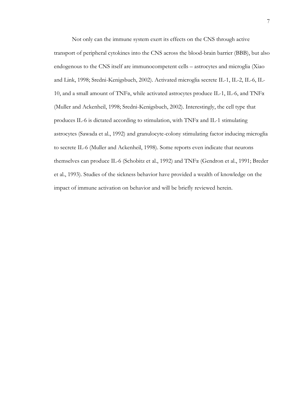Not only can the immune system exert its effects on the CNS through active transport of peripheral cytokines into the CNS across the blood-brain barrier (BBB), but also endogenous to the CNS itself are immunocompetent cells – astrocytes and microglia (Xiao and Link, 1998; Sredni-Kenigsbuch, 2002). Activated microglia secrete IL-1, IL-2, IL-6, IL-10, and a small amount of TNF $\alpha$ , while activated astrocytes produce IL-1, IL-6, and TNF $\alpha$ (Muller and Ackenheil, 1998; Sredni-Kenigsbuch, 2002). Interestingly, the cell type that produces IL-6 is dictated according to stimulation, with TNFα and IL-1 stimulating astrocytes (Sawada et al., 1992) and granulocyte-colony stimulating factor inducing microglia to secrete IL-6 (Muller and Ackenheil, 1998). Some reports even indicate that neurons themselves can produce IL-6 (Schobitz et al., 1992) and TNFα (Gendron et al., 1991; Breder et al., 1993). Studies of the sickness behavior have provided a wealth of knowledge on the impact of immune activation on behavior and will be briefly reviewed herein.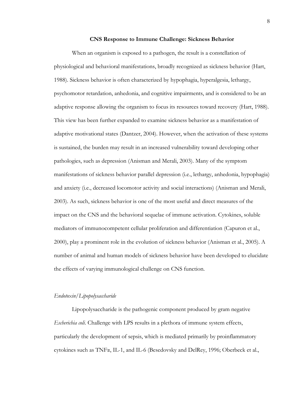#### **CNS Response to Immune Challenge: Sickness Behavior**

When an organism is exposed to a pathogen, the result is a constellation of physiological and behavioral manifestations, broadly recognized as sickness behavior (Hart, 1988). Sickness behavior is often characterized by hypophagia, hyperalgesia, lethargy, psychomotor retardation, anhedonia, and cognitive impairments, and is considered to be an adaptive response allowing the organism to focus its resources toward recovery (Hart, 1988). This view has been further expanded to examine sickness behavior as a manifestation of adaptive motivational states (Dantzer, 2004). However, when the activation of these systems is sustained, the burden may result in an increased vulnerability toward developing other pathologies, such as depression (Anisman and Merali, 2003). Many of the symptom manifestations of sickness behavior parallel depression (i.e., lethargy, anhedonia, hypophagia) and anxiety (i.e., decreased locomotor activity and social interactions) (Anisman and Merali, 2003). As such, sickness behavior is one of the most useful and direct measures of the impact on the CNS and the behavioral sequelae of immune activation. Cytokines, soluble mediators of immunocompetent cellular proliferation and differentiation (Capuron et al., 2000), play a prominent role in the evolution of sickness behavior (Anisman et al., 2005). A number of animal and human models of sickness behavior have been developed to elucidate the effects of varying immunological challenge on CNS function.

#### *Endotoxin/Lipopolysaccharide*

Lipopolysaccharide is the pathogenic component produced by gram negative *Escherichia coli*. Challenge with LPS results in a plethora of immune system effects, particularly the development of sepsis, which is mediated primarily by proinflammatory cytokines such as TNFα, IL-1, and IL-6 (Besedovsky and DelRey, 1996; Oberbeck et al.,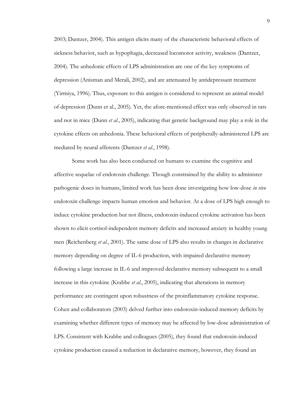2003; Dantzer, 2004). This antigen elicits many of the characteristic behavioral effects of sickness behavior, such as hypophagia, decreased locomotor activity, weakness (Dantzer, 2004). The anhedonic effects of LPS administration are one of the key symptoms of depression (Anisman and Merali, 2002), and are attenuated by antidepressant treatment (Yirmiya, 1996). Thus, exposure to this antigen is considered to represent an animal model of depression (Dunn et al., 2005). Yet, the afore-mentioned effect was only observed in rats and not in mice (Dunn *et al.*, 2005), indicating that genetic background may play a role in the cytokine effects on anhedonia. These behavioral effects of peripherally-administered LPS are mediated by neural afferents (Dantzer *et al.*, 1998).

Some work has also been conducted on humans to examine the cognitive and affective sequelae of endotoxin challenge. Though constrained by the ability to administer pathogenic doses in humans, limited work has been done investigating how low-dose *in vivo* endotoxin challenge impacts human emotion and behavior. At a dose of LPS high enough to induce cytokine production but not illness, endotoxin-induced cytokine activation has been shown to elicit cortisol-independent memory deficits and increased anxiety in healthy young men (Reichenberg *et al.*, 2001). The same dose of LPS also results in changes in declarative memory depending on degree of IL-6 production, with impaired declarative memory following a large increase in IL-6 and improved declarative memory subsequent to a small increase in this cytokine (Krabbe *et al.*, 2005), indicating that alterations in memory performance are contingent upon robustness of the proinflammatory cytokine response. Cohen and collaborators (2003) delved further into endotoxin-induced memory deficits by examining whether different types of memory may be affected by low-dose administration of LPS. Consistent with Krabbe and colleagues (2005), they found that endotoxin-induced cytokine production caused a reduction in declarative memory, however, they found an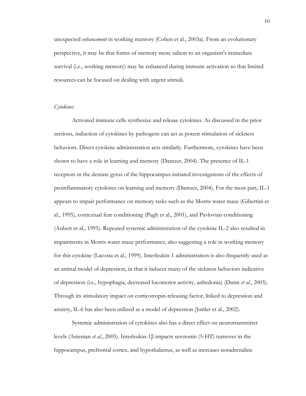unexpected *enhancement* in working memory (Cohen et al., 2003a). From an evolutionary perspective, it may be that forms of memory more salient to an organism's immediate survival (i.e., working memory) may be enhanced during immune activation so that limited resources can be focused on dealing with urgent stimuli.

#### *Cytokines*

Activated immune cells synthesize and release cytokines. As discussed in the prior sections, induction of cytokines by pathogens can act as potent stimulation of sickness behaviors. Direct cytokine administration acts similarly. Furthermore, cytokines have been shown to have a role in learning and memory (Dantzer, 2004). The presence of IL-1 receptors in the dentate gyrus of the hippocampus initiated investigations of the effects of proinflammatory cytokines on learning and memory (Dantzer, 2004). For the most part, IL-1 appears to impair performance on memory tasks such as the Morris water maze (Gibertini et al., 1995), contextual fear conditioning (Pugh et al., 2001), and Pavlovian conditioning (Aubert et al., 1995). Repeated systemic administration of the cytokine IL-2 also resulted in impairments in Morris water maze performance, also suggesting a role in working memory for this cytokine (Lacosta et al., 1999). Interleukin-1 administration is also frequently used as an animal model of depression, in that it induces many of the sickness behaviors indicative of depression (i.e., hypophagia, decreased locomotor activity, anhedonia) (Dunn *et al.*, 2005). Through its stimulatory impact on corticotropin-releasing factor, linked to depression and anxiety, IL-6 has also been utilized as a model of depression (Juttler et al., 2002).

Systemic administration of cytokines also has a direct effect on neurotransmitter levels (Anisman *et al.*, 2005). Interleukin-1β impacts serotonin (5-HT) turnover in the hippocampus, prefrontal cortex, and hypothalamus, as well as increases noradrenaline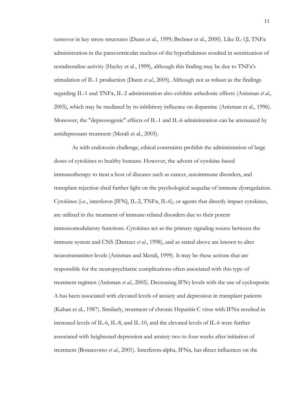turnover in key stress structures (Dunn et al., 1999; Brebner et al., 2000). Like IL-1β, TNFα administration in the paraventricular nucleus of the hypothalamus resulted in sensitization of noradrenaline activity (Hayley et al., 1999), although this finding may be due to  $TNF\alpha's$ stimulation of IL-1 production (Dunn *et al.*, 2005). Although not as robust as the findings regarding IL-1 and TNFα, IL-2 administration also exhibits anhedonic effects (Anisman *et al.*, 2005), which may be mediated by its inhibitory influence on dopamine (Anisman et al., 1996). Moreover, the "depressogenic" effects of IL-1 and IL-6 administration can be attenuated by antidepressant treatment (Merali et al., 2003).

As with endotoxin challenge, ethical constraints prohibit the administration of large doses of cytokines to healthy humans. However, the advent of cytokine-based immunotherapy to treat a host of diseases such as cancer, autoimmune disorders, and transplant rejection shed further light on the psychological sequelae of immune dysregulation. Cytokines (i.e., interferon [IFN], IL-2, TNFα, IL-6), or agents that directly impact cytokines, are utilized in the treatment of immune-related disorders due to their potent immunomodulatory functions. Cytokines act as the primary signaling source between the immune system and CNS (Dantzer *et al.*, 1998), and as stated above are known to alter neurotransmitter levels (Anisman and Merali, 1999). It may be these actions that are responsible for the neuropsychiatric complications often associated with this type of treatment regimen (Anisman *et al.*, 2005). Decreasing IFNγ levels with the use of cyclosporin A has been associated with elevated levels of anxiety and depression in transplant patients (Kahan et al., 1987). Similarly, treatment of chronic Hepatitis C virus with IFN $\alpha$  resulted in increased levels of IL-6, IL-8, and IL-10, and the elevated levels of IL-6 were further associated with heightened depression and anxiety two to four weeks after initiation of treatment (Bonaccorso *et al.*, 2001). Interferon-alpha, IFN $\alpha$ , has direct influences on the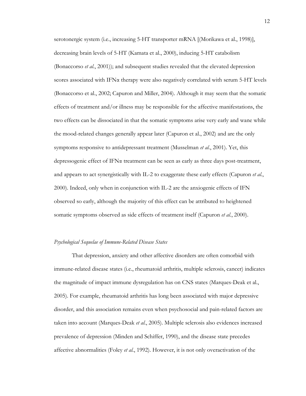serotonergic system (i.e., increasing 5-HT transporter mRNA [(Morikawa et al., 1998)], decreasing brain levels of 5-HT (Kamata et al., 2000), inducing 5-HT catabolism (Bonaccorso *et al.*, 2001)); and subsequent studies revealed that the elevated depression scores associated with IFNα therapy were also negatively correlated with serum 5-HT levels (Bonaccorso et al., 2002; Capuron and Miller, 2004). Although it may seem that the somatic effects of treatment and/or illness may be responsible for the affective manifestations, the two effects can be dissociated in that the somatic symptoms arise very early and wane while the mood-related changes generally appear later (Capuron et al., 2002) and are the only symptoms responsive to antidepressant treatment (Musselman *et al.*, 2001). Yet, this depressogenic effect of IFNα treatment can be seen as early as three days post-treatment, and appears to act synergistically with IL-2 to exaggerate these early effects (Capuron *et al.*, 2000). Indeed, only when in conjunction with IL-2 are the anxiogenic effects of IFN observed so early, although the majority of this effect can be attributed to heightened somatic symptoms observed as side effects of treatment itself (Capuron *et al.*, 2000).

#### *Psychological Sequelae of Immune-Related Disease States*

That depression, anxiety and other affective disorders are often comorbid with immune-related disease states (i.e., rheumatoid arthritis, multiple sclerosis, cancer) indicates the magnitude of impact immune dysregulation has on CNS states (Marques-Deak et al., 2005). For example, rheumatoid arthritis has long been associated with major depressive disorder, and this association remains even when psychosocial and pain-related factors are taken into account (Marques-Deak *et al.*, 2005). Multiple sclerosis also evidences increased prevalence of depression (Minden and Schiffer, 1990), and the disease state precedes affective abnormalities (Foley *et al.*, 1992). However, it is not only overactivation of the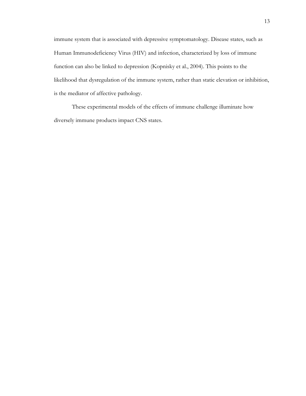immune system that is associated with depressive symptomatology. Disease states, such as Human Immunodeficiency Virus (HIV) and infection, characterized by loss of immune function can also be linked to depression (Kopnisky et al., 2004). This points to the likelihood that dysregulation of the immune system, rather than static elevation or inhibition, is the mediator of affective pathology.

These experimental models of the effects of immune challenge illuminate how diversely immune products impact CNS states.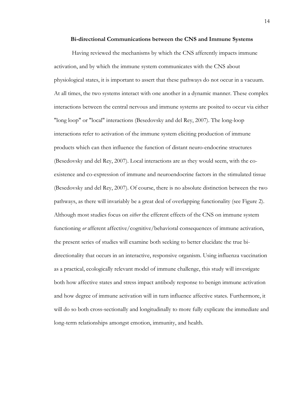#### **Bi-directional Communications between the CNS and Immune Systems**

Having reviewed the mechanisms by which the CNS afferently impacts immune activation, and by which the immune system communicates with the CNS about physiological states, it is important to assert that these pathways do not occur in a vacuum. At all times, the two systems interact with one another in a dynamic manner. These complex interactions between the central nervous and immune systems are posited to occur via either "long loop" or "local" interactions (Besedovsky and del Rey, 2007). The long-loop interactions refer to activation of the immune system eliciting production of immune products which can then influence the function of distant neuro-endocrine structures (Besedovsky and del Rey, 2007). Local interactions are as they would seem, with the coexistence and co-expression of immune and neuroendocrine factors in the stimulated tissue (Besedovsky and del Rey, 2007). Of course, there is no absolute distinction between the two pathways, as there will invariably be a great deal of overlapping functionality (see Figure 2). Although most studies focus on *either* the efferent effects of the CNS on immune system functioning *or* afferent affective/cognitive/behavioral consequences of immune activation, the present series of studies will examine both seeking to better elucidate the true bidirectionality that occurs in an interactive, responsive organism. Using influenza vaccination as a practical, ecologically relevant model of immune challenge, this study will investigate both how affective states and stress impact antibody response to benign immune activation and how degree of immune activation will in turn influence affective states. Furthermore, it will do so both cross-sectionally and longitudinally to more fully explicate the immediate and long-term relationships amongst emotion, immunity, and health.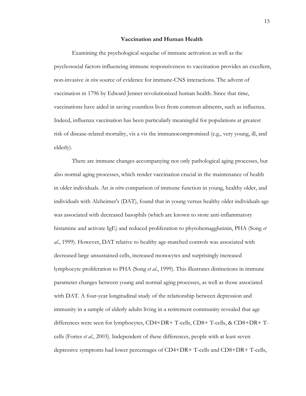#### **Vaccination and Human Health**

Examining the psychological sequelae of immune activation as well as the psychosocial factors influencing immune responsiveness to vaccination provides an excellent, non-invasive *in vivo* source of evidence for immune-CNS interactions. The advent of vaccination in 1796 by Edward Jenner revolutionized human health. Since that time, vaccinations have aided in saving countless lives from common ailments, such as influenza. Indeed, influenza vaccination has been particularly meaningful for populations at greatest risk of disease-related mortality, vis a vis the immunocompromised (e.g., very young, ill, and elderly).

There are immune changes accompanying not only pathological aging processes, but also normal aging processes, which render vaccination crucial in the maintenance of health in older individuals. An *in vitro* comparison of immune function in young, healthy older, and individuals with Alzheimer's (DAT), found that in young versus healthy older individuals age was associated with decreased basophils (which are known to store anti-inflammatory histamine and activate IgE) and reduced proliferation to phytohemagglutinin, PHA (Song *et al.*, 1999). However, DAT relative to healthy age-matched controls was associated with decreased large unsustained cells, increased monocytes and surprisingly increased lymphocyte proliferation to PHA (Song *et al.*, 1999). This illustrates distinctions in immune parameter changes between young and normal aging processes, as well as those associated with DAT. A four-year longitudinal study of the relationship between depression and immunity in a sample of elderly adults living in a retirement community revealed that age differences were seen for lymphocytes, CD4+DR+ T-cells, CD8+ T-cells, & CD8+DR+ Tcells (Fortes *et al.*, 2003). Independent of these differences, people with at least seven depressive symptoms had lower percentages of CD4+DR+ T-cells and CD8+DR+ T-cells,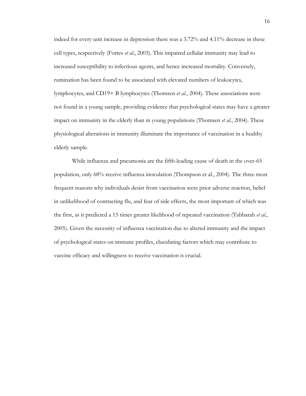indeed for every unit increase in depression there was a 3.72% and 4.11% decrease in these cell types, respectively (Fortes *et al.*, 2003). This impaired cellular immunity may lead to increased susceptibility to infectious agents, and hence increased mortality. Conversely, rumination has been found to be associated with elevated numbers of leukocytes, lymphocytes, and CD19+ B lymphocytes (Thomsen *et al.*, 2004). These associations were not found in a young sample, providing evidence that psychological states may have a greater impact on immunity in the elderly than in young populations (Thomsen *et al.*, 2004). These physiological alterations in immunity illuminate the importance of vaccination in a healthy elderly sample.

While influenza and pneumonia are the fifth-leading cause of death in the over-65 population, only 68% receive influenza inoculation (Thompson et al., 2004). The three most frequent reasons why individuals desist from vaccination were prior adverse reaction, belief in unlikelihood of contracting flu, and fear of side effects, the most important of which was the first, as it predicted a 15 times greater likelihood of repeated vaccination (Tabbarah *et al.*, 2005). Given the necessity of influenza vaccination due to altered immunity and the impact of psychological states on immune profiles, elucidating factors which may contribute to vaccine efficacy and willingness to receive vaccination is crucial.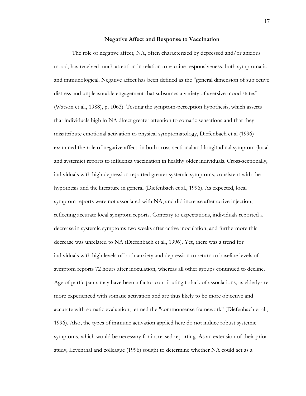#### **Negative Affect and Response to Vaccination**

The role of negative affect, NA, often characterized by depressed and/or anxious mood, has received much attention in relation to vaccine responsiveness, both symptomatic and immunological. Negative affect has been defined as the "general dimension of subjective distress and unpleasurable engagement that subsumes a variety of aversive mood states" (Watson et al., 1988), p. 1063). Testing the symptom-perception hypothesis, which asserts that individuals high in NA direct greater attention to somatic sensations and that they misattribute emotional activation to physical symptomatology, Diefenbach et al (1996) examined the role of negative affect in both cross-sectional and longitudinal symptom (local and systemic) reports to influenza vaccination in healthy older individuals. Cross-sectionally, individuals with high depression reported greater systemic symptoms, consistent with the hypothesis and the literature in general (Diefenbach et al., 1996). As expected, local symptom reports were not associated with NA, and did increase after active injection, reflecting accurate local symptom reports. Contrary to expectations, individuals reported a decrease in systemic symptoms two weeks after active inoculation, and furthermore this decrease was unrelated to NA (Diefenbach et al., 1996). Yet, there was a trend for individuals with high levels of both anxiety and depression to return to baseline levels of symptom reports 72 hours after inoculation, whereas all other groups continued to decline. Age of participants may have been a factor contributing to lack of associations, as elderly are more experienced with somatic activation and are thus likely to be more objective and accurate with somatic evaluation, termed the "commonsense framework" (Diefenbach et al., 1996). Also, the types of immune activation applied here do not induce robust systemic symptoms, which would be necessary for increased reporting. As an extension of their prior study, Leventhal and colleague (1996) sought to determine whether NA could act as a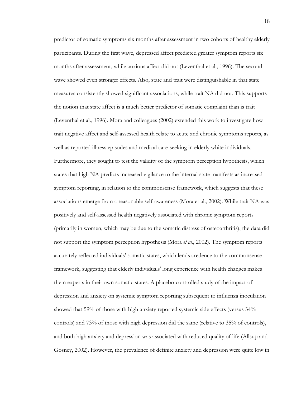predictor of somatic symptoms six months after assessment in two cohorts of healthy elderly participants. During the first wave, depressed affect predicted greater symptom reports six months after assessment, while anxious affect did not (Leventhal et al., 1996). The second wave showed even stronger effects. Also, state and trait were distinguishable in that state measures consistently showed significant associations, while trait NA did not. This supports the notion that state affect is a much better predictor of somatic complaint than is trait (Leventhal et al., 1996). Mora and colleagues (2002) extended this work to investigate how trait negative affect and self-assessed health relate to acute and chronic symptoms reports, as well as reported illness episodes and medical care-seeking in elderly white individuals. Furthermore, they sought to test the validity of the symptom perception hypothesis, which states that high NA predicts increased vigilance to the internal state manifests as increased symptom reporting, in relation to the commonsense framework, which suggests that these associations emerge from a reasonable self-awareness (Mora et al., 2002). While trait NA was positively and self-assessed health negatively associated with chronic symptom reports (primarily in women, which may be due to the somatic distress of osteoarthritis), the data did not support the symptom perception hypothesis (Mora *et al.*, 2002). The symptom reports accurately reflected individuals' somatic states, which lends credence to the commonsense framework, suggesting that elderly individuals' long experience with health changes makes them experts in their own somatic states. A placebo-controlled study of the impact of depression and anxiety on systemic symptom reporting subsequent to influenza inoculation showed that 59% of those with high anxiety reported systemic side effects (versus 34% controls) and 73% of those with high depression did the same (relative to 35% of controls), and both high anxiety and depression was associated with reduced quality of life (Allsup and Gosney, 2002). However, the prevalence of definite anxiety and depression were quite low in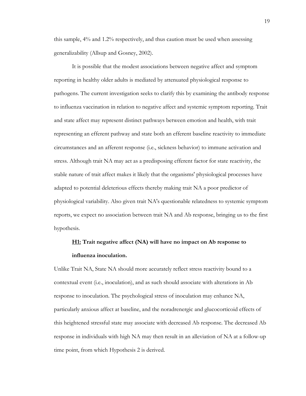this sample, 4% and 1.2% respectively, and thus caution must be used when assessing generalizability (Allsup and Gosney, 2002).

It is possible that the modest associations between negative affect and symptom reporting in healthy older adults is mediated by attenuated physiological response to pathogens. The current investigation seeks to clarify this by examining the antibody response to influenza vaccination in relation to negative affect and systemic symptom reporting. Trait and state affect may represent distinct pathways between emotion and health, with trait representing an efferent pathway and state both an efferent baseline reactivity to immediate circumstances and an afferent response (i.e., sickness behavior) to immune activation and stress. Although trait NA may act as a predisposing efferent factor for state reactivity, the stable nature of trait affect makes it likely that the organisms' physiological processes have adapted to potential deleterious effects thereby making trait NA a poor predictor of physiological variability. Also given trait NA's questionable relatedness to systemic symptom reports, we expect no association between trait NA and Ab response, bringing us to the first hypothesis.

### **H1: Trait negative affect (NA) will have no impact on Ab response to influenza inoculation.**

Unlike Trait NA, State NA should more accurately reflect stress reactivity bound to a contextual event (i.e., inoculation), and as such should associate with alterations in Ab response to inoculation. The psychological stress of inoculation may enhance NA, particularly anxious affect at baseline, and the noradrenergic and glucocorticoid effects of this heightened stressful state may associate with decreased Ab response. The decreased Ab response in individuals with high NA may then result in an alleviation of NA at a follow-up time point, from which Hypothesis 2 is derived.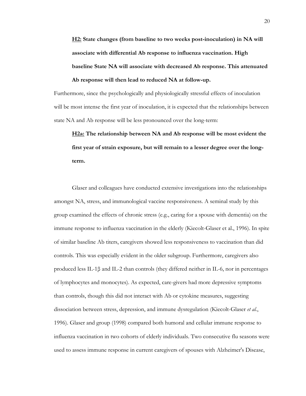**H2: State changes (from baseline to two weeks post-inoculation) in NA will associate with differential Ab response to influenza vaccination. High baseline State NA will associate with decreased Ab response. This attenuated Ab response will then lead to reduced NA at follow-up.**

Furthermore, since the psychologically and physiologically stressful effects of inoculation will be most intense the first year of inoculation, it is expected that the relationships between state NA and Ab response will be less pronounced over the long-term:

**H2a: The relationship between NA and Ab response will be most evident the first year of strain exposure, but will remain to a lesser degree over the longterm.**

Glaser and colleagues have conducted extensive investigations into the relationships amongst NA, stress, and immunological vaccine responsiveness. A seminal study by this group examined the effects of chronic stress (e.g., caring for a spouse with dementia) on the immune response to influenza vaccination in the elderly (Kiecolt-Glaser et al., 1996). In spite of similar baseline Ab titers, caregivers showed less responsiveness to vaccination than did controls. This was especially evident in the older subgroup. Furthermore, caregivers also produced less IL-1β and IL-2 than controls (they differed neither in IL-6, nor in percentages of lymphocytes and monocytes). As expected, care-givers had more depressive symptoms than controls, though this did not interact with Ab or cytokine measures, suggesting dissociation between stress, depression, and immune dysregulation (Kiecolt-Glaser *et al.*, 1996). Glaser and group (1998) compared both humoral and cellular immune response to influenza vaccination in two cohorts of elderly individuals. Two consecutive flu seasons were used to assess immune response in current caregivers of spouses with Alzheimer's Disease,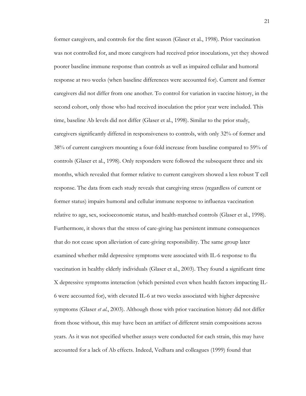former caregivers, and controls for the first season (Glaser et al., 1998). Prior vaccination was not controlled for, and more caregivers had received prior inoculations, yet they showed poorer baseline immune response than controls as well as impaired cellular and humoral response at two weeks (when baseline differences were accounted for). Current and former caregivers did not differ from one another. To control for variation in vaccine history, in the second cohort, only those who had received inoculation the prior year were included. This time, baseline Ab levels did not differ (Glaser et al., 1998). Similar to the prior study, caregivers significantly differed in responsiveness to controls, with only 32% of former and 38% of current caregivers mounting a four-fold increase from baseline compared to 59% of controls (Glaser et al., 1998). Only responders were followed the subsequent three and six months, which revealed that former relative to current caregivers showed a less robust T cell response. The data from each study reveals that caregiving stress (regardless of current or former status) impairs humoral and cellular immune response to influenza vaccination relative to age, sex, socioeconomic status, and health-matched controls (Glaser et al., 1998). Furthermore, it shows that the stress of care-giving has persistent immune consequences that do not cease upon alleviation of care-giving responsibility. The same group later examined whether mild depressive symptoms were associated with IL-6 response to flu vaccination in healthy elderly individuals (Glaser et al., 2003). They found a significant time X depressive symptoms interaction (which persisted even when health factors impacting IL-6 were accounted for), with elevated IL-6 at two weeks associated with higher depressive symptoms (Glaser *et al.*, 2003). Although those with prior vaccination history did not differ from those without, this may have been an artifact of different strain compositions across years. As it was not specified whether assays were conducted for each strain, this may have accounted for a lack of Ab effects. Indeed, Vedhara and colleagues (1999) found that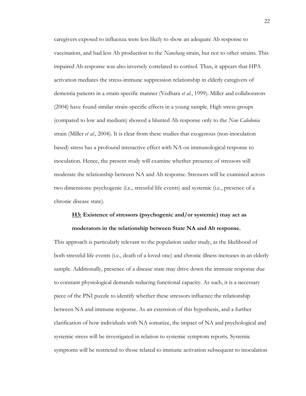caregivers exposed to influenza were less likely to show an adequate Ab response to vaccination, and had less Ab production to the *Nanchang* strain, but not to other strains. This impaired Ab response was also inversely correlated to cortisol. Thus, it appears that HPA activation mediates the stress-immune suppression relationship in elderly caregivers of dementia patients in a strain-specific manner (Vedhara *et al.*, 1999). Miller and collaborators (2004) have found similar strain-specific effects in a young sample. High stress groups (compared to low and medium) showed a blunted Ab response only to the *New Caledonia* strain (Miller *et al.*, 2004). It is clear from these studies that exogenous (non-inoculation based) stress has a profound interactive effect with NA on immunological response to inoculation. Hence, the present study will examine whether presence of stressors will moderate the relationship between NA and Ab response. Stressors will be examined across two dimensions: psychogenic (i.e., stressful life events) and systemic (i.e., presence of a chronic disease state).

#### **H3: Existence of stressors (psychogenic and/or systemic) may act as**

#### **moderators in the relationship between State NA and Ab response.**

This approach is particularly relevant to the population under study, as the likelihood of both stressful life events (i.e., death of a loved one) and chronic illness increases in an elderly sample. Additionally, presence of a disease state may drive down the immune response due to constant physiological demands reducing functional capacity. As such, it is a necessary piece of the PNI puzzle to identify whether these stressors influence the relationship between NA and immune response. As an extension of this hypothesis, and a further clarification of how individuals with NA somatize, the impact of NA and psychological and systemic stress will be investigated in relation to systemic symptom reports. Systemic symptoms will be restricted to those related to immune activation subsequent to inoculation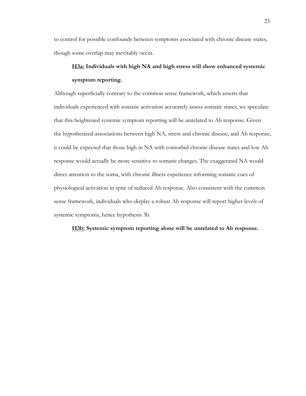to control for possible confounds between symptoms associated with chronic disease states, though some overlap may inevitably occur.

### **H3a: Individuals with high NA and high stress will show enhanced systemic symptom reporting.**

Although superficially contrary to the common sense framework, which asserts that individuals experienced with somatic activation accurately assess somatic states, we speculate that this heightened systemic symptom reporting will be unrelated to Ab response. Given the hypothesized associations between high NA, stress and chronic disease, and Ab response, it could be expected that those high in NA with comorbid chronic disease states and low Ab response would actually be more sensitive to somatic changes. The exaggerated NA would direct attention to the soma, with chronic illness experience informing somatic cues of physiological activation in spite of reduced Ab response. Also consistent with the common sense framework, individuals who display a robust Ab response will report higher levels of systemic symptoms, hence hypothesis 3b.

**H3b: Systemic symptom reporting alone will be unrelated to Ab response.**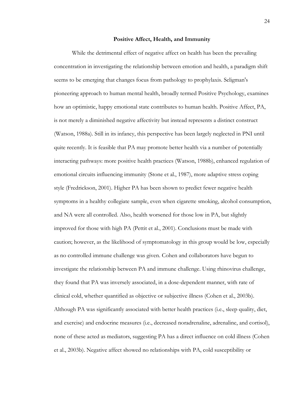#### **Positive Affect, Health, and Immunity**

While the detrimental effect of negative affect on health has been the prevailing concentration in investigating the relationship between emotion and health, a paradigm shift seems to be emerging that changes focus from pathology to prophylaxis. Seligman's pioneering approach to human mental health, broadly termed Positive Psychology, examines how an optimistic, happy emotional state contributes to human health. Positive Affect, PA, is not merely a diminished negative affectivity but instead represents a distinct construct (Watson, 1988a). Still in its infancy, this perspective has been largely neglected in PNI until quite recently. It is feasible that PA may promote better health via a number of potentially interacting pathways: more positive health practices (Watson, 1988b), enhanced regulation of emotional circuits influencing immunity (Stone et al., 1987), more adaptive stress coping style (Fredrickson, 2001). Higher PA has been shown to predict fewer negative health symptoms in a healthy collegiate sample, even when cigarette smoking, alcohol consumption, and NA were all controlled. Also, health worsened for those low in PA, but slightly improved for those with high PA (Pettit et al., 2001). Conclusions must be made with caution; however, as the likelihood of symptomatology in this group would be low, especially as no controlled immune challenge was given. Cohen and collaborators have begun to investigate the relationship between PA and immune challenge. Using rhinovirus challenge, they found that PA was inversely associated, in a dose-dependent manner, with rate of clinical cold, whether quantified as objective or subjective illness (Cohen et al., 2003b). Although PA was significantly associated with better health practices (i.e., sleep quality, diet, and exercise) and endocrine measures (i.e., decreased noradrenaline, adrenaline, and cortisol), none of these acted as mediators, suggesting PA has a direct influence on cold illness (Cohen et al., 2003b). Negative affect showed no relationships with PA, cold susceptibility or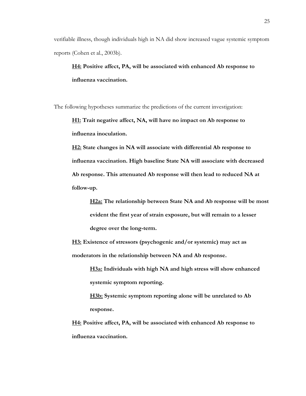verifiable illness, though individuals high in NA did show increased vague systemic symptom reports (Cohen et al., 2003b).

**H4: Positive affect, PA, will be associated with enhanced Ab response to influenza vaccination.** 

The following hypotheses summarize the predictions of the current investigation:

**H1: Trait negative affect, NA, will have no impact on Ab response to influenza inoculation.**

**H2: State changes in NA will associate with differential Ab response to influenza vaccination. High baseline State NA will associate with decreased Ab response. This attenuated Ab response will then lead to reduced NA at follow-up.**

**H2a: The relationship between State NA and Ab response will be most evident the first year of strain exposure, but will remain to a lesser degree over the long-term.**

**H3: Existence of stressors (psychogenic and/or systemic) may act as moderators in the relationship between NA and Ab response.**

> **H3a: Individuals with high NA and high stress will show enhanced systemic symptom reporting.**

**H3b: Systemic symptom reporting alone will be unrelated to Ab response.**

**H4: Positive affect, PA, will be associated with enhanced Ab response to influenza vaccination.**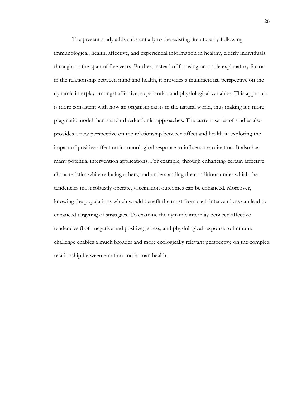The present study adds substantially to the existing literature by following immunological, health, affective, and experiential information in healthy, elderly individuals throughout the span of five years. Further, instead of focusing on a sole explanatory factor in the relationship between mind and health, it provides a multifactorial perspective on the dynamic interplay amongst affective, experiential, and physiological variables. This approach is more consistent with how an organism exists in the natural world, thus making it a more pragmatic model than standard reductionist approaches. The current series of studies also provides a new perspective on the relationship between affect and health in exploring the impact of positive affect on immunological response to influenza vaccination. It also has many potential intervention applications. For example, through enhancing certain affective characteristics while reducing others, and understanding the conditions under which the tendencies most robustly operate, vaccination outcomes can be enhanced. Moreover, knowing the populations which would benefit the most from such interventions can lead to enhanced targeting of strategies. To examine the dynamic interplay between affective tendencies (both negative and positive), stress, and physiological response to immune challenge enables a much broader and more ecologically relevant perspective on the complex relationship between emotion and human health.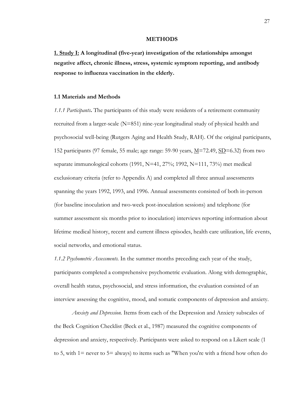## **METHODS**

**1. Study I: A longitudinal (five-year) investigation of the relationships amongst negative affect, chronic illness, stress, systemic symptom reporting, and antibody response to influenza vaccination in the elderly.**

## **1.1 Materials and Methods**

*1.1.1 Participants***.** The participants of this study were residents of a retirement community recruited from a larger-scale (N=851) nine-year longitudinal study of physical health and psychosocial well-being (Rutgers Aging and Health Study, RAH). Of the original participants, 152 participants (97 female, 55 male; age range: 59-90 years,  $\underline{M}$ =72.49,  $\underline{SD}$ =6.32) from two separate immunological cohorts (1991, N=41, 27%; 1992, N=111, 73%) met medical exclusionary criteria (refer to Appendix A) and completed all three annual assessments spanning the years 1992, 1993, and 1996. Annual assessments consisted of both in-person (for baseline inoculation and two-week post-inoculation sessions) and telephone (for summer assessment six months prior to inoculation) interviews reporting information about lifetime medical history, recent and current illness episodes, health care utilization, life events, social networks, and emotional status.

*1.1.2 Psychometric Assessments.* In the summer months preceding each year of the study, participants completed a comprehensive psychometric evaluation. Along with demographic, overall health status, psychosocial, and stress information, the evaluation consisted of an interview assessing the cognitive, mood, and somatic components of depression and anxiety.

*Anxiety and Depression.* Items from each of the Depression and Anxiety subscales of the Beck Cognition Checklist (Beck et al., 1987) measured the cognitive components of depression and anxiety, respectively. Participants were asked to respond on a Likert scale (1 to 5, with 1= never to 5= always) to items such as "When you're with a friend how often do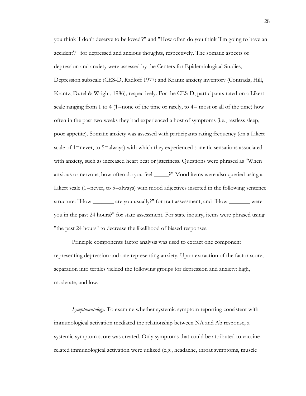you think 'I don't deserve to be loved'?" and "How often do you think 'I'm going to have an accident'?" for depressed and anxious thoughts, respectively. The somatic aspects of depression and anxiety were assessed by the Centers for Epidemiological Studies, Depression subscale (CES-D, Radloff 1977) and Krantz anxiety inventory (Contrada, Hill, Krantz, Durel & Wright, 1986), respectively. For the CES-D, participants rated on a Likert scale ranging from 1 to 4 (1=none of the time or rarely, to  $4=$  most or all of the time) how often in the past two weeks they had experienced a host of symptoms (i.e., restless sleep, poor appetite). Somatic anxiety was assessed with participants rating frequency (on a Likert scale of 1=never, to 5=always) with which they experienced somatic sensations associated with anxiety, such as increased heart beat or jitteriness. Questions were phrased as "When anxious or nervous, how often do you feel \_\_\_\_\_?" Mood items were also queried using a Likert scale (1=never, to 5=always) with mood adjectives inserted in the following sentence structure: "How \_\_\_\_\_\_\_ are you usually?" for trait assessment, and "How \_\_\_\_\_\_\_ were you in the past 24 hours?" for state assessment. For state inquiry, items were phrased using "the past 24 hours" to decrease the likelihood of biased responses.

Principle components factor analysis was used to extract one component representing depression and one representing anxiety. Upon extraction of the factor score, separation into tertiles yielded the following groups for depression and anxiety: high, moderate, and low.

*Symptomatology.* To examine whether systemic symptom reporting consistent with immunological activation mediated the relationship between NA and Ab response, a systemic symptom score was created. Only symptoms that could be attributed to vaccinerelated immunological activation were utilized (e.g., headache, throat symptoms, muscle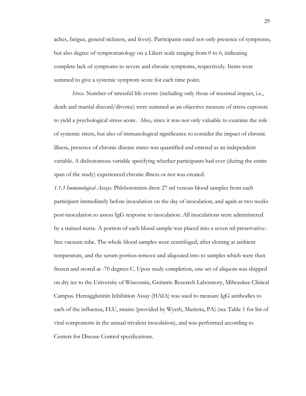aches, fatigue, general sickness, and fever). Participants rated not only presence of symptoms, but also degree of symptomatology on a Likert scale ranging from 0 to 6, indicating complete lack of symptoms to severe and chronic symptoms, respectively. Items were summed to give a systemic symptom score for each time point.

*Stress.* Number of stressful life events (including only those of maximal impact, i.e., death and martial discord/divorce) were summed as an objective measure of stress exposure to yield a psychological stress score. Also, since it was not only valuable to examine the role of systemic stress, but also of immunological significance to consider the impact of chronic illness, presence of chronic disease states was quantified and entered as an independent variable. A dichotomous variable specifying whether participants had ever (during the entire span of the study) experienced chronic illness or not was created.

*1.1.3 Immunological Assays.* Phlebotomists drew 27-ml venous blood samples from each participant immediately before inoculation on the day of inoculation, and again at two weeks post-inoculation to assess IgG response to inoculation. All inoculations were administered by a trained nurse. A portion of each blood sample was placed into a seven ml preservativefree vacuum tube. The whole blood samples were centrifuged, after clotting at ambient temperature, and the serum portion remove and aliqouted into to samples which were then frozen and stored at -70 degrees C. Upon study completion, one set of aliquots was shipped on dry ice to the University of Wisconsin, Geriatric Research Laboratory, Milwaukee Clinical Campus. Hemagglutinin Inhibition Assay (HAIA) was used to measure IgG antibodies to each of the influenza, FLU, strains (provided by Wyeth, Marietta, PA) (see Table 1 for list of viral components in the annual trivalent inoculation), and was performed according to Centers for Disease Control specifications.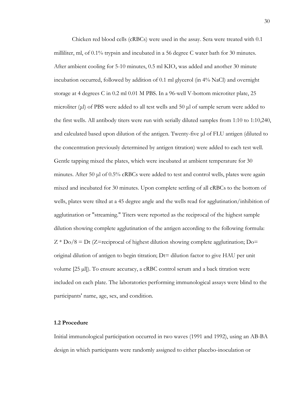Chicken red blood cells (cRBCs) were used in the assay. Sera were treated with 0.1 milliliter, ml, of 0.1% trypsin and incubated in a 56 degree C water bath for 30 minutes. After ambient cooling for 5-10 minutes,  $0.5$  ml KIO<sub>4</sub> was added and another 30 minute incubation occurred, followed by addition of 0.1 ml glycerol (in 4% NaCl) and overnight storage at 4 degrees C in 0.2 ml 0.01 M PBS. In a 96-well V-bottom microtiter plate, 25 microliter ( $\mu$ l) of PBS were added to all test wells and 50  $\mu$ l of sample serum were added to the first wells. All antibody titers were run with serially diluted samples from 1:10 to 1:10,240, and calculated based upon dilution of the antigen. Twenty-five μl of FLU antigen (diluted to the concentration previously determined by antigen titration) were added to each test well. Gentle tapping mixed the plates, which were incubated at ambient temperature for 30 minutes. After 50 μl of 0.5% cRBCs were added to test and control wells, plates were again mixed and incubated for 30 minutes. Upon complete settling of all cRBCs to the bottom of wells, plates were tilted at a 45 degree angle and the wells read for agglutination/inhibition of agglutination or "streaming." Titers were reported as the reciprocal of the highest sample dilution showing complete agglutination of the antigen according to the following formula:  $Z * Do/8 = Dt$  (Z=reciprocal of highest dilution showing complete agglutination; Do= original dilution of antigen to begin titration; Dt= dilution factor to give HAU per unit volume  $[25 \mu]$ ). To ensure accuracy, a cRBC control serum and a back titration were included on each plate. The laboratories performing immunological assays were blind to the participants' name, age, sex, and condition.

## **1.2 Procedure**

Initial immunological participation occurred in two waves (1991 and 1992), using an AB-BA design in which participants were randomly assigned to either placebo-inoculation or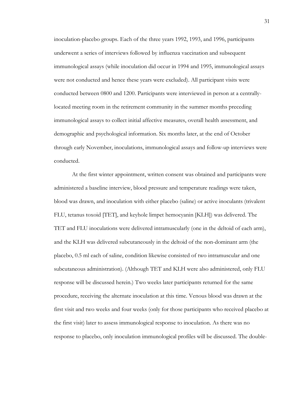inoculation-placebo groups. Each of the three years 1992, 1993, and 1996, participants underwent a series of interviews followed by influenza vaccination and subsequent immunological assays (while inoculation did occur in 1994 and 1995, immunological assays were not conducted and hence these years were excluded). All participant visits were conducted between 0800 and 1200. Participants were interviewed in person at a centrallylocated meeting room in the retirement community in the summer months preceding immunological assays to collect initial affective measures, overall health assessment, and demographic and psychological information. Six months later, at the end of October through early November, inoculations, immunological assays and follow-up interviews were conducted.

At the first winter appointment, written consent was obtained and participants were administered a baseline interview, blood pressure and temperature readings were taken, blood was drawn, and inoculation with either placebo (saline) or active inoculants (trivalent FLU, tetanus toxoid [TET], and keyhole limpet hemocyanin [KLH]) was delivered. The TET and FLU inoculations were delivered intramuscularly (one in the deltoid of each arm), and the KLH was delivered subcutaneously in the deltoid of the non-dominant arm (the placebo, 0.5 ml each of saline, condition likewise consisted of two intramuscular and one subcutaneous administration). (Although TET and KLH were also administered, only FLU response will be discussed herein.) Two weeks later participants returned for the same procedure, receiving the alternate inoculation at this time. Venous blood was drawn at the first visit and two weeks and four weeks (only for those participants who received placebo at the first visit) later to assess immunological response to inoculation. As there was no response to placebo, only inoculation immunological profiles will be discussed. The double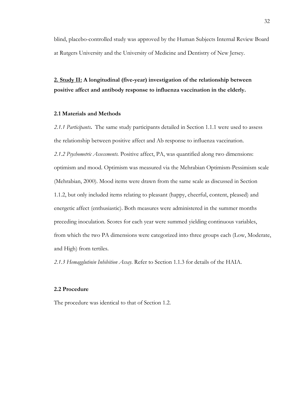blind, placebo-controlled study was approved by the Human Subjects Internal Review Board at Rutgers University and the University of Medicine and Dentistry of New Jersey.

**2. Study II: A longitudinal (five-year) investigation of the relationship between positive affect and antibody response to influenza vaccination in the elderly.**

#### **2.1 Materials and Methods**

*2.1.1 Participants***.** The same study participants detailed in Section 1.1.1 were used to assess the relationship between positive affect and Ab response to influenza vaccination. *2.1.2 Psychometric Assessments.* Positive affect, PA, was quantified along two dimensions: optimism and mood. Optimism was measured via the Mehrabian Optimism-Pessimism scale (Mehrabian, 2000). Mood items were drawn from the same scale as discussed in Section 1.1.2, but only included items relating to pleasant (happy, cheerful, content, pleased) and energetic affect (enthusiastic). Both measures were administered in the summer months preceding inoculation. Scores for each year were summed yielding continuous variables, from which the two PA dimensions were categorized into three groups each (Low, Moderate, and High) from tertiles.

*2.1.3 Hemagglutinin Inhibition Assay.* Refer to Section 1.1.3 for details of the HAIA.

## **2.2 Procedure**

The procedure was identical to that of Section 1.2.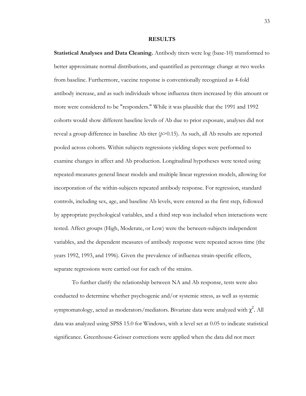#### **RESULTS**

**Statistical Analyses and Data Cleaning.** Antibody titers were log (base-10) transformed to better approximate normal distributions, and quantified as percentage change at two weeks from baseline. Furthermore, vaccine response is conventionally recognized as 4-fold antibody increase, and as such individuals whose influenza titers increased by this amount or more were considered to be "responders." While it was plausible that the 1991 and 1992 cohorts would show different baseline levels of Ab due to prior exposure, analyses did not reveal a group difference in baseline Ab titer  $(p>0.15)$ . As such, all Ab results are reported pooled across cohorts. Within subjects regressions yielding slopes were performed to examine changes in affect and Ab production. Longitudinal hypotheses were tested using repeated-measures general linear models and multiple linear regression models, allowing for incorporation of the within-subjects repeated antibody response. For regression, standard controls, including sex, age, and baseline Ab levels, were entered as the first step, followed by appropriate psychological variables, and a third step was included when interactions were tested. Affect groups (High, Moderate, or Low) were the between-subjects independent variables, and the dependent measures of antibody response were repeated across time (the years 1992, 1993, and 1996). Given the prevalence of influenza strain-specific effects, separate regressions were carried out for each of the strains.

To further clarify the relationship between NA and Ab response, tests were also conducted to determine whether psychogenic and/or systemic stress, as well as systemic symptomatology, acted as moderators/mediators. Bivariate data were analyzed with  $\chi^2$ . All data was analyzed using SPSS 15.0 for Windows, with  $\alpha$  level set at 0.05 to indicate statistical significance. Greenhouse-Geisser corrections were applied when the data did not meet

33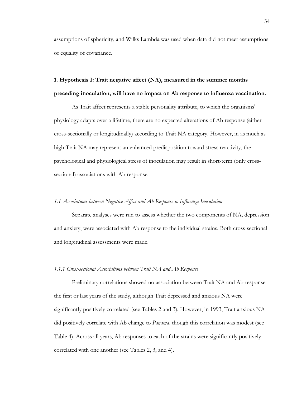assumptions of sphericity, and Wilks Lambda was used when data did not meet assumptions of equality of covariance.

# **1. Hypothesis I: Trait negative affect (NA), measured in the summer months preceding inoculation, will have no impact on Ab response to influenza vaccination.**

As Trait affect represents a stable personality attribute, to which the organisms' physiology adapts over a lifetime, there are no expected alterations of Ab response (either cross-sectionally or longitudinally) according to Trait NA category. However, in as much as high Trait NA may represent an enhanced predisposition toward stress reactivity, the psychological and physiological stress of inoculation may result in short-term (only crosssectional) associations with Ab response.

## *1.1 Associations between Negative Affect and Ab Response to Influenza Inoculation*

Separate analyses were run to assess whether the two components of NA, depression and anxiety, were associated with Ab response to the individual strains. Both cross-sectional and longitudinal assessments were made.

## *1.1.1 Cross-sectional Associations between Trait NA and Ab Response*

Preliminary correlations showed no association between Trait NA and Ab response the first or last years of the study, although Trait depressed and anxious NA were significantly positively correlated (see Tables 2 and 3). However, in 1993, Trait anxious NA did positively correlate with Ab change to *Panama,* though this correlation was modest (see Table 4). Across all years, Ab responses to each of the strains were significantly positively correlated with one another (see Tables 2, 3, and 4).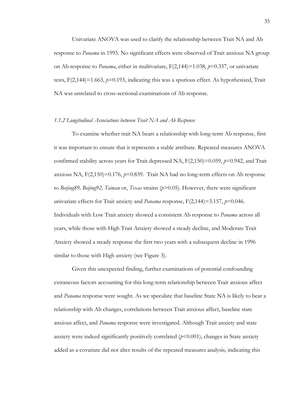Univariate ANOVA was used to clarify the relationship between Trait NA and Ab response to *Panama* in 1993. No significant effects were observed of Trait anxious NA group on Ab response to *Panama*, either in multivariate, F(2,144)=1.038, *p*=0.357, or univariate tests,  $F(2,144)=1.663$ ,  $p=0.193$ , indicating this was a spurious effect. As hypothesized, Trait NA was unrelated to cross-sectional examinations of Ab response.

#### *1.1.2 Longitudinal Associations between Trait NA and Ab Response*

To examine whether trait NA bears a relationship with long-term Ab response, first it was important to ensure that it represents a stable attribute. Repeated measures ANOVA confirmed stability across years for Trait depressed NA, F(2,150)=0.059, *p*=0.942, and Trait anxious NA,  $F(2,150)=0.176$ ,  $p=0.839$ . Trait NA had no long-term effects on Ab response to *Beijing89, Beijing92, Taiwan* or, *Texas* strains (*p*>0.05). However, there were significant univariate effects for Trait anxiety and *Panama* response, F(2,144)=3.157, *p*=0.046. Individuals with Low Trait anxiety showed a consistent Ab response to *Panama* across all years, while those with High Trait Anxiety showed a steady decline, and Moderate Trait Anxiety showed a steady response the first two years with a subsequent decline in 1996 similar to those with High anxiety (see Figure 3).

Given this unexpected finding, further examinations of potential confounding extraneous factors accounting for this long-term relationship between Trait anxious affect and *Panama* response were sought. As we speculate that baseline State NA is likely to bear a relationship with Ab changes, correlations between Trait anxious affect, baseline state anxious affect, and *Panama* response were investigated. Although Trait anxiety and state anxiety were indeed significantly positively correlated ( $p$ <0.001), changes in State anxiety added as a covariate did not alter results of the repeated measures analysis, indicating this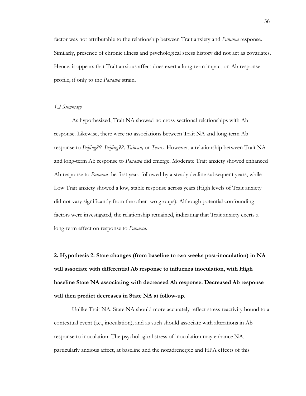factor was not attributable to the relationship between Trait anxiety and *Panama* response. Similarly, presence of chronic illness and psychological stress history did not act as covariates. Hence, it appears that Trait anxious affect does exert a long-term impact on Ab response profile, if only to the *Panama* strain.

## *1.2 Summary*

As hypothesized, Trait NA showed no cross-sectional relationships with Ab response. Likewise, there were no associations between Trait NA and long-term Ab response to *Beijing89, Beijing92, Taiwan,* or *Texas.* However, a relationship between Trait NA and long-term Ab response to *Panama* did emerge. Moderate Trait anxiety showed enhanced Ab response to *Panama* the first year, followed by a steady decline subsequent years, while Low Trait anxiety showed a low, stable response across years (High levels of Trait anxiety did not vary significantly from the other two groups). Although potential confounding factors were investigated, the relationship remained, indicating that Trait anxiety exerts a long-term effect on response to *Panama.*

**2. Hypothesis 2: State changes (from baseline to two weeks post-inoculation) in NA will associate with differential Ab response to influenza inoculation, with High baseline State NA associating with decreased Ab response. Decreased Ab response will then predict decreases in State NA at follow-up.**

Unlike Trait NA, State NA should more accurately reflect stress reactivity bound to a contextual event (i.e., inoculation), and as such should associate with alterations in Ab response to inoculation. The psychological stress of inoculation may enhance NA, particularly anxious affect, at baseline and the noradrenergic and HPA effects of this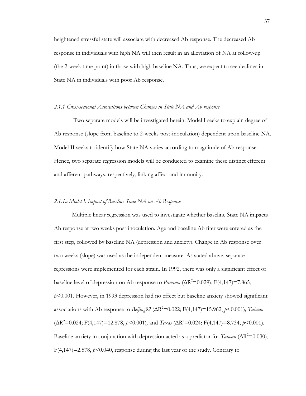heightened stressful state will associate with decreased Ab response. The decreased Ab response in individuals with high NA will then result in an alleviation of NA at follow-up (the 2-week time point) in those with high baseline NA. Thus, we expect to see declines in State NA in individuals with poor Ab response.

#### *2.1.1 Cross-sectional Associations between Changes in State NA and Ab response*

Two separate models will be investigated herein. Model I seeks to explain degree of Ab response (slope from baseline to 2-weeks post-inoculation) dependent upon baseline NA. Model II seeks to identify how State NA varies according to magnitude of Ab response. Hence, two separate regression models will be conducted to examine these distinct efferent and afferent pathways, respectively, linking affect and immunity.

## *2.1.1a Model I: Impact of Baseline State NA on Ab Response*

Multiple linear regression was used to investigate whether baseline State NA impacts Ab response at two weeks post-inoculation. Age and baseline Ab titer were entered as the first step, followed by baseline NA (depression and anxiety). Change in Ab response over two weeks (slope) was used as the independent measure. As stated above, separate regressions were implemented for each strain. In 1992, there was only a significant effect of baseline level of depression on Ab response to *Panama* ( $\Delta R^2$ =0.029), F(4,147)=7.865, *p*<0.001. However, in 1993 depression had no effect but baseline anxiety showed significant associations with Ab response to *Beijing92* ( $\Delta R^2$ =0.022; F(4,147)=15.962, *p*<0.001)*, Taiwan*  $(\Delta R^2 = 0.024; F(4,147) = 12.878, p \le 0.001)$ , and  $Texas (\Delta R^2 = 0.024; F(4,147) = 8.734, p \le 0.001)$ . Baseline anxiety in conjunction with depression acted as a predictor for  $T_{airan} (\Delta R^2 = 0.030)$ ,  $F(4,147) = 2.578$ ,  $p < 0.040$ , response during the last year of the study. Contrary to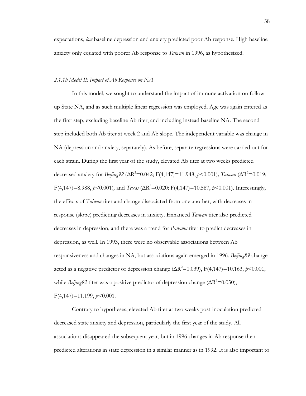expectations, *low* baseline depression and anxiety predicted poor Ab response. High baseline anxiety only equated with poorer Ab response to *Taiwan* in 1996, as hypothesized*.*

## *2.1.1b Model II: Impact of Ab Response on NA*

In this model, we sought to understand the impact of immune activation on followup State NA, and as such multiple linear regression was employed. Age was again entered as the first step, excluding baseline Ab titer, and including instead baseline NA. The second step included both Ab titer at week 2 and Ab slope. The independent variable was change in NA (depression and anxiety, separately). As before, separate regressions were carried out for each strain. During the first year of the study, elevated Ab titer at two weeks predicted decreased anxiety for *Beijing92* (ΔR<sup>2</sup>=0.042; F(4,147)=11.948, *p*<0.001)*, Taiwan* (ΔR<sup>2</sup>=0.019;  $F(4,147) = 8.988$ ,  $p \le 0.001$ ), and  $Texas$  ( $\Delta R^2 = 0.020$ ;  $F(4,147) = 10.587$ ,  $p \le 0.001$ ). Interestingly, the effects of *Taiwan* titer and change dissociated from one another, with decreases in response (slope) predicting decreases in anxiety. Enhanced *Taiwan* titer also predicted decreases in depression, and there was a trend for *Panama* titer to predict decreases in depression, as well. In 1993, there were no observable associations between Ab responsiveness and changes in NA, but associations again emerged in 1996. *Beijing89* change acted as a negative predictor of depression change  $(\Delta R^2 = 0.039)$ ,  $F(4,147) = 10.163$ ,  $p \le 0.001$ , while *Beijing92* titer was a positive predictor of depression change ( $\Delta R^2$ =0.030), F(4,147)=11.199, *p*<0.001.

Contrary to hypotheses, elevated Ab titer at two weeks post-inoculation predicted decreased state anxiety and depression, particularly the first year of the study. All associations disappeared the subsequent year, but in 1996 changes in Ab response then predicted alterations in state depression in a similar manner as in 1992. It is also important to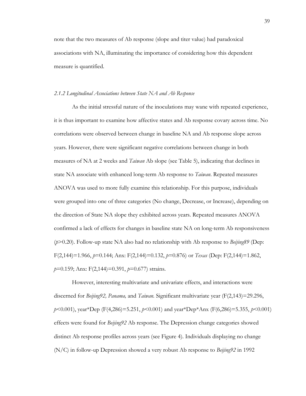note that the two measures of Ab response (slope and titer value) had paradoxical associations with NA, illuminating the importance of considering how this dependent measure is quantified.

#### *2.1.2 Longitudinal Associations between State NA and Ab Response*

As the initial stressful nature of the inoculations may wane with repeated experience, it is thus important to examine how affective states and Ab response covary across time. No correlations were observed between change in baseline NA and Ab response slope across years. However, there were significant negative correlations between change in both measures of NA at 2 weeks and *Taiwan* Ab slope (see Table 5), indicating that declines in state NA associate with enhanced long-term Ab response to *Taiwan*. Repeated measures ANOVA was used to more fully examine this relationship. For this purpose, individuals were grouped into one of three categories (No change, Decrease, or Increase), depending on the direction of State NA slope they exhibited across years. Repeated measures ANOVA confirmed a lack of effects for changes in baseline state NA on long-term Ab responsiveness (*p*>0.20). Follow-up state NA also had no relationship with Ab response to *Beijing89* (Dep: F(2,144)=1.966, *p*=0.144; Anx: F(2,144)=0.132, *p*=0.876) or *Texas* (Dep: F(2,144)=1.862, *p*=0.159; Anx: F(2,144)=0.391, *p*=0.677) strains.

However, interesting multivariate and univariate effects, and interactions were discerned for *Beijing92, Panama,* and *Taiwan.* Significant multivariate year (F(2,143)=29.296, *p*<0.001), year\*Dep (F(4,286)=5.251, *p*<0.001) and year\*Dep\*Anx (F(6,286)=5.355, *p*<0.001) effects were found for *Beijing92* Ab response. The Depression change categories showed distinct Ab response profiles across years (see Figure 4). Individuals displaying no change (N/C) in follow-up Depression showed a very robust Ab response to *Beijing92* in 1992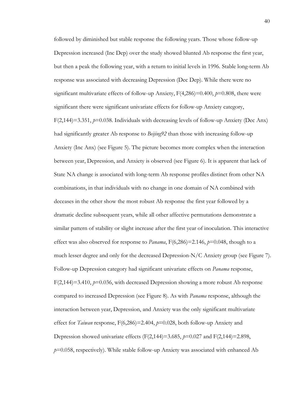followed by diminished but stable response the following years. Those whose follow-up Depression increased (Inc Dep) over the study showed blunted Ab response the first year, but then a peak the following year, with a return to initial levels in 1996. Stable long-term Ab response was associated with decreasing Depression (Dec Dep). While there were no significant multivariate effects of follow-up Anxiety, F(4,286)=0.400, *p*=0.808, there were significant there were significant univariate effects for follow-up Anxiety category, F(2,144)=3.351, *p*=0.038. Individuals with decreasing levels of follow-up Anxiety (Dec Anx) had significantly greater Ab response to *Beijing92* than those with increasing follow-up Anxiety (Inc Anx) (see Figure 5). The picture becomes more complex when the interaction between year, Depression, and Anxiety is observed (see Figure 6). It is apparent that lack of State NA change is associated with long-term Ab response profiles distinct from other NA combinations, in that individuals with no change in one domain of NA combined with deceases in the other show the most robust Ab response the first year followed by a dramatic decline subsequent years, while all other affective permutations demonstrate a similar pattern of stability or slight increase after the first year of inoculation. This interactive effect was also observed for response to *Panama*,  $F(6,286)=2.146$ ,  $p=0.048$ , though to a much lesser degree and only for the decreased Depression-N/C Anxiety group (see Figure 7). Follow-up Depression category had significant univariate effects on *Panama* response, F(2,144)=3.410, *p*=0.036, with decreased Depression showing a more robust Ab response compared to increased Depression (see Figure 8). As with *Panama* response, although the interaction between year, Depression, and Anxiety was the only significant multivariate effect for *Taiwan* response, F(6,286)=2.404, *p*=0.028, both follow-up Anxiety and Depression showed univariate effects (F(2,144)=3.685, *p*=0.027 and F(2,144)=2.898, *p*=0.058, respectively). While stable follow-up Anxiety was associated with enhanced Ab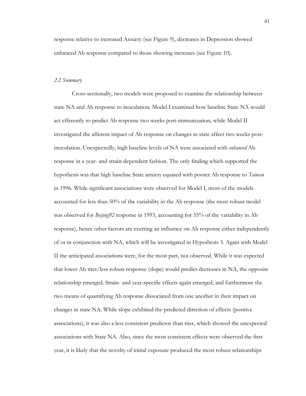response relative to increased Anxiety (see Figure 9), decreases in Depression showed enhanced Ab response compared to those showing increases (see Figure 10).

#### *2.2 Summary*

Cross-sectionally, two models were proposed to examine the relationship between state NA and Ab response to inoculation. Model I examined how baseline State NA would act efferently to predict Ab response two weeks post-immunization, while Model II investigated the afferent impact of Ab response on changes in state affect two weeks postinoculation. Unexpectedly, high baseline levels of NA were associated with *enhanced* Ab response in a year- and strain-dependent fashion. The only finding which supported the hypothesis was that high baseline State anxiety equated with poorer Ab response to *Taiwan* in 1996*.* While significant associations were observed for Model I, most of the models accounted for less than 50% of the variability in the Ab response (the most robust model was observed for *Beijing92* response in 1993, accounting for 55% of the variability in Ab response), hence other factors are exerting an influence on Ab response either independently of or in conjunction with NA, which will be investigated in Hypothesis 3. Again with Model II the anticipated associations were, for the most part, not observed. While it was expected that lower Ab titer/less robust response (slope) would predict decreases in NA, the opposite relationship emerged. Strain- and year-specific effects again emerged, and furthermore the two means of quantifying Ab response dissociated from one another in their impact on changes in state NA. While slope exhibited the predicted direction of effects (positive associations), it was also a less consistent predictor than titer, which showed the unexpected associations with State NA. Also, since the most consistent effects were observed the first year, it is likely that the novelty of initial exposure produced the most robust relationships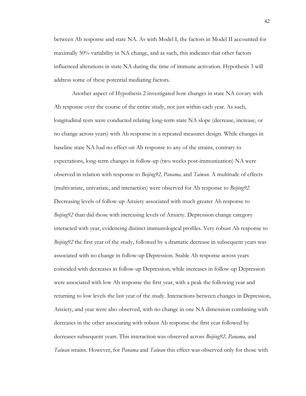between Ab response and state NA. As with Model I, the factors in Model II accounted for maximally 50% variability in NA change, and as such, this indicates that other factors influenced alterations in state NA during the time of immune activation. Hypothesis 3 will address some of these potential mediating factors.

Another aspect of Hypothesis 2 investigated how changes in state NA covary with Ab response over the course of the entire study, not just within each year. As such, longitudinal tests were conducted relating long-term state NA slope (decrease, increase, or no change across years) with Ab response in a repeated measures design. While changes in baseline state NA had no effect on Ab response to any of the strains, contrary to expectations, long-term changes in follow-up (two weeks post-immunization) NA were observed in relation with response to *Beijing92, Panama,* and *Taiwan*. A multitude of effects (multivariate, univariate, and interaction) were observed for Ab response to *Beijing92*. Decreasing levels of follow-up Anxiety associated with much greater Ab response to *Beijing92* than did those with increasing levels of Anxiety. Depression change category interacted with year, evidencing distinct immunological profiles. Very robust Ab response to *Beijing92* the first year of the study, followed by a dramatic decrease in subsequent years was associated with no change in follow-up Depression. Stable Ab response across years coincided with decreases in follow-up Depression; while increases in follow-up Depression were associated with low Ab response the first year, with a peak the following year and returning to low levels the last year of the study. Interactions between changes in Depression, Anxiety, and year were also observed, with no change in one NA dimension combining with decreases in the other associating with robust Ab response the first year followed by decreases subsequent years. This interaction was observed across *Beijing92, Panama,* and *Taiwan* strains. However, for *Panama* and *Taiwan* this effect was observed only for those with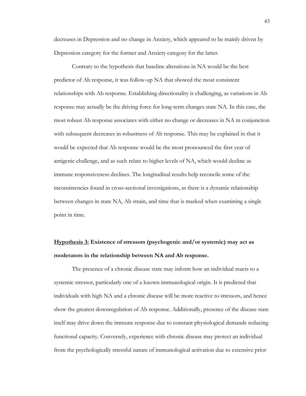decreases in Depression and no change in Anxiety, which appeared to be mainly driven by Depression category for the former and Anxiety category for the latter.

Contrary to the hypothesis that baseline alterations in NA would be the best predictor of Ab response, it was follow-up NA that showed the most consistent relationships with Ab response. Establishing directionality is challenging, as variations in Ab response may actually be the driving force for long-term changes state NA. In this case, the most robust Ab response associates with either no change or decreases in NA in conjunction with subsequent decreases in robustness of Ab response. This may be explained in that it would be expected that Ab response would be the most pronounced the first year of antigenic challenge, and as such relate to higher levels of NA, which would decline as immune responsiveness declines. The longitudinal results help reconcile some of the inconsistencies found in cross-sectional investigations, as there is a dynamic relationship between changes in state NA, Ab strain, and time that is masked when examining a single point in time.

# **Hypothesis 3: Existence of stressors (psychogenic and/or systemic) may act as moderators in the relationship between NA and Ab response.**

The presence of a chronic disease state may inform how an individual reacts to a systemic stressor, particularly one of a known immunological origin. It is predicted that individuals with high NA and a chronic disease will be more reactive to stressors, and hence show the greatest downregulation of Ab response. Additionally, presence of the disease state itself may drive down the immune response due to constant physiological demands reducing functional capacity. Conversely, experience with chronic disease may protect an individual from the psychologically stressful nature of immunological activation due to extensive prior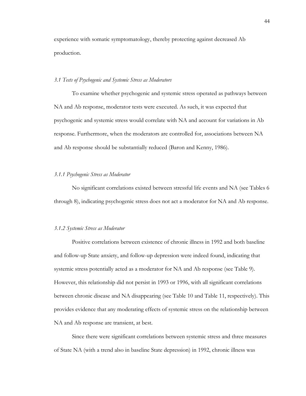experience with somatic symptomatology, thereby protecting against decreased Ab production.

#### *3.1 Tests of Psychogenic and Systemic Stress as Moderators*

To examine whether psychogenic and systemic stress operated as pathways between NA and Ab response, moderator tests were executed. As such, it was expected that psychogenic and systemic stress would correlate with NA and account for variations in Ab response. Furthermore, when the moderators are controlled for, associations between NA and Ab response should be substantially reduced (Baron and Kenny, 1986).

## *3.1.1 Psychogenic Stress as Moderator*

No significant correlations existed between stressful life events and NA (see Tables 6 through 8), indicating psychogenic stress does not act a moderator for NA and Ab response.

#### *3.1.2 Systemic Stress as Moderator*

Positive correlations between existence of chronic illness in 1992 and both baseline and follow-up State anxiety, and follow-up depression were indeed found, indicating that systemic stress potentially acted as a moderator for NA and Ab response (see Table 9). However, this relationship did not persist in 1993 or 1996, with all significant correlations between chronic disease and NA disappearing (see Table 10 and Table 11, respectively). This provides evidence that any moderating effects of systemic stress on the relationship between NA and Ab response are transient, at best.

Since there were significant correlations between systemic stress and three measures of State NA (with a trend also in baseline State depression) in 1992, chronic illness was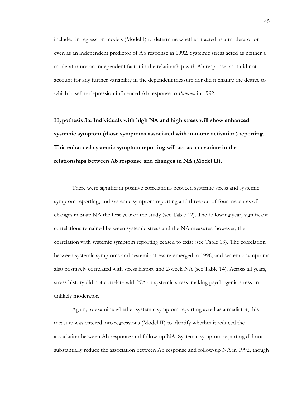included in regression models (Model I) to determine whether it acted as a moderator or even as an independent predictor of Ab response in 1992. Systemic stress acted as neither a moderator nor an independent factor in the relationship with Ab response, as it did not account for any further variability in the dependent measure nor did it change the degree to which baseline depression influenced Ab response to *Panama* in 1992.

**Hypothesis 3a: Individuals with high NA and high stress will show enhanced systemic symptom (those symptoms associated with immune activation) reporting. This enhanced systemic symptom reporting will act as a covariate in the relationships between Ab response and changes in NA (Model II).**

There were significant positive correlations between systemic stress and systemic symptom reporting, and systemic symptom reporting and three out of four measures of changes in State NA the first year of the study (see Table 12). The following year, significant correlations remained between systemic stress and the NA measures, however, the correlation with systemic symptom reporting ceased to exist (see Table 13). The correlation between systemic symptoms and systemic stress re-emerged in 1996, and systemic symptoms also positively correlated with stress history and 2-week NA (see Table 14). Across all years, stress history did not correlate with NA or systemic stress, making psychogenic stress an unlikely moderator.

Again, to examine whether systemic symptom reporting acted as a mediator, this measure was entered into regressions (Model II) to identify whether it reduced the association between Ab response and follow-up NA. Systemic symptom reporting did not substantially reduce the association between Ab response and follow-up NA in 1992, though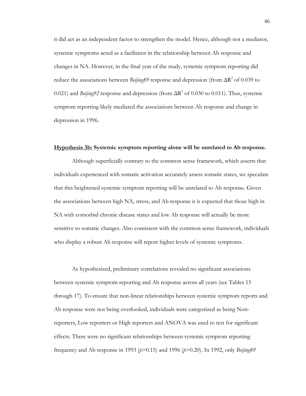it did act as an independent factor to strengthen the model. Hence, although not a mediator, systemic symptoms acted as a facilitator in the relationship between Ab response and changes in NA. However, in the final year of the study, systemic symptom reporting did reduce the associations between  $\frac{Be\ddot{\jmath} \dot{\jmath} \eta g89}{s}$  response and depression (from  $\Delta R^2$  of 0.039 to 0.021) and *Beijing92* response and depression (from  $\Delta R^2$  of 0.030 to 0.011). Thus, systemic symptom reporting likely mediated the associations between Ab response and change in depression in 1996.

#### **Hypothesis 3b: Systemic symptom reporting alone will be unrelated to Ab response.**

Although superficially contrary to the common sense framework, which asserts that individuals experienced with somatic activation accurately assess somatic states, we speculate that this heightened systemic symptom reporting will be unrelated to Ab response. Given the associations between high NA, stress, and Ab response it is expected that those high in NA with comorbid chronic disease states and low Ab response will actually be more sensitive to somatic changes. Also consistent with the common sense framework, individuals who display a robust Ab response will report higher levels of systemic symptoms.

As hypothesized, preliminary correlations revealed no significant associations between systemic symptom reporting and Ab response across all years (see Tables 15 through 17). To ensure that non-linear relationships between systemic symptom reports and Ab response were not being overlooked, individuals were categorized as being Nonreporters, Low reporters or High reporters and ANOVA was used to test for significant effects. There were no significant relationships between systemic symptom reporting frequency and Ab response in 1993 (*p*>0.15) and 1996 (*p*>0.20). In 1992, only *Beijing89*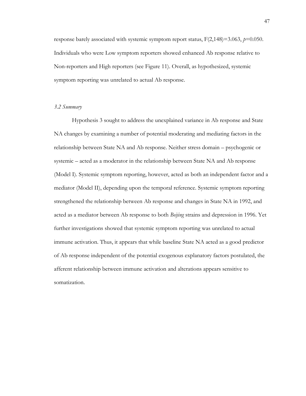response barely associated with systemic symptom report status, F(2,148)=3.063, *p*=0.050. Individuals who were Low symptom reporters showed enhanced Ab response relative to Non-reporters and High reporters (see Figure 11). Overall, as hypothesized, systemic symptom reporting was unrelated to actual Ab response.

# *3.2 Summary*

Hypothesis 3 sought to address the unexplained variance in Ab response and State NA changes by examining a number of potential moderating and mediating factors in the relationship between State NA and Ab response. Neither stress domain – psychogenic or systemic – acted as a moderator in the relationship between State NA and Ab response (Model I). Systemic symptom reporting, however, acted as both an independent factor and a mediator (Model II), depending upon the temporal reference. Systemic symptom reporting strengthened the relationship between Ab response and changes in State NA in 1992, and acted as a mediator between Ab response to both *Beijing* strains and depression in 1996. Yet further investigations showed that systemic symptom reporting was unrelated to actual immune activation. Thus, it appears that while baseline State NA acted as a good predictor of Ab response independent of the potential exogenous explanatory factors postulated, the afferent relationship between immune activation and alterations appears sensitive to somatization.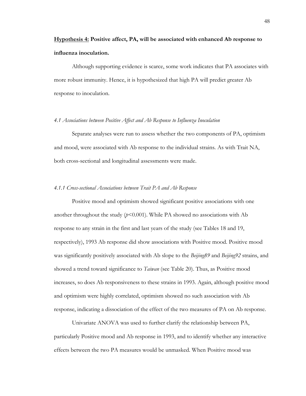# **Hypothesis 4: Positive affect, PA, will be associated with enhanced Ab response to influenza inoculation.**

Although supporting evidence is scarce, some work indicates that PA associates with more robust immunity. Hence, it is hypothesized that high PA will predict greater Ab response to inoculation.

#### *4.1 Associations between Positive Affect and Ab Response to Influenza Inoculation*

Separate analyses were run to assess whether the two components of PA, optimism and mood, were associated with Ab response to the individual strains. As with Trait NA, both cross-sectional and longitudinal assessments were made.

#### *4.1.1 Cross-sectional Associations between Trait PA and Ab Response*

Positive mood and optimism showed significant positive associations with one another throughout the study  $(p<0.001)$ . While PA showed no associations with Ab response to any strain in the first and last years of the study (see Tables 18 and 19, respectively), 1993 Ab response did show associations with Positive mood. Positive mood was significantly positively associated with Ab slope to the *Beijing89* and *Beijing92* strains, and showed a trend toward significance to *Taiwan* (see Table 20). Thus, as Positive mood increases, so does Ab responsiveness to these strains in 1993. Again, although positive mood and optimism were highly correlated, optimism showed no such association with Ab response, indicating a dissociation of the effect of the two measures of PA on Ab response.

Univariate ANOVA was used to further clarify the relationship between PA, particularly Positive mood and Ab response in 1993, and to identify whether any interactive effects between the two PA measures would be unmasked. When Positive mood was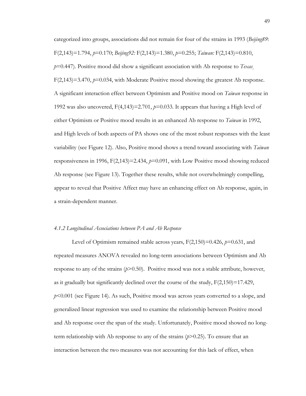categorized into groups, associations did not remain for four of the strains in 1993 (*Beijing89*: F(2,143)=1.794, *p*=0.170; *Beijing92:* F(2,143)=1.380, *p*=0.255; *Taiwan:* F(2,143)=0.810, *p*=0.447). Positive mood did show a significant association with Ab response to *Texas¸* F(2,143)=3.470, *p*=0.034, with Moderate Positive mood showing the greatest Ab response. A significant interaction effect between Optimism and Positive mood on *Taiwan* response in 1992 was also uncovered, F(4,143)=2.701, *p*=0.033. It appears that having a High level of either Optimism or Positive mood results in an enhanced Ab response to *Taiwan* in 1992, and High levels of both aspects of PA shows one of the most robust responses with the least variability (see Figure 12). Also, Positive mood shows a trend toward associating with *Taiwan*  responsiveness in 1996, F(2,143)=2.434, *p*=0.091, with Low Positive mood showing reduced Ab response (see Figure 13). Together these results, while not overwhelmingly compelling, appear to reveal that Positive Affect may have an enhancing effect on Ab response, again, in a strain-dependent manner.

#### *4.1.2 Longitudinal Associations between PA and Ab Response*

Level of Optimism remained stable across years, F(2,150)=0.426, *p*=0.631, and repeated measures ANOVA revealed no long-term associations between Optimism and Ab response to any of the strains (*p*>0.50). Positive mood was not a stable attribute, however, as it gradually but significantly declined over the course of the study,  $F(2,150)=17.429$ , *p*<0.001 (see Figure 14). As such, Positive mood was across years converted to a slope, and generalized linear regression was used to examine the relationship between Positive mood and Ab response over the span of the study. Unfortunately, Positive mood showed no longterm relationship with Ab response to any of the strains (*p*>0.25). To ensure that an interaction between the two measures was not accounting for this lack of effect, when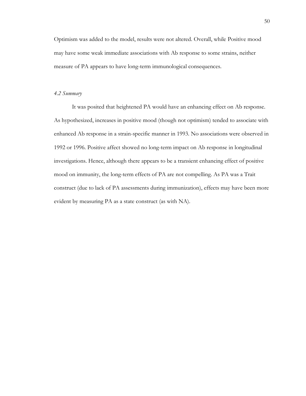Optimism was added to the model, results were not altered. Overall, while Positive mood may have some weak immediate associations with Ab response to some strains, neither measure of PA appears to have long-term immunological consequences.

## *4.2 Summary*

It was posited that heightened PA would have an enhancing effect on Ab response. As hypothesized, increases in positive mood (though not optimism) tended to associate with enhanced Ab response in a strain-specific manner in 1993. No associations were observed in 1992 or 1996. Positive affect showed no long-term impact on Ab response in longitudinal investigations. Hence, although there appears to be a transient enhancing effect of positive mood on immunity, the long-term effects of PA are not compelling. As PA was a Trait construct (due to lack of PA assessments during immunization), effects may have been more evident by measuring PA as a state construct (as with NA).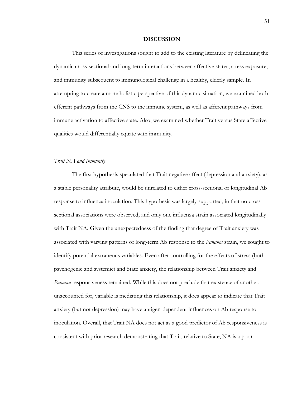#### **DISCUSSION**

This series of investigations sought to add to the existing literature by delineating the dynamic cross-sectional and long-term interactions between affective states, stress exposure, and immunity subsequent to immunological challenge in a healthy, elderly sample. In attempting to create a more holistic perspective of this dynamic situation, we examined both efferent pathways from the CNS to the immune system, as well as afferent pathways from immune activation to affective state. Also, we examined whether Trait versus State affective qualities would differentially equate with immunity.

#### *Trait NA and Immunity*

The first hypothesis speculated that Trait negative affect (depression and anxiety), as a stable personality attribute, would be unrelated to either cross-sectional or longitudinal Ab response to influenza inoculation. This hypothesis was largely supported, in that no crosssectional associations were observed, and only one influenza strain associated longitudinally with Trait NA. Given the unexpectedness of the finding that degree of Trait anxiety was associated with varying patterns of long-term Ab response to the *Panama* strain, we sought to identify potential extraneous variables. Even after controlling for the effects of stress (both psychogenic and systemic) and State anxiety, the relationship between Trait anxiety and *Panama* responsiveness remained. While this does not preclude that existence of another, unaccounted for, variable is mediating this relationship, it does appear to indicate that Trait anxiety (but not depression) may have antigen-dependent influences on Ab response to inoculation. Overall, that Trait NA does not act as a good predictor of Ab responsiveness is consistent with prior research demonstrating that Trait, relative to State, NA is a poor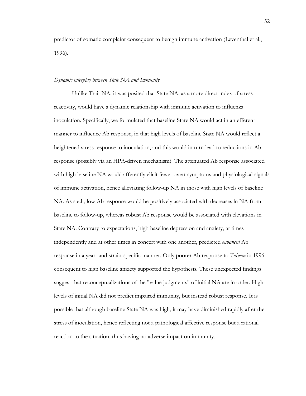predictor of somatic complaint consequent to benign immune activation (Leventhal et al., 1996).

#### *Dynamic interplay between State NA and Immunity*

Unlike Trait NA, it was posited that State NA, as a more direct index of stress reactivity, would have a dynamic relationship with immune activation to influenza inoculation. Specifically, we formulated that baseline State NA would act in an efferent manner to influence Ab response, in that high levels of baseline State NA would reflect a heightened stress response to inoculation, and this would in turn lead to reductions in Ab response (possibly via an HPA-driven mechanism). The attenuated Ab response associated with high baseline NA would afferently elicit fewer overt symptoms and physiological signals of immune activation, hence alleviating follow-up NA in those with high levels of baseline NA. As such, low Ab response would be positively associated with decreases in NA from baseline to follow-up, whereas robust Ab response would be associated with elevations in State NA. Contrary to expectations, high baseline depression and anxiety, at times independently and at other times in concert with one another, predicted *enhanced* Ab response in a year- and strain-specific manner. Only poorer Ab response to *Taiwan* in 1996 consequent to high baseline anxiety supported the hypothesis*.* These unexpected findings suggest that reconceptualizations of the "value judgments" of initial NA are in order. High levels of initial NA did not predict impaired immunity, but instead robust response. It is possible that although baseline State NA was high, it may have diminished rapidly after the stress of inoculation, hence reflecting not a pathological affective response but a rational reaction to the situation, thus having no adverse impact on immunity.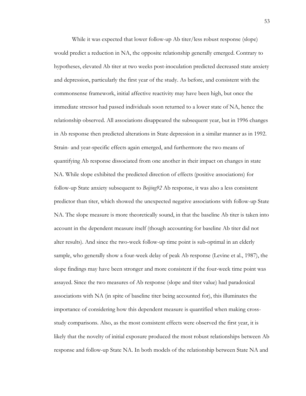While it was expected that lower follow-up Ab titer/less robust response (slope) would predict a reduction in NA, the opposite relationship generally emerged. Contrary to hypotheses, elevated Ab titer at two weeks post-inoculation predicted decreased state anxiety and depression, particularly the first year of the study. As before, and consistent with the commonsense framework, initial affective reactivity may have been high, but once the immediate stressor had passed individuals soon returned to a lower state of NA, hence the relationship observed. All associations disappeared the subsequent year, but in 1996 changes in Ab response then predicted alterations in State depression in a similar manner as in 1992. Strain- and year-specific effects again emerged, and furthermore the two means of quantifying Ab response dissociated from one another in their impact on changes in state NA. While slope exhibited the predicted direction of effects (positive associations) for follow-up State anxiety subsequent to *Beijing92* Ab response, it was also a less consistent predictor than titer, which showed the unexpected negative associations with follow-up State NA. The slope measure is more theoretically sound, in that the baseline Ab titer is taken into account in the dependent measure itself (though accounting for baseline Ab titer did not alter results). And since the two-week follow-up time point is sub-optimal in an elderly sample, who generally show a four-week delay of peak Ab response (Levine et al., 1987), the slope findings may have been stronger and more consistent if the four-week time point was assayed. Since the two measures of Ab response (slope and titer value) had paradoxical associations with NA (in spite of baseline titer being accounted for), this illuminates the importance of considering how this dependent measure is quantified when making crossstudy comparisons. Also, as the most consistent effects were observed the first year, it is likely that the novelty of initial exposure produced the most robust relationships between Ab response and follow-up State NA. In both models of the relationship between State NA and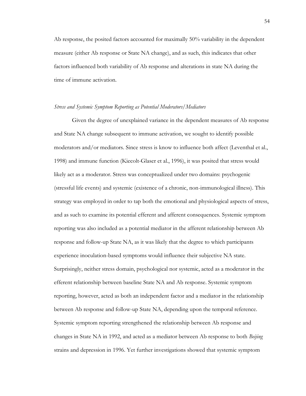Ab response, the posited factors accounted for maximally 50% variability in the dependent measure (either Ab response or State NA change), and as such, this indicates that other factors influenced both variability of Ab response and alterations in state NA during the time of immune activation.

### *Stress and Systemic Symptom Reporting as Potential Moderators/Mediators*

Given the degree of unexplained variance in the dependent measures of Ab response and State NA change subsequent to immune activation, we sought to identify possible moderators and/or mediators. Since stress is know to influence both affect (Leventhal et al., 1998) and immune function (Kiecolt-Glaser et al., 1996), it was posited that stress would likely act as a moderator. Stress was conceptualized under two domains: psychogenic (stressful life events) and systemic (existence of a chronic, non-immunological illness). This strategy was employed in order to tap both the emotional and physiological aspects of stress, and as such to examine its potential efferent and afferent consequences. Systemic symptom reporting was also included as a potential mediator in the afferent relationship between Ab response and follow-up State NA, as it was likely that the degree to which participants experience inoculation-based symptoms would influence their subjective NA state. Surprisingly, neither stress domain, psychological nor systemic, acted as a moderator in the efferent relationship between baseline State NA and Ab response. Systemic symptom reporting, however, acted as both an independent factor and a mediator in the relationship between Ab response and follow-up State NA, depending upon the temporal reference. Systemic symptom reporting strengthened the relationship between Ab response and changes in State NA in 1992, and acted as a mediator between Ab response to both *Beijing*  strains and depression in 1996. Yet further investigations showed that systemic symptom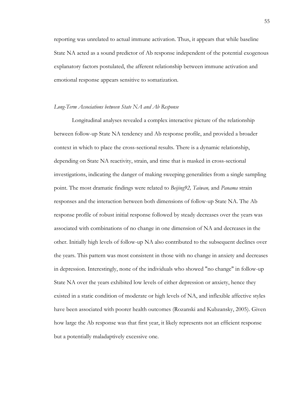reporting was unrelated to actual immune activation. Thus, it appears that while baseline State NA acted as a sound predictor of Ab response independent of the potential exogenous explanatory factors postulated, the afferent relationship between immune activation and emotional response appears sensitive to somatization.

### *Long-Term Associations between State NA and Ab Response*

Longitudinal analyses revealed a complex interactive picture of the relationship between follow-up State NA tendency and Ab response profile, and provided a broader context in which to place the cross-sectional results. There is a dynamic relationship, depending on State NA reactivity, strain, and time that is masked in cross-sectional investigations, indicating the danger of making sweeping generalities from a single sampling point. The most dramatic findings were related to *Beijing92, Taiwan,* and *Panama* strain responses and the interaction between both dimensions of follow-up State NA. The Ab response profile of robust initial response followed by steady decreases over the years was associated with combinations of no change in one dimension of NA and decreases in the other. Initially high levels of follow-up NA also contributed to the subsequent declines over the years. This pattern was most consistent in those with no change in anxiety and decreases in depression. Interestingly, none of the individuals who showed "no change" in follow-up State NA over the years exhibited low levels of either depression or anxiety, hence they existed in a static condition of moderate or high levels of NA, and inflexible affective styles have been associated with poorer health outcomes (Rozanski and Kubzansky, 2005). Given how large the Ab response was that first year, it likely represents not an efficient response but a potentially maladaptively excessive one.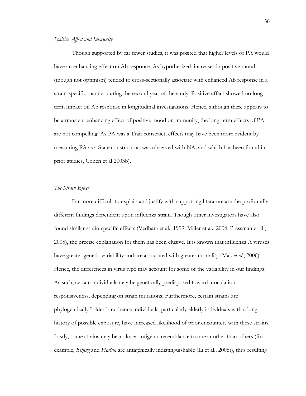## *Positive Affect and Immunity*

Though supported by far fewer studies, it was posited that higher levels of PA would have an enhancing effect on Ab response. As hypothesized, increases in positive mood (though not optimism) tended to cross-sectionally associate with enhanced Ab response in a strain-specific manner during the second year of the study. Positive affect showed no longterm impact on Ab response in longitudinal investigations. Hence, although there appears to be a transient enhancing effect of positive mood on immunity, the long-term effects of PA are not compelling. As PA was a Trait construct, effects may have been more evident by measuring PA as a State construct (as was observed with NA, and which has been found in prior studies, Cohen et al 2003b).

## *The Strain Effect*

Far more difficult to explain and justify with supporting literature are the profoundly different findings dependent upon influenza strain. Though other investigators have also found similar strain-specific effects (Vedhara et al., 1999; Miller et al., 2004; Pressman et al., 2005), the precise explanation for them has been elusive. It is known that influenza A viruses have greater genetic variability and are associated with greater mortality (Mak *et al.*, 2006). Hence, the differences in virus type may account for some of the variability in our findings. As such, certain individuals may be genetically predisposed toward inoculation responsiveness, depending on strain mutations. Furthermore, certain strains are phylogentically "older" and hence individuals, particularly elderly individuals with a long history of possible exposure, have increased likelihood of prior encounters with these strains. Lastly, some strains may bear closer antigenic resemblance to one another than others (for example, *Beijing* and *Harbin* are antigenically indistinguishable (Li et al., 2008)), thus resulting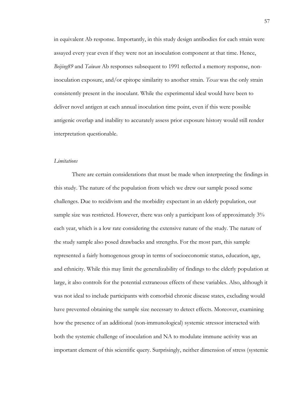in equivalent Ab response. Importantly, in this study design antibodies for each strain were assayed every year even if they were not an inoculation component at that time. Hence, *Beijing89* and *Taiwan* Ab responses subsequent to 1991 reflected a memory response, noninoculation exposure, and/or epitope similarity to another strain. *Texas* was the only strain consistently present in the inoculant. While the experimental ideal would have been to deliver novel antigen at each annual inoculation time point, even if this were possible antigenic overlap and inability to accurately assess prior exposure history would still render interpretation questionable.

## *Limitations*

There are certain considerations that must be made when interpreting the findings in this study. The nature of the population from which we drew our sample posed some challenges. Due to recidivism and the morbidity expectant in an elderly population, our sample size was restricted. However, there was only a participant loss of approximately  $3\%$ each year, which is a low rate considering the extensive nature of the study. The nature of the study sample also posed drawbacks and strengths. For the most part, this sample represented a fairly homogenous group in terms of socioeconomic status, education, age, and ethnicity. While this may limit the generalizability of findings to the elderly population at large, it also controls for the potential extraneous effects of these variables. Also, although it was not ideal to include participants with comorbid chronic disease states, excluding would have prevented obtaining the sample size necessary to detect effects. Moreover, examining how the presence of an additional (non-immunological) systemic stressor interacted with both the systemic challenge of inoculation and NA to modulate immune activity was an important element of this scientific query. Surprisingly, neither dimension of stress (systemic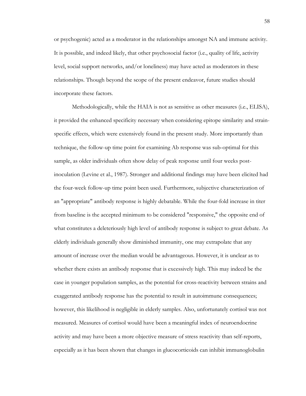or psychogenic) acted as a moderator in the relationships amongst NA and immune activity. It is possible, and indeed likely, that other psychosocial factor (i.e., quality of life, activity level, social support networks, and/or loneliness) may have acted as moderators in these relationships. Though beyond the scope of the present endeavor, future studies should incorporate these factors.

Methodologically, while the HAIA is not as sensitive as other measures (i.e., ELISA), it provided the enhanced specificity necessary when considering epitope similarity and strainspecific effects, which were extensively found in the present study. More importantly than technique, the follow-up time point for examining Ab response was sub-optimal for this sample, as older individuals often show delay of peak response until four weeks postinoculation (Levine et al., 1987). Stronger and additional findings may have been elicited had the four-week follow-up time point been used. Furthermore, subjective characterization of an "appropriate" antibody response is highly debatable. While the four-fold increase in titer from baseline is the accepted minimum to be considered "responsive," the opposite end of what constitutes a deleteriously high level of antibody response is subject to great debate. As elderly individuals generally show diminished immunity, one may extrapolate that any amount of increase over the median would be advantageous. However, it is unclear as to whether there exists an antibody response that is excessively high. This may indeed be the case in younger population samples, as the potential for cross-reactivity between strains and exaggerated antibody response has the potential to result in autoimmune consequences; however, this likelihood is negligible in elderly samples. Also, unfortunately cortisol was not measured. Measures of cortisol would have been a meaningful index of neuroendocrine activity and may have been a more objective measure of stress reactivity than self-reports, especially as it has been shown that changes in glucocorticoids can inhibit immunoglobulin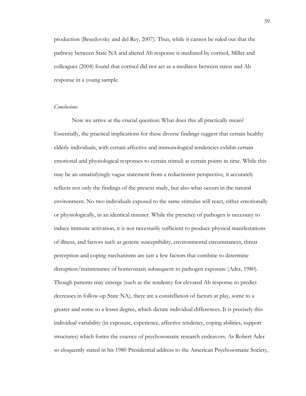production (Besedovsky and del Rey, 2007). Thus, while it cannot be ruled out that the pathway between State NA and altered Ab response is mediated by cortisol, Miller and colleagues (2004) found that cortisol did not act as a mediator between stress and Ab response in a young sample.

# *Conclusions*

Now we arrive at the crucial question: What does this all practically mean? Essentially, the practical implications for these diverse findings suggest that certain healthy elderly individuals, with certain affective and immunological tendencies exhibit certain emotional and physiological responses to certain stimuli at certain points in time. While this may be an unsatisfyingly vague statement from a reductionist perspective, it accurately reflects not only the findings of the present study, but also what occurs in the natural environment. No two individuals exposed to the same stimulus will react, either emotionally or physiologically, in an identical manner. While the presence of pathogen is necessary to induce immune activation, it is not necessarily sufficient to produce physical manifestations of illness, and factors such as genetic susceptibility, environmental circumstances, threat perception and coping mechanisms are just a few factors that combine to determine disruption/maintenance of homeostasis subsequent to pathogen exposure (Ader, 1980). Though patterns may emerge (such as the tendency for elevated Ab response to predict decreases in follow-up State NA), there are a constellation of factors at play, some to a greater and some to a lesser degree, which dictate individual differences. It is precisely this individual variability (in exposure, experience, affective tendency, coping abilities, support structures) which forms the essence of psychosomatic research endeavors. As Robert Ader so eloquently stated in his 1980 Presidential address to the American Psychosomatic Society,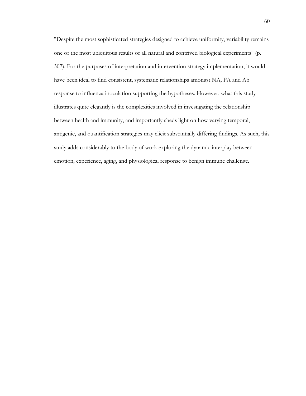"Despite the most sophisticated strategies designed to achieve uniformity, variability remains one of the most ubiquitous results of all natural and contrived biological experiments" (p. 307). For the purposes of interpretation and intervention strategy implementation, it would have been ideal to find consistent, systematic relationships amongst NA, PA and Ab response to influenza inoculation supporting the hypotheses. However, what this study illustrates quite elegantly is the complexities involved in investigating the relationship between health and immunity, and importantly sheds light on how varying temporal, antigenic, and quantification strategies may elicit substantially differing findings. As such, this study adds considerably to the body of work exploring the dynamic interplay between emotion, experience, aging, and physiological response to benign immune challenge.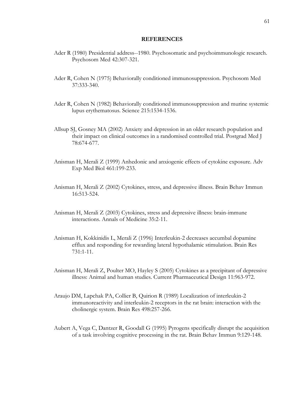#### **REFERENCES**

- Ader R (1980) Presidential address--1980. Psychosomatic and psychoimmunologic research. Psychosom Med 42:307-321.
- Ader R, Cohen N (1975) Behaviorally conditioned immunosuppression. Psychosom Med 37:333-340.
- Ader R, Cohen N (1982) Behaviorally conditioned immunosuppression and murine systemic lupus erythematosus. Science 215:1534-1536.
- Allsup SJ, Gosney MA (2002) Anxiety and depression in an older research population and their impact on clinical outcomes in a randomised controlled trial. Postgrad Med J 78:674-677.
- Anisman H, Merali Z (1999) Anhedonic and anxiogenic effects of cytokine exposure. Adv Exp Med Biol 461:199-233.
- Anisman H, Merali Z (2002) Cytokines, stress, and depressive illness. Brain Behav Immun 16:513-524.
- Anisman H, Merali Z (2003) Cytokines, stress and depressive illness: brain-immune interactions. Annals of Medicine 35:2-11.
- Anisman H, Kokkinidis L, Merali Z (1996) Interleukin-2 decreases accumbal dopamine efflux and responding for rewarding lateral hypothalamic stimulation. Brain Res 731:1-11.
- Anisman H, Merali Z, Poulter MO, Hayley S (2005) Cytokines as a precipitant of depressive illness: Animal and human studies. Current Pharmaceutical Design 11:963-972.
- Araujo DM, Lapchak PA, Collier B, Quirion R (1989) Localization of interleukin-2 immunoreactivity and interleukin-2 receptors in the rat brain: interaction with the cholinergic system. Brain Res 498:257-266.
- Aubert A, Vega C, Dantzer R, Goodall G (1995) Pyrogens specifically disrupt the acquisition of a task involving cognitive processing in the rat. Brain Behav Immun 9:129-148.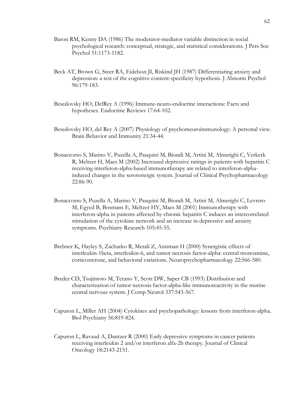- Baron RM, Kenny DA (1986) The moderator-mediator variable distinction in social psychological research: conceptual, strategic, and statistical considerations. J Pers Soc Psychol 51:1173-1182.
- Beck AT, Brown G, Steer RA, Eidelson JI, Riskind JH (1987) Differentiating anxiety and depression: a test of the cognitive content-specificity hypothesis. J Abnorm Psychol 96:179-183.
- Besedovsky HO, DelRey A (1996) Immune-neuro-endocrine interactions: Facts and hypotheses. Endocrine Reviews 17:64-102.
- Besedovsky HO, del Rey A (2007) Physiology of psychomeuroimmunology: A personal view. Brain Behavior and Immunity 21:34-44.
- Bonaccorso S, Marino V, Puzella A, Pasquini M, Biondi M, Artini M, Almerighi C, Verkerk R, Meltzer H, Maes M (2002) Increased depressive ratings in patients with hepatitis C receiving interferon-alpha-based immunotherapy are related to interferon-alphainduced changes in the serotonergic system. Journal of Clinical Psychopharmacology 22:86-90.
- Bonaccorso S, Puzella A, Marino V, Pasquini M, Biondi M, Artini M, Almerighi C, Levrero M, Egyed B, Bosmans E, Meltzer HY, Maes M (2001) Immunotherapy with interferon-alpha in patients affected by chronic hepatitis C induces an intercorrelated stimulation of the cytokine network and an increase in depressive and anxiety symptoms. Psychiatry Research 105:45-55.
- Brebner K, Hayley S, Zacharko R, Merali Z, Anisman H (2000) Synergistic effects of interleukin-1beta, interleukin-6, and tumor necrosis factor-alpha: central monoamine, corticosterone, and behavioral variations. Neuropsychopharmacology 22:566-580.
- Breder CD, Tsujimoto M, Terano Y, Scott DW, Saper CB (1993) Distribution and characterization of tumor necrosis factor-alpha-like immunoreactivity in the murine central nervous system. J Comp Neurol 337:543-567.
- Capuron L, Miller AH (2004) Cytokines and psychopathology: lessons from interferon-alpha. Biol Psychiatry 56:819-824.
- Capuron L, Ravaud A, Dantzer R (2000) Early depressive symptoms in cancer patients receiving interleukin 2 and/or interferon alfa-2b therapy. Journal of Clinical Oncology 18:2143-2151.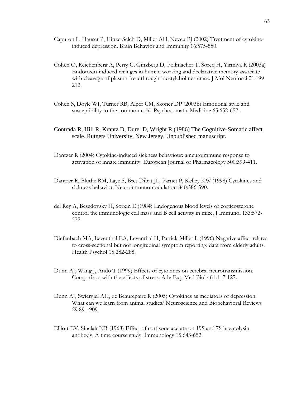- Capuron L, Hauser P, Hinze-Selch D, Miller AH, Neveu PJ (2002) Treatment of cytokineinduced depression. Brain Behavior and Immunity 16:575-580.
- Cohen O, Reichenberg A, Perry C, Ginzberg D, Pollmacher T, Soreq H, Yirmiya R (2003a) Endotoxin-induced changes in human working and declarative memory associate with cleavage of plasma "readthrough" acetylcholinesterase. J Mol Neurosci 21:199- 212.
- Cohen S, Doyle WJ, Turner RB, Alper CM, Skoner DP (2003b) Emotional style and susceptibility to the common cold. Psychosomatic Medicine 65:652-657.
- Contrada R, Hill R, Krantz D, Durel D, Wright R (1986) The Cognitive-Somatic affect scale. Rutgers University, New Jersey, Unpublished manuscript.
- Dantzer R (2004) Cytokine-induced sickness behaviour: a neuroimmune response to activation of innate immunity. European Journal of Pharmacology 500:399-411.
- Dantzer R, Bluthe RM, Laye S, Bret-Dibat JL, Parnet P, Kelley KW (1998) Cytokines and sickness behavior. Neuroimmunomodulation 840:586-590.
- del Rey A, Besedovsky H, Sorkin E (1984) Endogenous blood levels of corticosterone control the immunologic cell mass and B cell activity in mice. J Immunol 133:572- 575.
- Diefenbach MA, Leventhal EA, Leventhal H, Patrick-Miller L (1996) Negative affect relates to cross-sectional but not longitudinal symptom reporting: data from elderly adults. Health Psychol 15:282-288.
- Dunn AJ, Wang J, Ando T (1999) Effects of cytokines on cerebral neurotransmission. Comparison with the effects of stress. Adv Exp Med Biol 461:117-127.
- Dunn AJ, Swiergiel AH, de Beaurepaire R (2005) Cytokines as mediators of depression: What can we learn from animal studies? Neuroscience and Biobehavioral Reviews 29:891-909.
- Elliott EV, Sinclair NR (1968) Effect of cortisone acetate on 19S and 7S haemolysin antibody. A time course study. Immunology 15:643-652.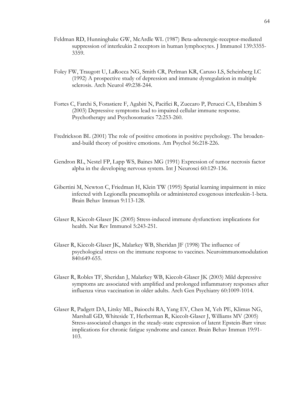- Feldman RD, Hunninghake GW, McArdle WL (1987) Beta-adrenergic-receptor-mediated suppression of interleukin 2 receptors in human lymphocytes. J Immunol 139:3355- 3359.
- Foley FW, Traugott U, LaRocca NG, Smith CR, Perlman KR, Caruso LS, Scheinberg LC (1992) A prospective study of depression and immune dysregulation in multiple sclerosis. Arch Neurol 49:238-244.
- Fortes C, Farchi S, Forastiere F, Agabiti N, Pacifici R, Zuccaro P, Perucci CA, Ebrahim S (2003) Depressive symptoms lead to impaired cellular immune response. Psychotherapy and Psychosomatics 72:253-260.
- Fredrickson BL (2001) The role of positive emotions in positive psychology. The broadenand-build theory of positive emotions. Am Psychol 56:218-226.
- Gendron RL, Nestel FP, Lapp WS, Baines MG (1991) Expression of tumor necrosis factor alpha in the developing nervous system. Int J Neurosci 60:129-136.
- Gibertini M, Newton C, Friedman H, Klein TW (1995) Spatial learning impairment in mice infected with Legionella pneumophila or administered exogenous interleukin-1-beta. Brain Behav Immun 9:113-128.
- Glaser R, Kiecolt-Glaser JK (2005) Stress-induced immune dysfunction: implications for health. Nat Rev Immunol 5:243-251.
- Glaser R, Kiecolt-Glaser JK, Malarkey WB, Sheridan JF (1998) The influence of psychological stress on the immune response to vaccines. Neuroimmunomodulation 840:649-655.
- Glaser R, Robles TF, Sheridan J, Malarkey WB, Kiecolt-Glaser JK (2003) Mild depressive symptoms are associated with amplified and prolonged inflammatory responses after influenza virus vaccination in older adults. Arch Gen Psychiatry 60:1009-1014.
- Glaser R, Padgett DA, Litsky ML, Baiocchi RA, Yang EV, Chen M, Yeh PE, Klimas NG, Marshall GD, Whiteside T, Herberman R, Kiecolt-Glaser J, Williams MV (2005) Stress-associated changes in the steady-state expression of latent Epstein-Barr virus: implications for chronic fatigue syndrome and cancer. Brain Behav Immun 19:91- 103.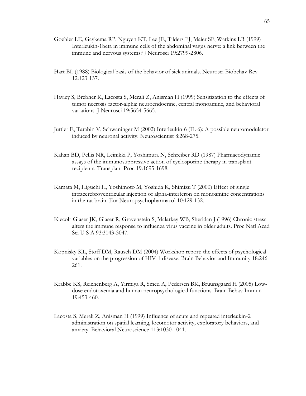- Goehler LE, Gaykema RP, Nguyen KT, Lee JE, Tilders FJ, Maier SF, Watkins LR (1999) Interleukin-1beta in immune cells of the abdominal vagus nerve: a link between the immune and nervous systems? J Neurosci 19:2799-2806.
- Hart BL (1988) Biological basis of the behavior of sick animals. Neurosci Biobehav Rev 12:123-137.
- Hayley S, Brebner K, Lacosta S, Merali Z, Anisman H (1999) Sensitization to the effects of tumor necrosis factor-alpha: neuroendocrine, central monoamine, and behavioral variations. J Neurosci 19:5654-5665.
- Juttler E, Tarabin V, Schwaninger M (2002) Interleukin-6 (IL-6): A possible neuromodulator induced by neuronal activity. Neuroscientist 8:268-275.
- Kahan BD, Pellis NR, Leinikki P, Yoshimura N, Schreiber RD (1987) Pharmacodynamic assays of the immunosuppressive action of cyclosporine therapy in transplant recipients. Transplant Proc 19:1695-1698.
- Kamata M, Higuchi H, Yoshimoto M, Yoshida K, Shimizu T (2000) Effect of single intracerebroventricular injection of alpha-interferon on monoamine concentrations in the rat brain. Eur Neuropsychopharmacol 10:129-132.
- Kiecolt-Glaser JK, Glaser R, Gravenstein S, Malarkey WB, Sheridan J (1996) Chronic stress alters the immune response to influenza virus vaccine in older adults. Proc Natl Acad Sci U S A 93:3043-3047.
- Kopnisky KL, Stoff DM, Rausch DM (2004) Workshop report: the effects of psychological variables on the progression of HIV-1 disease. Brain Behavior and Immunity 18:246- 261.
- Krabbe KS, Reichenberg A, Yirmiya R, Smed A, Pedersen BK, Bruunsgaard H (2005) Lowdose endotoxemia and human neuropsychological functions. Brain Behav Immun 19:453-460.
- Lacosta S, Merali Z, Anisman H (1999) Influence of acute and repeated interleukin-2 administration on spatial learning, locomotor activity, exploratory behaviors, and anxiety. Behavioral Neuroscience 113:1030-1041.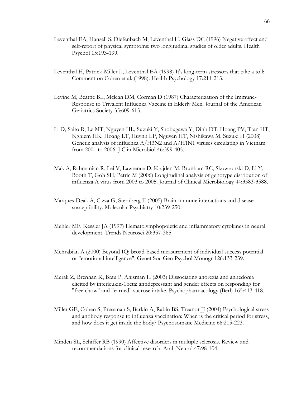- Leventhal EA, Hansell S, Diefenbach M, Leventhal H, Glass DC (1996) Negative affect and self-report of physical symptoms: two longitudinal studies of older adults. Health Psychol 15:193-199.
- Leventhal H, Patrick-Miller L, Leventhal EA (1998) It's long-term stressors that take a toll: Comment on Cohen et al. (1998). Health Psychology 17:211-213.
- Levine M, Beattie BL, Mclean DM, Corman D (1987) Characterization of the Immune-Response to Trivalent Influenza Vaccine in Elderly Men. Journal of the American Geriatrics Society 35:609-615.
- Li D, Saito R, Le MT, Nguyen HL, Suzuki Y, Shobugawa Y, Dinh DT, Hoang PV, Tran HT, Nghiem HK, Hoang LT, Huynh LP, Nguyen HT, Nishikawa M, Suzuki H (2008) Genetic analysis of influenza A/H3N2 and A/H1N1 viruses circulating in Vietnam from 2001 to 2006. J Clin Microbiol 46:399-405.
- Mak A, Rahmanian R, Lei V, Lawrence D, Krajden M, Brunham RC, Skowronski D, Li Y, Booth T, Goh SH, Petric M (2006) Longitudinal analysis of genotype distribution of influenza A virus from 2003 to 2005. Journal of Clinical Microbiology 44:3583-3588.
- Marques-Deak A, Cizza G, Sternberg E (2005) Brain-immune interactions and disease susceptibility. Molecular Psychiatry 10:239-250.
- Mehler MF, Kessler JA (1997) Hematolymphopoietic and inflammatory cytokines in neural development. Trends Neurosci 20:357-365.
- Mehrabian A (2000) Beyond IQ: broad-based measurement of individual success potential or "emotional intelligence". Genet Soc Gen Psychol Monogr 126:133-239.
- Merali Z, Brennan K, Brau P, Anisman H (2003) Dissociating anorexia and anhedonia elicited by interleukin-1beta: antidepressant and gender effects on responding for "free chow" and "earned" sucrose intake. Psychopharmacology (Berl) 165:413-418.
- Miller GE, Cohen S, Pressman S, Barkin A, Rabin BS, Treanor JJ (2004) Psychological stress and antibody response to influenza vaccination: When is the critical period for stress, and how does it get inside the body? Psychosomatic Medicine 66:215-223.
- Minden SL, Schiffer RB (1990) Affective disorders in multiple sclerosis. Review and recommendations for clinical research. Arch Neurol 47:98-104.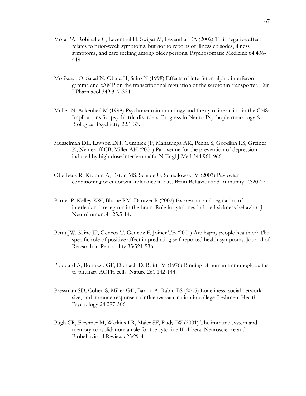- Mora PA, Robitaille C, Leventhal H, Swigar M, Leventhal EA (2002) Trait negative affect relates to prior-week symptoms, but not to reports of illness episodes, illness symptoms, and care seeking among older persons. Psychosomatic Medicine 64:436- 449.
- Morikawa O, Sakai N, Obara H, Saito N (1998) Effects of interferon-alpha, interferongamma and cAMP on the transcriptional regulation of the serotonin transporter. Eur J Pharmacol 349:317-324.
- Muller N, Ackenheil M (1998) Psychoneuroimmunology and the cytokine action in the CNS: Implications for psychiatric disorders. Progress in Neuro-Psychopharmacology & Biological Psychiatry 22:1-33.
- Musselman DL, Lawson DH, Gumnick JF, Manatunga AK, Penna S, Goodkin RS, Greiner K, Nemeroff CB, Miller AH (2001) Paroxetine for the prevention of depression induced by high-dose interferon alfa. N Engl J Med 344:961-966.
- Oberbeck R, Kromm A, Exton MS, Schade U, Schedlowski M (2003) Pavlovian conditioning of endotoxin-tolerance in rats. Brain Behavior and Immunity 17:20-27.
- Parnet P, Kelley KW, Bluthe RM, Dantzer R (2002) Expression and regulation of interleukin-1 receptors in the brain. Role in cytokines-induced sickness behavior. J Neuroimmunol 125:5-14.
- Pettit JW, Kline JP, Gencoz T, Gencoz F, Joiner TE (2001) Are happy people healthier? The specific role of positive affect in predicting self-reported health symptoms. Journal of Research in Personality 35:521-536.
- Pouplard A, Bottazzo GF, Doniach D, Roitt IM (1976) Binding of human immunoglobulins to pituitary ACTH cells. Nature 261:142-144.
- Pressman SD, Cohen S, Miller GE, Barkin A, Rabin BS (2005) Loneliness, social network size, and immune response to influenza vaccination in college freshmen. Health Psychology 24:297-306.
- Pugh CR, Fleshner M, Watkins LR, Maier SF, Rudy JW (2001) The immune system and memory consolidation: a role for the cytokine IL-1 beta. Neuroscience and Biobehavioral Reviews 25:29-41.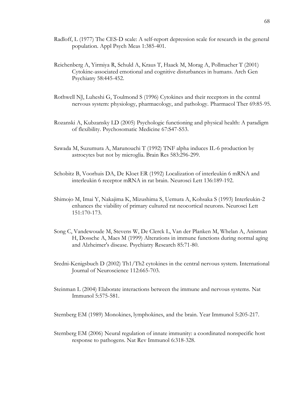- Radloff, L (1977) The CES-D scale: A self-report depression scale for research in the general population. Appl Psych Meas 1:385-401.
- Reichenberg A, Yirmiya R, Schuld A, Kraus T, Haack M, Morag A, Pollmacher T (2001) Cytokine-associated emotional and cognitive disturbances in humans. Arch Gen Psychiatry 58:445-452.
- Rothwell NJ, Luheshi G, Toulmond S (1996) Cytokines and their receptors in the central nervous system: physiology, pharmacology, and pathology. Pharmacol Ther 69:85-95.
- Rozanski A, Kubzansky LD (2005) Psychologic functioning and physical health: A paradigm of flexibility. Psychosomatic Medicine 67:S47-S53.
- Sawada M, Suzumura A, Marunouchi T (1992) TNF alpha induces IL-6 production by astrocytes but not by microglia. Brain Res 583:296-299.
- Schobitz B, Voorhuis DA, De Kloet ER (1992) Localization of interleukin 6 mRNA and interleukin 6 receptor mRNA in rat brain. Neurosci Lett 136:189-192.
- Shimojo M, Imai Y, Nakajima K, Mizushima S, Uemura A, Kohsaka S (1993) Interleukin-2 enhances the viability of primary cultured rat neocortical neurons. Neurosci Lett 151:170-173.
- Song C, Vandewoude M, Stevens W, De Clerck L, Van der Planken M, Whelan A, Anisman H, Dossche A, Maes M (1999) Alterations in immune functions during normal aging and Alzheimer's disease. Psychiatry Research 85:71-80.
- Sredni-Kenigsbuch D (2002) Th1/Th2 cytokines in the central nervous system. International Journal of Neuroscience 112:665-703.
- Steinman L (2004) Elaborate interactions between the immune and nervous systems. Nat Immunol 5:575-581.

Sternberg EM (1989) Monokines, lymphokines, and the brain. Year Immunol 5:205-217.

Sternberg EM (2006) Neural regulation of innate immunity: a coordinated nonspecific host response to pathogens. Nat Rev Immunol 6:318-328.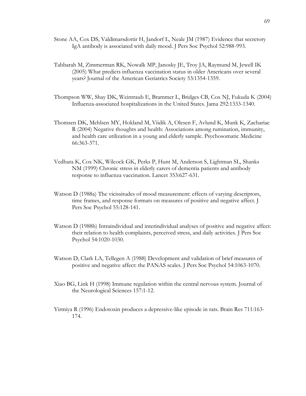- Stone AA, Cox DS, Valdimarsdottir H, Jandorf L, Neale JM (1987) Evidence that secretory IgA antibody is associated with daily mood. J Pers Soc Psychol 52:988-993.
- Tabbarah M, Zimmerman RK, Nowalk MP, Janosky JE, Troy JA, Raymund M, Jewell IK (2005) What predicts influenza vaccination status in older Americans over several years? Journal of the American Geriatrics Society 53:1354-1359.
- Thompson WW, Shay DK, Weintraub E, Brammer L, Bridges CB, Cox NJ, Fukuda K (2004) Influenza-associated hospitalizations in the United States. Jama 292:1333-1340.
- Thomsen DK, Mehlsen MY, Hokland M, Viidik A, Olesen F, Avlund K, Munk K, Zachariae R (2004) Negative thoughts and health: Associations among rumination, immunity, and health care utilization in a young and elderly sample. Psychosomatic Medicine 66:363-371.
- Vedhara K, Cox NK, Wilcock GK, Perks P, Hunt M, Anderson S, Lightman SL, Shanks NM (1999) Chronic stress in elderly carers of dementia patients and antibody response to influenza vaccination. Lancet 353:627-631.
- Watson D (1988a) The vicissitudes of mood measurement: effects of varying descriptors, time frames, and response formats on measures of positive and negative affect. J Pers Soc Psychol 55:128-141.
- Watson D (1988b) Intraindividual and interindividual analyses of positive and negative affect: their relation to health complaints, perceived stress, and daily activities. J Pers Soc Psychol 54:1020-1030.
- Watson D, Clark LA, Tellegen A (1988) Development and validation of brief measures of positive and negative affect: the PANAS scales. J Pers Soc Psychol 54:1063-1070.
- Xiao BG, Link H (1998) Immune regulation within the central nervous system. Journal of the Neurological Sciences 157:1-12.
- Yirmiya R (1996) Endotoxin produces a depressive-like episode in rats. Brain Res 711:163- 174.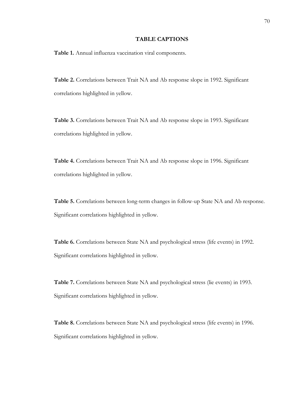#### **TABLE CAPTIONS**

**Table 1.** Annual influenza vaccination viral components.

**Table 2.** Correlations between Trait NA and Ab response slope in 1992. Significant correlations highlighted in yellow.

**Table 3.** Correlations between Trait NA and Ab response slope in 1993. Significant correlations highlighted in yellow.

**Table 4.** Correlations between Trait NA and Ab response slope in 1996. Significant correlations highlighted in yellow.

**Table 5.** Correlations between long-term changes in follow-up State NA and Ab response. Significant correlations highlighted in yellow.

**Table 6.** Correlations between State NA and psychological stress (life events) in 1992. Significant correlations highlighted in yellow.

**Table 7.** Correlations between State NA and psychological stress (lie events) in 1993. Significant correlations highlighted in yellow.

**Table 8.** Correlations between State NA and psychological stress (life events) in 1996. Significant correlations highlighted in yellow.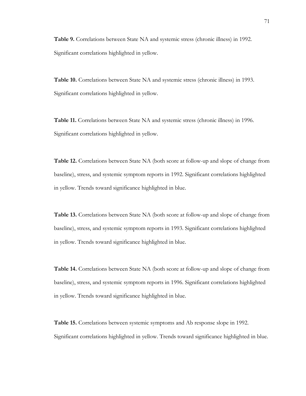**Table 9.** Correlations between State NA and systemic stress (chronic illness) in 1992. Significant correlations highlighted in yellow.

**Table 10.** Correlations between State NA and systemic stress (chronic illness) in 1993. Significant correlations highlighted in yellow.

**Table 11.** Correlations between State NA and systemic stress (chronic illness) in 1996. Significant correlations highlighted in yellow.

**Table 12.** Correlations between State NA (both score at follow-up and slope of change from baseline), stress, and systemic symptom reports in 1992. Significant correlations highlighted in yellow. Trends toward significance highlighted in blue.

**Table 13.** Correlations between State NA (both score at follow-up and slope of change from baseline), stress, and systemic symptom reports in 1993. Significant correlations highlighted in yellow. Trends toward significance highlighted in blue.

**Table 14.** Correlations between State NA (both score at follow-up and slope of change from baseline), stress, and systemic symptom reports in 1996. Significant correlations highlighted in yellow. Trends toward significance highlighted in blue.

**Table 15.** Correlations between systemic symptoms and Ab response slope in 1992. Significant correlations highlighted in yellow. Trends toward significance highlighted in blue.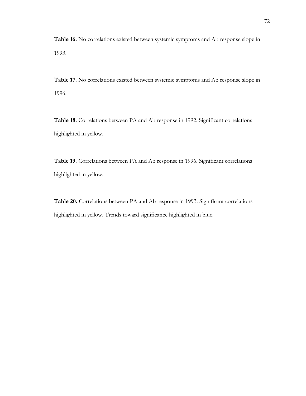**Table 16.** No correlations existed between systemic symptoms and Ab response slope in 1993.

**Table 17.** No correlations existed between systemic symptoms and Ab response slope in 1996.

**Table 18.** Correlations between PA and Ab response in 1992. Significant correlations highlighted in yellow.

**Table 19.** Correlations between PA and Ab response in 1996. Significant correlations highlighted in yellow.

**Table 20.** Correlations between PA and Ab response in 1993. Significant correlations highlighted in yellow. Trends toward significance highlighted in blue.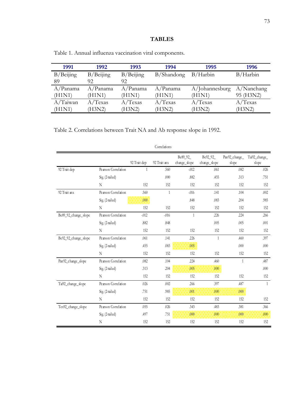| 1991         | 1992         | 1993         | 1994       | 1995              | 1996          |
|--------------|--------------|--------------|------------|-------------------|---------------|
| $B/B$ eijing | $B/B$ eijing | $B/B$ eijing | B/Shandong | B/Harbin          | B/Harbin      |
| 89           | 92           | 92.          |            |                   |               |
| A/Panama     | A/Panama     | A/Panama     | A/Panama   | $A/$ Johannesburg | $A/N$ anchang |
| (H1N1)       | (H1N1)       | (H1N1)       | (H1N1)     | (H1N1)            | 95 (H3N2)     |
| A/Taiwan     | A/Texas      | A/Texas      | $A/T$ exas | $A/T$ exas        | $A/T$ exas    |
| (H1N1)       | (H3N2)       | (H3N2)       | (H3N2)     | (H3N2)            | (H3N2)        |

Table 1. Annual influenza vaccination viral components.

Table 2. Correlations between Trait NA and Ab response slope in 1992.

|                      |                     |             | COLLETATIONS |                          |                          |                         |                        |
|----------------------|---------------------|-------------|--------------|--------------------------|--------------------------|-------------------------|------------------------|
|                      |                     | 92 Trat dep | 92 Trat anx  | Be89_92_<br>change_slope | Be92_92_<br>change_slope | Pan 92_change_<br>slope | Tai92_change_<br>slope |
| 92 Trat dep          | Pearson Correlation | 1           | .560         | $-012$                   | .061                     | .082                    | .026                   |
|                      | Sig. (2-tailed)     |             | .000         | .882                     | .455                     | 313                     | .751                   |
|                      | N                   | 152         | 152          | 152                      | 152                      | 152                     | 152                    |
| 92 Trat anx          | Pearson Correlation | 560         | $\mathbf{1}$ | $-0.016$                 | .141                     | .104                    | .002                   |
|                      | Sig. (2-tailed)     | .000        |              | .848                     | .083                     | 204                     | .985                   |
|                      | N                   | 152         | 152          | 152                      | 152                      | 152                     | 152                    |
| Be89_92_change_slope | Pearson Correlation | $-012$      | $-016$       | $\mathbf{1}$             | 226                      | 224                     | .266                   |
|                      | Sig. (2-tailed)     | .882        | .848         |                          | .005                     | .005                    | .001                   |
|                      | N                   | 152         | 152          | 152                      | 152                      | 152                     | 152                    |
| Be92_92_change_slope | Pearson Correlation | .061        | .141         | 226                      | $\mathbf{1}$             | .460                    | 397                    |
|                      | Sig. (2-tailed)     | .455        | .083         | .005                     |                          | .000                    | .000                   |
|                      | N                   | 152         | 152          | 152                      | 152                      | 152                     | 152                    |
| Pan92_change_slope   | Pearson Correlation | .082        | .104         | 224                      | .460                     | $\mathbf{1}$            | .487                   |
|                      | Sig. (2-tailed)     | 313         | 204          | 005                      | 000                      |                         | .000                   |
|                      | N                   | 152         | 152          | 152                      | 152                      | 152                     | 152                    |
| Tai92_change_slope   | Pearson Correlation | .026        | .002         | 266                      | 397                      | .487                    | $\mathbf{1}$           |
|                      | Sig. (2-tailed)     | .751        | .985         | .001                     | 000                      | 000                     |                        |
|                      | N                   | 152         | 152          | 152                      | 152                      | 152                     | 152                    |
| Tex92_change_slope   | Pearson Correlation | .055        | .026         | 343                      | .483                     | 381                     | 366                    |
|                      | Sig. (2-tailed)     | .497        | .751         | 000                      | .000                     | .000                    | .000                   |
|                      | N                   | 152         | 152          | 152                      | 152                      | 152                     | 152                    |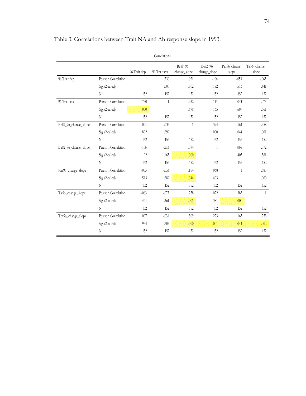|                      |                     |             | COLLCIAUOILS |                          |                          |                        |                        |
|----------------------|---------------------|-------------|--------------|--------------------------|--------------------------|------------------------|------------------------|
|                      |                     | 96 Trat dep | 96 Trat anx  | Be89_96_<br>change_slope | Be92_96_<br>change_slope | Pan96_change_<br>slope | Tai96_change_<br>slope |
| 96 Trat dep          | Pearson Correlation | 1           | .730         | .021                     | $-106$                   | $-053$                 | $-063$                 |
|                      | Sig. (2-tailed)     |             | .000         | .802                     | .192                     | .513                   | .441                   |
|                      | N                   | 152         | 152          | 152                      | 152                      | 152                    | 152                    |
| 96 Trat anx          | Pearson Correlation | .730        | 1            | .032                     | $-113$                   | $-.033$                | $-075$                 |
|                      | Sig. (2-tailed)     | .000        |              | .699                     | .165                     | .689                   | 361                    |
|                      | N                   | 152         | 152          | 152                      | 152                      | 152                    | 152                    |
| Be89_96_change_slope | Pearson Correlation | .021        | .032         | 1                        | 394                      | .164                   | 258                    |
|                      | Sig. (2-tailed)     | .802        | .699         |                          | .000                     | .044                   | .001                   |
|                      | N                   | 152         | 152          | 152                      | 152                      | 152                    | 152                    |
| Be92_96_change_slope | Pearson Correlation | $-106$      | $-113$       | 394                      | $\mathbf{1}$             | .068                   | .072                   |
|                      | Sig. (2-tailed)     | .192        | .165         | 000                      |                          | .403                   | 381                    |
|                      | N                   | 152         | 152          | 152                      | 152                      | 152                    | 152                    |
| Pan96_change_slope   | Pearson Correlation | $-053$      | $-0.33$      | .164                     | .068                     | 1                      | 385                    |
|                      | Sig. (2-tailed)     | .513        | .689         | .044                     | .403                     |                        | .000                   |
|                      | N                   | 152         | 152          | 152                      | 152                      | 152                    | 152                    |
| Tai%_change_slope    | Pearson Correlation | $-063$      | $-0.075$     | 258                      | .072                     | 385                    | $\mathbf{1}$           |
|                      | Sig. (2-tailed)     | .441        | 361          | 001                      | 381                      | 000                    |                        |
|                      | N                   | 152         | 152          | 152                      | 152                      | 152                    | 152                    |
| Tex96_change_slope   | Pearson Correlation | .007        | $-0.31$      | 309                      | .273                     | .163                   | 253                    |
|                      | Sig. (2-tailed)     | .934        | .703         | .000                     | 001                      | .044                   | 002                    |
|                      | N                   | 152         | 152          | 152                      | 152                      | 152                    | 152                    |

Table 3. Correlations between Trait NA and Ab response slope in 1993.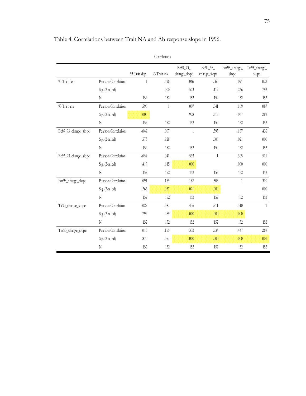|                      |                     |              | Correlations |                          |                          |                        |                        |
|----------------------|---------------------|--------------|--------------|--------------------------|--------------------------|------------------------|------------------------|
|                      |                     | 93 Trait dep | 93 Trait anx | Be89_93_<br>change_slope | Be92_93_<br>change_slope | Pan93_change_<br>slope | Tai93_change_<br>slope |
| 93 Trat dep          | Pearson Correlation | 1            | .596         | $-0.046$                 | $-0.066$                 | .091                   | .022                   |
|                      | Sig. (2-tailed)     |              | .000         | .573                     | .419                     | 266                    | .792                   |
|                      | N                   | 152          | 152          | 152                      | 152                      | 152                    | 152                    |
| 93 Trait anx         | Pearson Correlation | 5%           | $\mathbf{1}$ | .007                     | .041                     | .169                   | .087                   |
|                      | Sig. (2-tailed)     | .000         |              | .928                     | .615                     | .037                   | .289                   |
|                      | N                   | 152          | 152          | 152                      | 152                      | 152                    | 152                    |
| Be89_93_change_slope | Pearson Correlation | $-046$       | .007         | $\mathbf{1}$             | .593                     | .187                   | .436                   |
|                      | Sig. (2-tailed)     | 573          | .928         |                          | .000                     | .021                   | .000                   |
|                      | N                   | 152          | 152          | 152                      | 152                      | 152                    | 152                    |
| Be92_93_change_slope | Pearson Correlation | $-0.066$     | .041         | .593                     | $\mathbf{1}$             | .305                   | .511                   |
|                      | Sig. (2-tailed)     | .419         | .615         | .000                     |                          | .000                   | .000                   |
|                      | N                   | 152          | 152          | 152                      | 152                      | 152                    | 152                    |
| Pan93_change_slope   | Pearson Correlation | .091         | .169         | .187                     | 305                      | $\mathbf{1}$           | 310                    |
|                      | Sig. (2-tailed)     | 266          | 037          | .021                     | .000                     |                        | .000                   |
|                      | N                   | 152          | 152          | 152                      | 152                      | 152                    | 152                    |
| Tai93_change_slope   | Pearson Correlation | .022         | .087         | .436                     | .511                     | 310                    | $\mathbf{1}$           |
|                      | Sig. (2-tailed)     | .792         | 289          | .000                     | .000                     | .000                   |                        |
|                      | N                   | 152          | 152          | 152                      | 152                      | 152                    | 152                    |
| Tex93_change_slope   | Pearson Correlation | .013         | .155         | .332                     | .534                     | .447                   | .269                   |
|                      | Sig. (2-tailed)     | 870          | .057         | .000                     | .000                     | .000                   | 001                    |
|                      | N                   | 152          | 152          | 152                      | 152                      | 152                    | 152                    |

Table 4. Correlations between Trait NA and Ab response slope in 1996.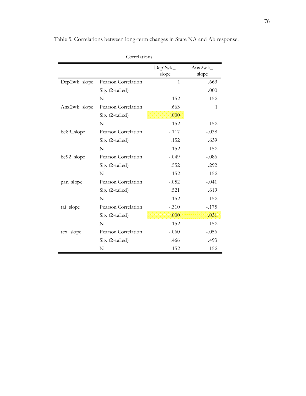|              | Correlations        |                    |                 |
|--------------|---------------------|--------------------|-----------------|
|              |                     | $Dep2wk_$<br>slope | Ans2wk<br>slope |
| Dep2wk_slope | Pearson Correlation | $\mathbf{1}$       | .663            |
|              | Sig. (2-tailed)     |                    | .000            |
|              | N                   | 152                | 152             |
| Anx2wk_slope | Pearson Correlation | .663               | 1               |
|              | Sig. (2-tailed)     | .000               |                 |
|              | N                   | 152                | 152             |
| be89_slope   | Pearson Correlation | $-.117$            | $-.038$         |
|              | Sig. (2-tailed)     | .152               | .639            |
|              | N                   | 152                | 152             |
| be92_slope   | Pearson Correlation | $-.049$            | $-.086$         |
|              | Sig. (2-tailed)     | .552               | .292            |
|              | N                   | 152                | 152             |
| pan_slope    | Pearson Correlation | $-.052$            | $-.041$         |
|              | Sig. (2-tailed)     | .521               | .619            |
|              | N                   | 152                | 152             |
| tai_slope    | Pearson Correlation | $-.310$            | $-.175$         |
|              | Sig. (2-tailed)     | .000               | .031            |
|              | N                   | 152                | 152             |
| tex_slope    | Pearson Correlation | $-.060$            | $-.056$         |
|              | Sig. (2-tailed)     | .466               | .493            |
|              | N                   | 152                | 152             |

Table 5. Correlations between long-term changes in State NA and Ab response.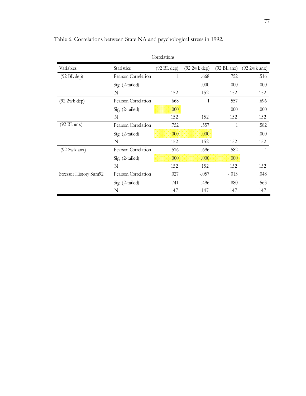|                         |                     | Correlations          |               |                       |                |
|-------------------------|---------------------|-----------------------|---------------|-----------------------|----------------|
| Variables               | Statistics          | $(92 \text{ BL dep})$ | (92 2w k dep) | $(92 \text{ BL}$ anx) | $(92 2wk$ anx) |
| $(92 \text{ BL dep})$   | Pearson Correlation | 1                     | .668          | .752                  | .516           |
|                         | Sig. (2-tailed)     |                       | .000          | .000                  | .000           |
|                         | N                   | 152                   | 152           | 152                   | 152            |
| $(922 \text{wk dep})$   | Pearson Correlation | .668                  | 1             | .557                  | .696           |
|                         | Sig. (2-tailed)     | .000                  |               | .000                  | .000           |
|                         | N                   | 152                   | 152           | 152                   | 152            |
| $(92 \text{ BL}$ anx)   | Pearson Correlation | .752                  | .557          | 1                     | .582           |
|                         | Sig. (2-tailed)     | .000                  | .000          |                       | .000           |
|                         | N                   | 152                   | 152           | 152                   | 152            |
| $(92 2w k \text{ any})$ | Pearson Correlation | .516                  | .696          | .582                  | 1              |
|                         | Sig. (2-tailed)     | .000                  | .000          | .000                  |                |
|                         | N                   | 152                   | 152           | 152                   | 152            |
| Stressor History Sum92  | Pearson Correlation | .027                  | $-.057$       | $-.013$               | .048           |
|                         | Sig. (2-tailed)     | .741                  | .496          | .880                  | .563           |
|                         | N                   | 147                   | 147           | 147                   | 147            |

Table 6. Correlations between State NA and psychological stress in 1992.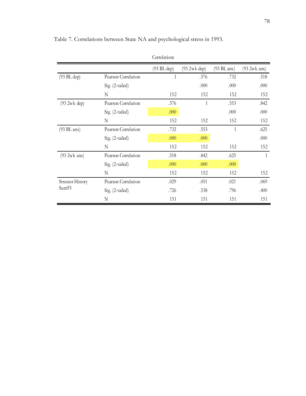|                         |                     | COLLETATIONS |                   |                       |                |
|-------------------------|---------------------|--------------|-------------------|-----------------------|----------------|
|                         |                     | (93 BL dep)  | $(932wk$ dep)     | $(93 \text{ BL}$ anx) | $(93 2wk$ anx) |
| $(93 \text{ BL dep})$   | Pearson Correlation | 1            | .576              | .732                  | .518           |
|                         | Sig. (2-tailed)     |              | .000              | .000                  | .000           |
|                         | N                   | 152          | 152               | 152                   | 152            |
| $(932wk$ dep)           | Pearson Correlation | .576         | 1                 | .553                  | .842           |
|                         | Sig. (2-tailed)     | .000         |                   | .000                  | .000           |
|                         | N                   | 152          | 152               | 152                   | 152            |
| $(93 \text{ BL}$ anx)   | Pearson Correlation | .732         | .553              | $\mathbf{1}$          | .625           |
|                         | Sig. (2-tailed)     | .000         | .000 <sub>1</sub> |                       | .000           |
|                         | N                   | 152          | 152               | 152                   | 152            |
| $(93 2wk$ anx)          | Pearson Correlation | .518         | .842              | .625                  | 1              |
|                         | Sig. (2-tailed)     | .000         | .000              | .000 <sub>1</sub>     |                |
|                         | N                   | 152          | 152               | 152                   | 152            |
| <b>Stressor History</b> | Pearson Correlation | .029         | .051              | .021                  | .069           |
| Sum93                   | Sig. (2-tailed)     | .726         | .538              | .796                  | .400           |
|                         | N                   | 151          | 151               | 151                   | 151            |

Table 7. Correlations between State NA and psychological stress in 1993.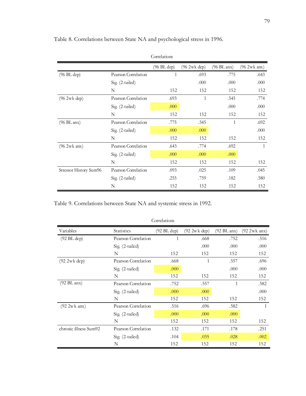|                        |                     | Correlations |             |             |                |
|------------------------|---------------------|--------------|-------------|-------------|----------------|
|                        |                     | (96 BL dep)  | (962wk dep) | (96 BL anx) | $(96 2wk$ anx) |
| $(96 \text{ BL dep})$  | Pearson Correlation | $\mathbf{1}$ | .693        | .775        | .643           |
|                        | Sig. (2-tailed)     |              | .000        | .000        | .000           |
|                        | N                   | 152          | 152         | 152         | 152            |
| (962wk dep)            | Pearson Correlation | .693         | 1           | .545        | .774           |
|                        | Sig. (2-tailed)     | .000         |             | .000        | .000           |
|                        | N                   | 152          | 152         | 152         | 152            |
| $(96 \text{ BL}$ anx)  | Pearson Correlation | .775         | .545        | 1           | .692           |
|                        | Sig. (2-tailed)     | .000         | .000        |             | .000           |
|                        | N                   | 152          | 152         | 152         | 152            |
| $(96 2wk$ anx)         | Pearson Correlation | .643         | .774        | .692        | 1              |
|                        | Sig. (2-tailed)     | .000         | .000        | .000        |                |
|                        | N                   | 152          | 152         | 152         | 152            |
| Stressor History Sum96 | Pearson Correlation | .093         | .025        | .109        | .045           |
|                        | Sig. $(2-tailed)$   | .255         | .759        | .182        | .580           |
|                        | N                   | 152          | 152         | 152         | 152            |

Table 8. Correlations between State NA and psychological stress in 1996.

Table 9. Correlations between State NA and systemic stress in 1992.

|                         |                     | Correlations          |               |                       |                |
|-------------------------|---------------------|-----------------------|---------------|-----------------------|----------------|
| Variables               | <b>Statistics</b>   | $(92 \text{ BL dep})$ | (92 2w k dep) | $(92 \text{ BL}$ anx) | $(92 2wk$ anx) |
| $(92 \text{ BL dep})$   | Pearson Correlation | 1                     | .668          | .752                  | .516           |
|                         | Sig. (2-tailed)     |                       | .000          | .000                  | .000           |
|                         | N                   | 152                   | 152           | 152                   | 152            |
| (92 2wk dep)            | Pearson Correlation | .668                  | 1             | .557                  | .696           |
|                         | Sig. (2-tailed)     | .000                  |               | .000                  | .000           |
|                         | N                   | 152                   | 152           | 152                   | 152            |
| $(92 \text{ BL}$ anx)   | Pearson Correlation | .752                  | .557          | 1                     | .582           |
|                         | Sig. (2-tailed)     | .000                  | .000          |                       | .000           |
|                         | N                   | 152                   | 152           | 152                   | 152            |
| $(92 2w k \text{ any})$ | Pearson Correlation | .516                  | .696          | .582                  | 1              |
|                         | Sig. (2-tailed)     | .000                  | .000          | .000                  |                |
|                         | N                   | 152                   | 152           | 152                   | 152            |
| chronic illness Sum92   | Pearson Correlation | .132                  | .171          | .178                  | .251           |
|                         | Sig. (2-tailed)     | .104                  | .035          | .028                  | .002           |
|                         | N                   | 152                   | 152           | 152                   | 152            |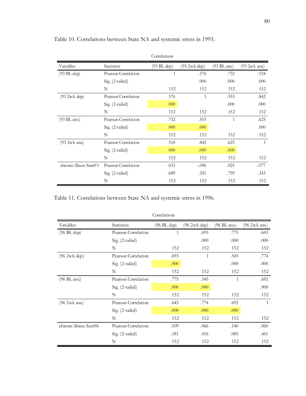|                       |                     | Correlations |                      |                       |                |
|-----------------------|---------------------|--------------|----------------------|-----------------------|----------------|
| Variables             | Statistics          | (93 BL dep)  | $(932\text{wk dep})$ | $(93 \text{ BL}$ anx) | $(93 2wk$ anx) |
| $(93 \text{ BL dep})$ | Pearson Correlation | 1            | .576                 | .732                  | .518           |
|                       | Sig. (2-tailed)     |              | .000                 | .000                  | .000           |
|                       | N                   | 152          | 152                  | 152                   | 152            |
| (93 2wk dep)          | Pearson Correlation | .576         | $\mathbf{1}$         | .553                  | .842           |
|                       | Sig. (2-tailed)     | .000         |                      | .000                  | .000           |
|                       | N                   | 152          | 152                  | 152                   | 152            |
| $(93 \text{ BL}$ anx) | Pearson Correlation | .732         | .553                 | 1                     | .625           |
|                       | Sig. (2-tailed)     | .000         | .000                 |                       | .000           |
|                       | N                   | 152          | 152                  | 152                   | 152            |
| $(93 2wk$ anx)        | Pearson Correlation | .518         | .842                 | .625                  | 1              |
|                       | Sig. (2-tailed)     | .000         | .000                 | .000                  |                |
|                       | N                   | 152          | 152                  | 152                   | 152            |
| chronic illness Sum93 | Pearson Correlation | .033         | $-.096$              | .025                  | $-.077$        |
|                       | Sig. (2-tailed)     | .689         | .241                 | .759                  | .343           |
|                       | N                   | 152          | 152                  | 152                   | 152            |

Table 10. Correlations between State NA and systemic stress in 1993.

Table 11. Correlations between State NA and systemic stress in 1996.

|                        |                     | Correlations |               |             |                |
|------------------------|---------------------|--------------|---------------|-------------|----------------|
| Variables              | Statistics          | (96 BL dep)  | $(962wk$ dep) | (96 BL anx) | $(96 2wk$ anx) |
| $(96 \text{ BL dep})$  | Pearson Correlation | 1            | .693          | .775        | .643           |
|                        | Sig. (2-tailed)     |              | .000          | .000        | .000           |
|                        | N                   | 152          | 152           | 152         | 152            |
| $(96.2 \text{wk dep})$ | Pearson Correlation | .693         | 1             | .545        | .774           |
|                        | Sig. (2-tailed)     | .000.        |               | .000        | .000           |
|                        | N                   | 152          | 152           | 152         | 152            |
| $(96 \text{ BL}$ anx)  | Pearson Correlation | .775         | .545          | 1           | .692           |
|                        | Sig. (2-tailed)     | .000         | .000          |             | .000           |
|                        | N                   | 152          | 152           | 152         | 152            |
| $(96 2wk$ anx)         | Pearson Correlation | .643         | .774          | .692        | $\mathbf{1}$   |
|                        | Sig. (2-tailed)     | .000         | .000          | .000        |                |
|                        | N                   | 152          | 152           | 152         | 152            |
| chronic illness Sum96  | Pearson Correlation | .109         | .066          | .140        | .060           |
|                        | Sig. (2-tailed)     | .181         | .416          | .085        | .461           |
|                        | N                   | 152          | 152           | 152         | 152            |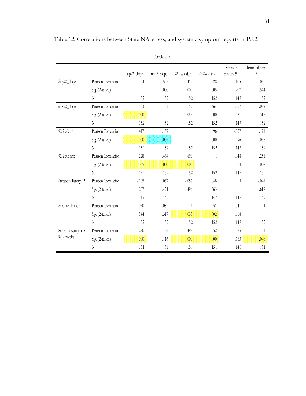|                     |                     |             | COLLCIALIOIIS |            |            |                        |                       |
|---------------------|---------------------|-------------|---------------|------------|------------|------------------------|-----------------------|
|                     |                     | dep92_slope | anx92_slope   | 92 2wk dep | 92 2wk anx | Stressor<br>History 92 | chronic illness<br>92 |
| dep92_slope         | Pearson Correlation | 1           | .503          | .417       | .228       | $-.105$                | .050                  |
|                     | Sig. (2-tailed)     |             | .000          | .000       | .005       | .207                   | .544                  |
|                     | N                   | 152         | 152           | 152        | 152        | 147                    | 152                   |
| anx92_slope         | Pearson Correlation | .503        | 1             | .157       | .464       | .067                   | .082                  |
|                     | Sig. (2-tailed)     | .000        |               | .053       | .000       | .421                   | .317                  |
|                     | N                   | 152         | 152           | 152        | 152        | 147                    | 152                   |
| 92 2wk dep          | Pearson Correlation | .417        | .157          | 1          | .696       | $-.057$                | .171                  |
|                     | Sig. (2-tailed)     | .000        | .053          |            | .000       | .496                   | .035                  |
|                     | N                   | 152         | 152           | 152        | 152        | 147                    | 152                   |
| 92 2wk anx          | Pearson Correlation | .228        | .464          | .696       | 1          | .048                   | .251                  |
|                     | Sig. (2-tailed)     | .005        | .000          | .000       |            | .563                   | .002                  |
|                     | N                   | 152         | 152           | 152        | 152        | 147                    | 152                   |
| Stressor History 92 | Pearson Correlation | $-.105$     | .067          | $-.057$    | .048       | 1                      | $-.041$               |
|                     | Sig. (2-tailed)     | .207        | .421          | .496       | .563       |                        | .618                  |
|                     | $\mathbf N$         | 147         | 147           | 147        | 147        | 147                    | 147                   |
| chronic illness 92  | Pearson Correlation | .050        | .082          | .171       | .251       | $-.041$                | $\mathbf{1}$          |
|                     | Sig. (2-tailed)     | .544        | .317          | .035       | .002       | .618                   |                       |
|                     | N                   | 152         | 152           | 152        | 152        | 147                    | 152                   |
| Systemic symptoms   | Pearson Correlation | .280        | .128          | .498       | .352       | $-.025$                | .161                  |
| 92 2 weeks          | Sig. (2-tailed)     | .000        | .116          | .000       | .000       | .763                   | .048                  |
|                     | N                   | 151         | 151           | 151        | 151        | 146                    | 151                   |

Table 12. Correlations between State NA, stress, and systemic symptom reports in 1992.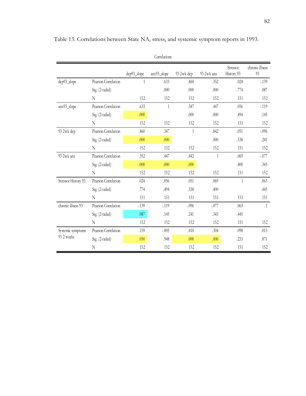|                                |                     |              | COLLCIALIOID |              |              |                        |                       |
|--------------------------------|---------------------|--------------|--------------|--------------|--------------|------------------------|-----------------------|
|                                |                     | dep93_slope  | anx93_slope  | 93 2wk dep   | 93 2wk anx   | Stressor<br>History 93 | chronic illness<br>93 |
| dep93_slope                    | Pearson Correlation | $\mathbf{1}$ | .633         | .460         | .352         | .024                   | $-.139$               |
|                                | Sig. (2-tailed)     |              | .000         | .000         | .000         | .774                   | .087                  |
|                                | N                   | 152          | 152          | 152          | 152          | 151                    | 152                   |
| anx93_slope                    | Pearson Correlation | .633         | $\mathbf{1}$ | .347         | .447         | .056                   | $-119$                |
|                                | Sig. (2-tailed)     | .000         |              | .000         | .000         | .494                   | .145                  |
|                                | N                   | 152          | 152          | 152          | 152          | 151                    | 152                   |
| 93 2wk dep                     | Pearson Correlation | .460         | .347         | $\mathbf{1}$ | .842         | .051                   | $-.096$               |
|                                | Sig. (2-tailed)     | .000         | .000         |              | .000         | .538                   | .241                  |
|                                | N                   | 152          | 152          | 152          | 152          | 151                    | 152                   |
| 93 2wk anx                     | Pearson Correlation | .352         | .447         | .842         | $\mathbf{1}$ | .069                   | $-.077$               |
|                                | Sig. (2-tailed)     | .000         | .000         | .000.        |              | .400                   | .343                  |
|                                | N                   | 152          | 152          | 152          | 152          | 151                    | 152                   |
| Stressor History 93            | Pearson Correlation | .024         | .056         | .051         | .069         | 1                      | .063                  |
|                                | Sig. (2-tailed)     | .774         | .494         | .538         | .400         |                        | .445                  |
|                                | $\rm N$             | 151          | 151          | 151          | 151          | 151                    | 151                   |
| chronic illness 93             | Pearson Correlation | $-.139$      | $-.119$      | $-.096$      | $-.077$      | .063                   | $\mathbf{1}$          |
|                                | Sig. (2-tailed)     | .087         | .145         | .241         | .343         | .445                   |                       |
|                                | N                   | 152          | 152          | 152          | 152          | 151                    | 152                   |
| Systemic symptoms<br>932 weeks | Pearson Correlation | .159         | $-.005$      | .410         | .304         | .098                   | .013                  |
|                                | Sig. (2-tailed)     | .050         | .948         | .000         | .000         | .233                   | .871                  |
|                                | N                   | 152          | 152          | 152          | 152          | 151                    | 152                   |

Table 13. Correlations between State NA, stress, and systemic symptom reports in 1993.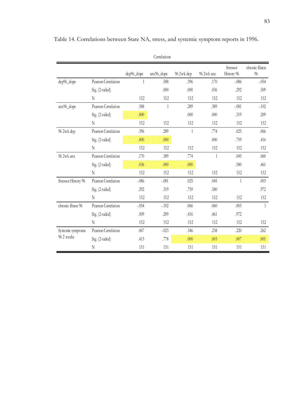|                                |                     |             | Correlations |            |            |                        |                       |
|--------------------------------|---------------------|-------------|--------------|------------|------------|------------------------|-----------------------|
|                                |                     | dep96_slope | anx96_slope  | 96 2wk dep | 96 2wk anx | Stressor<br>History 96 | chronic illness<br>96 |
| dep96_slope                    | Pearson Correlation | 1           | .588         | .396       | .170       | $-.086$                | $-.054$               |
|                                | Sig. (2-tailed)     |             | .000         | .000       | .036       | .292                   | .509                  |
|                                | N                   | 152         | 152          | 152        | 152        | 152                    | 152                   |
| anx96_slope                    | Pearson Correlation | .588        | 1            | .289       | .389       | $-.081$                | $-.102$               |
|                                | Sig. (2-tailed)     | .000        |              | .000       | .000       | .319                   | .209                  |
|                                | N                   | 152         | 152          | 152        | 152        | 152                    | 152                   |
| 96 2wk dep                     | Pearson Correlation | .396        | .289         | 1          | .774       | .025                   | .066                  |
|                                | Sig. (2-tailed)     | .000        | .000         |            | .000       | .759                   | .416                  |
|                                | N                   | 152         | 152          | 152        | 152        | 152                    | 152                   |
| 96 2wk anx                     | Pearson Correlation | .170        | .389         | .774       | 1          | .045                   | .060                  |
|                                | Sig. (2-tailed)     | .036        | .000         | .000.      |            | .580                   | .461                  |
|                                | $\rm N$             | 152         | 152          | 152        | 152        | 152                    | 152                   |
| Stressor History 96            | Pearson Correlation | $-.086$     | $-.081$      | .025       | .045       | $\mathbf{1}$           | .003                  |
|                                | Sig. (2-tailed)     | .292        | .319         | .759       | .580       |                        | .972                  |
|                                | N                   | 152         | 152          | 152        | 152        | 152                    | 152                   |
| chronic illness 96             | Pearson Correlation | $-.054$     | $-.102$      | .066       | .060       | .003                   | $\mathbf{1}$          |
|                                | Sig. (2-tailed)     | .509        | .209         | .416       | .461       | .972                   |                       |
|                                | N                   | 152         | 152          | 152        | 152        | 152                    | 152                   |
| Systemic symptoms<br>962 weeks | Pearson Correlation | .067        | $-.023$      | .346       | .238       | .220                   | .262                  |
|                                | Sig. (2-tailed)     | .413        | .778         | .000       | .003       | .007                   | .001                  |
|                                | N                   | 151         | 151          | 151        | 151        | 151                    | 151                   |

Table 14. Correlations between State NA, stress, and systemic symptom reports in 1996.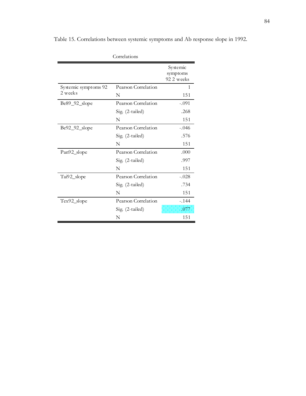|                      | Correlations        |                                    |
|----------------------|---------------------|------------------------------------|
|                      |                     | Systemic<br>symptoms<br>92 2 weeks |
| Systemic symptoms 92 | Pearson Correlation | 1                                  |
| 2 weeks              | N                   | 151                                |
| $Be89_92_slope$      | Pearson Correlation | $-.091$                            |
|                      | Sig. (2-tailed)     | .268                               |
|                      | N                   | 151                                |
| Be92_92_slope        | Pearson Correlation | $-.046$                            |
|                      | Sig. (2-tailed)     | .576                               |
|                      | N                   | 151                                |
| Pan92_slope          | Pearson Correlation | .000                               |
|                      | Sig. (2-tailed)     | .997                               |
|                      | N                   | 151                                |
| Tai92_slope          | Pearson Correlation | $-.028$                            |
|                      | Sig. (2-tailed)     | .734                               |
|                      | N                   | 151                                |
| Tex92_slope          | Pearson Correlation | $-.144$                            |
|                      | Sig. (2-tailed)     | .077                               |
|                      | N                   | 151                                |

Table 15. Correlations between systemic symptoms and Ab response slope in 1992.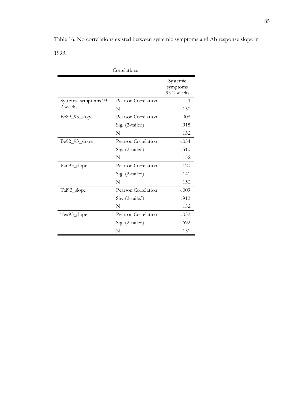Table 16. No correlations existed between systemic symptoms and Ab response slope in 1993.

| Correlations         |                     |                                    |  |  |
|----------------------|---------------------|------------------------------------|--|--|
|                      |                     | Systemic<br>symptoms<br>93 2 weeks |  |  |
| Systemic symptoms 93 | Pearson Correlation | 1                                  |  |  |
| 2 weeks              | N                   | 152                                |  |  |
| Be89_93_slope        | Pearson Correlation | .008                               |  |  |
|                      | Sig. (2-tailed)     | .918                               |  |  |
|                      | N                   | 152                                |  |  |
| Be92_93_slope        | Pearson Correlation | $-.054$                            |  |  |
|                      | Sig. (2-tailed)     | .510                               |  |  |
|                      | N                   | 152                                |  |  |
| Pan93_slope          | Pearson Correlation | .120                               |  |  |
|                      | Sig. (2-tailed)     | .141                               |  |  |
|                      | N                   | 152                                |  |  |
| Tai93_slope          | Pearson Correlation | $-.009$                            |  |  |
|                      | Sig. (2-tailed)     | .912                               |  |  |
|                      | N                   | 152                                |  |  |
| Tex93_slope          | Pearson Correlation | .032                               |  |  |
|                      | Sig. (2-tailed)     | .692                               |  |  |
|                      | N                   | 152                                |  |  |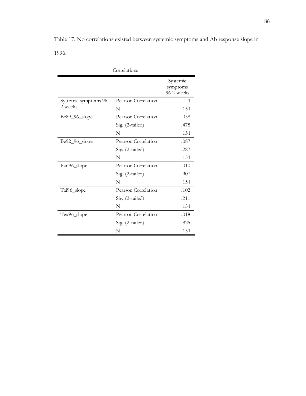Table 17. No correlations existed between systemic symptoms and Ab response slope in 1996.

| Correlations         |                     |                                    |  |  |
|----------------------|---------------------|------------------------------------|--|--|
|                      |                     | Systemic<br>symptoms<br>96 2 weeks |  |  |
| Systemic symptoms 96 | Pearson Correlation | 1                                  |  |  |
| 2 weeks              | N                   | 151                                |  |  |
| Be89_96_slope        | Pearson Correlation | .058                               |  |  |
|                      | Sig. (2-tailed)     | .478                               |  |  |
|                      | N                   | 151                                |  |  |
| Be92_96_slope        | Pearson Correlation | .087                               |  |  |
|                      | Sig. (2-tailed)     | .287                               |  |  |
|                      | N                   | 151                                |  |  |
| Pan96_slope          | Pearson Correlation | $-.010$                            |  |  |
|                      | Sig. (2-tailed)     | .907                               |  |  |
|                      | N                   | 151                                |  |  |
| Tai96_slope          | Pearson Correlation | .102                               |  |  |
|                      | Sig. (2-tailed)     | .211                               |  |  |
|                      | N                   | 151                                |  |  |
| Tex96_slope          | Pearson Correlation | .018                               |  |  |
|                      | Sig. (2-tailed)     | .825                               |  |  |
|                      | N                   | 151                                |  |  |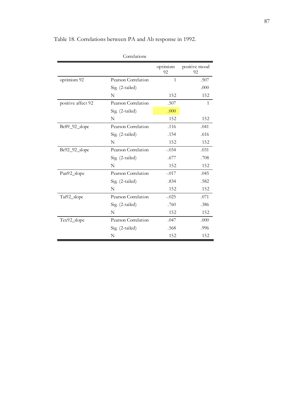| Correlations       |                     |                |                     |  |  |
|--------------------|---------------------|----------------|---------------------|--|--|
|                    |                     | optimism<br>92 | positive mood<br>92 |  |  |
| optimism 92        | Pearson Correlation | $\mathbf{1}$   | .507                |  |  |
|                    | Sig. (2-tailed)     |                | .000                |  |  |
|                    | N                   | 152            | 152                 |  |  |
| positive affect 92 | Pearson Correlation | .507           | 1                   |  |  |
|                    | Sig. (2-tailed)     | .000           |                     |  |  |
|                    | N                   | 152            | 152                 |  |  |
| Be89_92_slope      | Pearson Correlation | .116           | .041                |  |  |
|                    | Sig. (2-tailed)     | .154           | .616                |  |  |
|                    | N                   | 152            | 152                 |  |  |
| Be92_92_slope      | Pearson Correlation | $-.034$        | .031                |  |  |
|                    | Sig. (2-tailed)     | .677           | .708                |  |  |
|                    | N                   | 152            | 152                 |  |  |
| Pan92_slope        | Pearson Correlation | $-.017$        | .045                |  |  |
|                    | Sig. (2-tailed)     | .834           | .582                |  |  |
|                    | N                   | 152            | 152                 |  |  |
| Tai92_slope        | Pearson Correlation | $-.025$        | .071                |  |  |
|                    | Sig. (2-tailed)     | .760           | .386                |  |  |
|                    | N                   | 152            | 152                 |  |  |
| Tex92_slope        | Pearson Correlation | .047           | .000                |  |  |
|                    | Sig. (2-tailed)     | .568           | .996                |  |  |
|                    | N                   | 152            | 152                 |  |  |

Table 18. Correlations between PA and Ab response in 1992.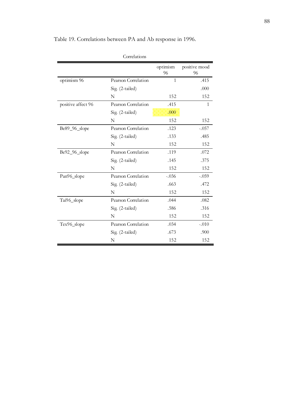| Correlations       |                     |                |                     |  |  |
|--------------------|---------------------|----------------|---------------------|--|--|
|                    |                     | optimism<br>96 | positive mood<br>96 |  |  |
| optimism 96        | Pearson Correlation | $\mathbf{1}$   | .415                |  |  |
|                    | Sig. (2-tailed)     |                | .000                |  |  |
|                    | N                   | 152            | 152                 |  |  |
| positive affect 96 | Pearson Correlation | .415           | $\mathbf{1}$        |  |  |
|                    | $Sig. (2-tailed)$   | .000           |                     |  |  |
|                    | N                   | 152            | 152                 |  |  |
| Be89_96_slope      | Pearson Correlation | .123           | $-.057$             |  |  |
|                    | Sig. (2-tailed)     | .133           | .485                |  |  |
|                    | N                   | 152            | 152                 |  |  |
| Be92_96_slope      | Pearson Correlation | .119           | .072                |  |  |
|                    | Sig. (2-tailed)     | .145           | .375                |  |  |
|                    | N                   | 152            | 152                 |  |  |
| Pan96_slope        | Pearson Correlation | $-.036$        | $-.059$             |  |  |
|                    | Sig. (2-tailed)     | .663           | .472                |  |  |
|                    | N                   | 152            | 152                 |  |  |
| Tai96_slope        | Pearson Correlation | .044           | .082                |  |  |
|                    | Sig. (2-tailed)     | .586           | .316                |  |  |
|                    | N                   | 152            | 152                 |  |  |
| Tex96_slope        | Pearson Correlation | .034           | $-.010$             |  |  |
|                    | Sig. (2-tailed)     | .673           | .900                |  |  |
|                    | N                   | 152            | 152                 |  |  |

Table 19. Correlations between PA and Ab response in 1996.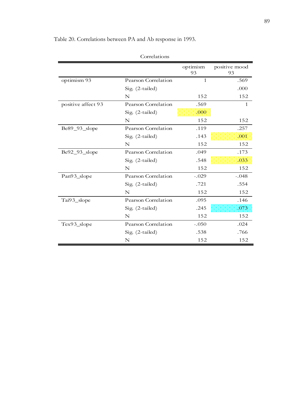|                    |                     | optimism<br>93 | positive mood<br>93 |
|--------------------|---------------------|----------------|---------------------|
| optimism 93        | Pearson Correlation | $\mathbf{1}$   | .569                |
|                    | Sig. (2-tailed)     |                | .000                |
|                    | N                   | 152            | 152                 |
| positive affect 93 | Pearson Correlation | .569           | $\mathbf{1}$        |
|                    | Sig. (2-tailed)     | .000           |                     |
|                    | $\mathbf N$         | 152            | 152                 |
| Be89_93_slope      | Pearson Correlation | .119           | .257                |
|                    | Sig. (2-tailed)     | .143           | .001                |
|                    | $\mathbf N$         | 152            | 152                 |
| Be92_93_slope      | Pearson Correlation | .049           | .173                |
|                    | Sig. (2-tailed)     | .548           | .033                |
|                    | N                   | 152            | 152                 |
| Pan93_slope        | Pearson Correlation | $-.029$        | $-.048$             |
|                    | Sig. (2-tailed)     | .721           | .554                |
|                    | N                   | 152            | 152                 |
| Tai93_slope        | Pearson Correlation | .095           | .146                |
|                    | Sig. (2-tailed)     | .245           | .073                |
|                    | $\mathbf N$         | 152            | 152                 |
| Tex93_slope        | Pearson Correlation | $-.050$        | .024                |
|                    | Sig. (2-tailed)     | .538           | .766                |
|                    | N                   | 152            | 152                 |

Table 20. Correlations between PA and Ab response in 1993.

Correlations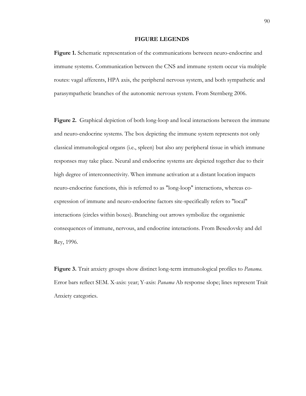#### **FIGURE LEGENDS**

**Figure 1.** Schematic representation of the communications between neuro-endocrine and immune systems. Communication between the CNS and immune system occur via multiple routes: vagal afferents, HPA axis, the peripheral nervous system, and both sympathetic and parasympathetic branches of the autonomic nervous system. From Sternberg 2006.

**Figure 2.** Graphical depiction of both long-loop and local interactions between the immune and neuro-endocrine systems. The box depicting the immune system represents not only classical immunological organs (i.e., spleen) but also any peripheral tissue in which immune responses may take place. Neural and endocrine systems are depicted together due to their high degree of interconnectivity. When immune activation at a distant location impacts neuro-endocrine functions, this is referred to as "long-loop" interactions, whereas coexpression of immune and neuro-endocrine factors site-specifically refers to "local" interactions (circles within boxes). Branching out arrows symbolize the organismic consequences of immune, nervous, and endocrine interactions. From Besedovsky and del Rey, 1996.

**Figure 3.** Trait anxiety groups show distinct long-term immunological profiles to *Panama*. Error bars reflect SEM. X-axis: year; Y-axis: *Panama* Ab response slope; lines represent Trait Anxiety categories.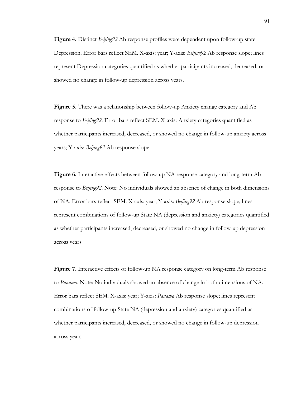**Figure 4.** Distinct *Beijing92* Ab response profiles were dependent upon follow-up state Depression. Error bars reflect SEM. X-axis: year; Y-axis: *Beijing92* Ab response slope; lines represent Depression categories quantified as whether participants increased, decreased, or showed no change in follow-up depression across years.

**Figure 5.** There was a relationship between follow-up Anxiety change category and Ab response to *Beijing92*. Error bars reflect SEM. X-axis: Anxiety categories quantified as whether participants increased, decreased, or showed no change in follow-up anxiety across years; Y-axis: *Beijing92* Ab response slope.

**Figure 6.** Interactive effects between follow-up NA response category and long-term Ab response to *Beijing92*. Note: No individuals showed an absence of change in both dimensions of NA. Error bars reflect SEM. X-axis: year; Y-axis: *Beijing92* Ab response slope; lines represent combinations of follow-up State NA (depression and anxiety) categories quantified as whether participants increased, decreased, or showed no change in follow-up depression across years.

**Figure 7.** Interactive effects of follow-up NA response category on long-term Ab response to *Panama*. Note: No individuals showed an absence of change in both dimensions of NA. Error bars reflect SEM. X-axis: year; Y-axis: *Panama* Ab response slope; lines represent combinations of follow-up State NA (depression and anxiety) categories quantified as whether participants increased, decreased, or showed no change in follow-up depression across years.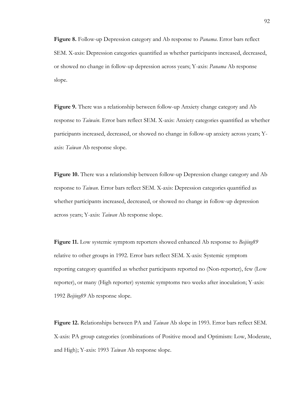**Figure 8.** Follow-up Depression category and Ab response to *Panama*. Error bars reflect SEM. X-axis: Depression categories quantified as whether participants increased, decreased, or showed no change in follow-up depression across years; Y-axis: *Panama* Ab response slope.

**Figure 9.** There was a relationship between follow-up Anxiety change category and Ab response to *Taiwain*. Error bars reflect SEM. X-axis: Anxiety categories quantified as whether participants increased, decreased, or showed no change in follow-up anxiety across years; Yaxis: *Taiwan* Ab response slope.

**Figure 10.** There was a relationship between follow-up Depression change category and Ab response to *Taiwan*. Error bars reflect SEM. X-axis: Depression categories quantified as whether participants increased, decreased, or showed no change in follow-up depression across years; Y-axis: *Taiwan* Ab response slope.

**Figure 11.** Low systemic symptom reporters showed enhanced Ab response to *Beijing89* relative to other groups in 1992. Error bars reflect SEM. X-axis: Systemic symptom reporting category quantified as whether participants reported no (Non-reporter), few (Low reporter), or many (High reporter) systemic symptoms two weeks after inoculation; Y-axis: 1992 *Beijing89* Ab response slope.

**Figure 12.** Relationships between PA and *Taiwan* Ab slope in 1993. Error bars reflect SEM. X-axis: PA group categories (combinations of Positive mood and Optimism: Low, Moderate, and High); Y-axis: 1993 *Taiwan* Ab response slope.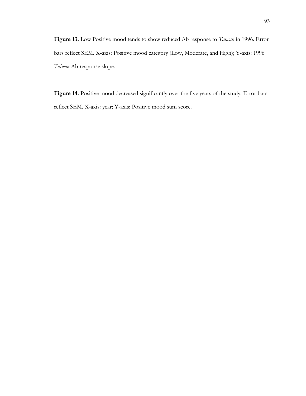**Figure 13.** Low Positive mood tends to show reduced Ab response to *Taiwan* in 1996. Error bars reflect SEM. X-axis: Positive mood category (Low, Moderate, and High); Y-axis: 1996 *Taiwan* Ab response slope.

Figure 14. Positive mood decreased significantly over the five years of the study. Error bars reflect SEM. X-axis: year; Y-axis: Positive mood sum score.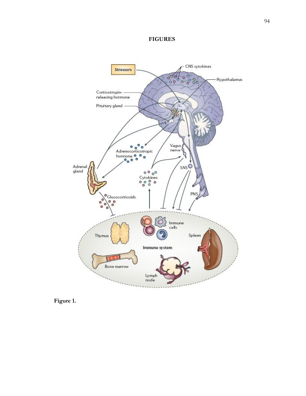## **FIGURES**



**Figure 1.**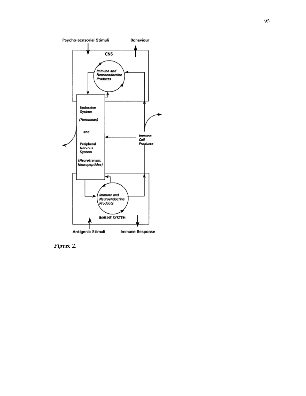

**Figure 2.**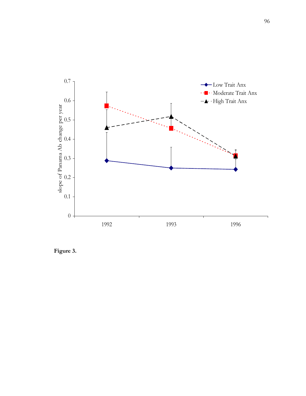

**Figure 3.**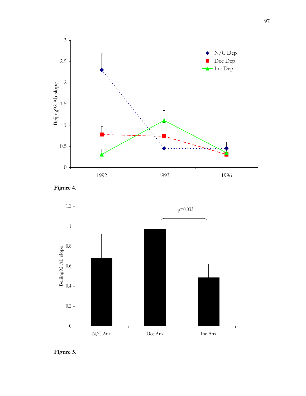





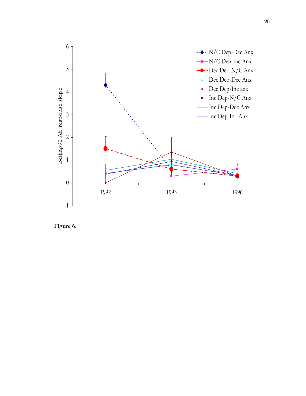

**Figure 6.**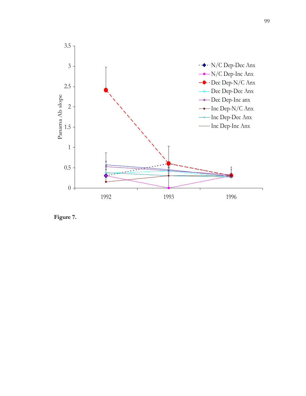

**Figure 7.**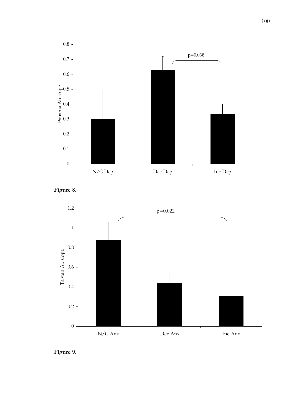





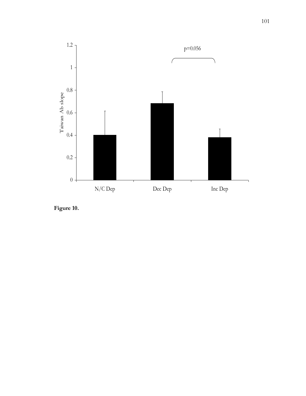

**Figure 10.**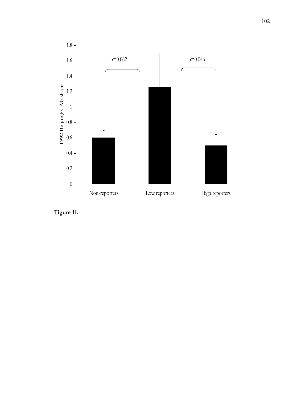

**Figure 11.**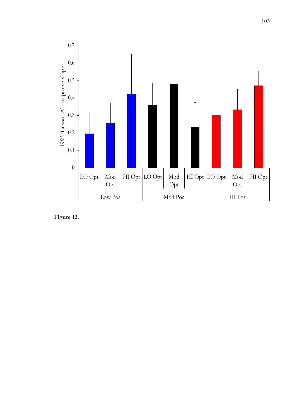

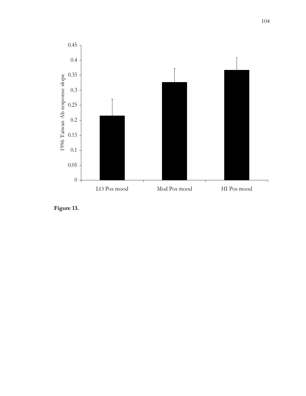

**Figure 13.**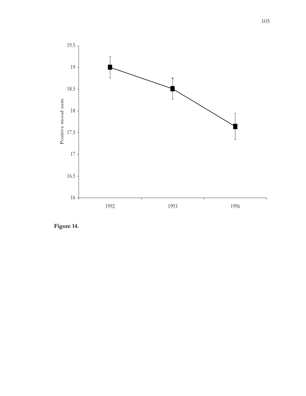

**Figure 14.**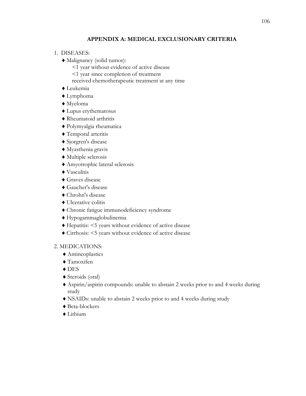# **APPENDIX A: MEDICAL EXCLUSIONARY CRITERIA**

- 1. DISEASES:
	- Malignancy (solid tumor):
		- <1 year without evidence of active disease
		- <1 year since completion of treatment
		- received chemotherapeutic treatment at any time
	- Leukemia
	- Lymphoma
	- Myeloma
	- Lupus erythematosus
	- Rheumatoid arthritis
	- Polymyalgia rheumatica
	- Temporal arteritis
	- ◆ Sjorgren's disease
	- Myasthenia gravis
	- Multiple sclerosis
	- Amyotrophic lateral sclerosis
	- ◆ Vasculitis
	- Graves disease
	- Gaucher's disease
	- Chrohn's disease
	- Ulcerative colitis
	- Chronic fatigue immunodeficiency syndrome
	- Hypogammaglobulinemia
	- Hepatitis: <5 years without evidence of active disease
	- Cirrhosis: <5 years without evidence of active disease

## 2. MEDICATIONS:

- Antineoplastics
- Tamoxifen
- ◆ DES
- Steroids (oral)
- Aspirin/aspirin compounds: unable to abstain 2 weeks prior to and 4 weeks during study
- NSAIDs: unable to abstain 2 weeks prior to and 4 weeks during study
- ◆ Beta-blockers
- ◆ Lithium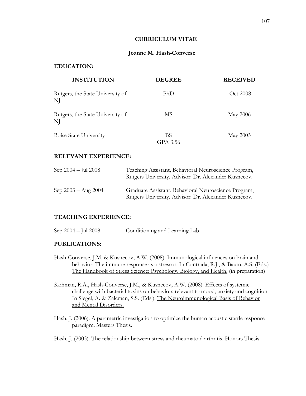### **CURRICULUM VITAE**

### **Joanne M. Hash-Converse**

## **EDUCATION:**

| <b>INSTITUTION</b>                     | <b>DEGREE</b>  | <b>RECEIVED</b> |  |
|----------------------------------------|----------------|-----------------|--|
| Rutgers, the State University of<br>NJ | PhD            | Oct 2008        |  |
| Rutgers, the State University of<br>NJ | MS             | <b>May 2006</b> |  |
| <b>Boise State University</b>          | BS<br>GPA 3.56 | May 2003        |  |

### **RELEVANT EXPERIENCE:**

| Sep $2004 - \text{Jul } 2008$ | Teaching Assistant, Behavioral Neuroscience Program,<br>Rutgers University. Advisor: Dr. Alexander Kusnecov. |
|-------------------------------|--------------------------------------------------------------------------------------------------------------|
| Sep $2003 - Aug 2004$         | Graduate Assistant, Behavioral Neuroscience Program,<br>Rutgers University. Advisor: Dr. Alexander Kusnecov. |

### **TEACHING EXPERIENCE:**

|  | Sep 2004 – Jul 2008 | Conditioning and Learning Lab |  |
|--|---------------------|-------------------------------|--|
|  |                     |                               |  |

### **PUBLICATIONS:**

- Hash-Converse, J.M. & Kusnecov, A.W. (2008). Immunological influences on brain and behavior: The immune response as a stressor. In Contrada, R.J., & Baum, A.S. (Eds.) The Handbook of Stress Science: Psychology, Biology, and Health. (in preparation)
- Kohman, R.A., Hash-Converse, J.M., & Kusnecov, A.W. (2008). Effects of systemic challenge with bacterial toxins on behaviors relevant to mood, anxiety and cognition. In Siegel, A. & Zalcman, S.S. (Eds.). The Neuroimmunological Basis of Behavior and Mental Disorders.
- Hash, J. (2006). A parametric investigation to optimize the human acoustic startle response paradigm. Masters Thesis.

### Hash, J. (2003). The relationship between stress and rheumatoid arthritis. Honors Thesis.